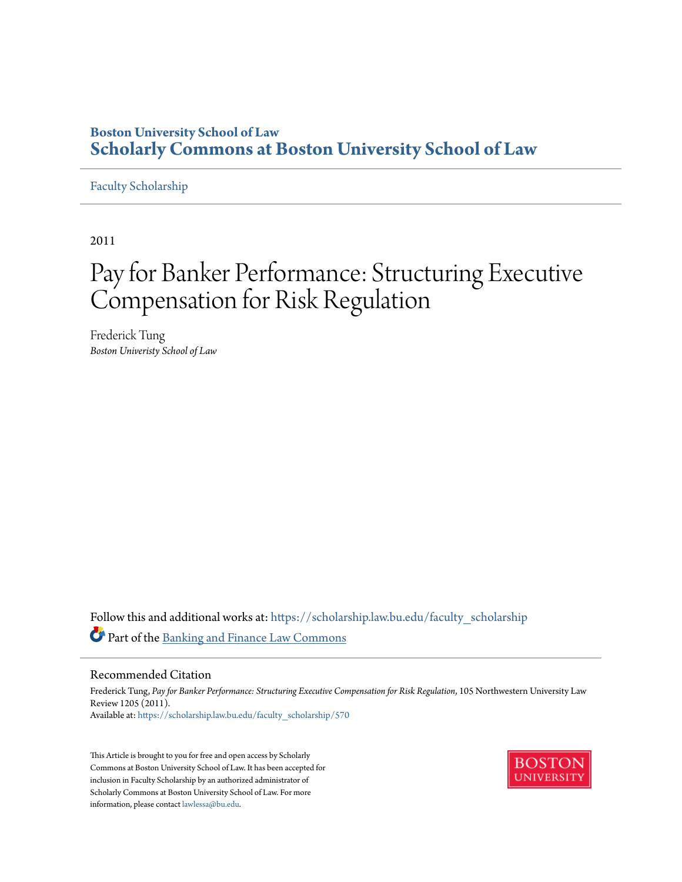## **Boston University School of Law [Scholarly Commons at Boston University School of Law](https://scholarship.law.bu.edu?utm_source=scholarship.law.bu.edu%2Ffaculty_scholarship%2F570&utm_medium=PDF&utm_campaign=PDFCoverPages)**

#### [Faculty Scholarship](https://scholarship.law.bu.edu/faculty_scholarship?utm_source=scholarship.law.bu.edu%2Ffaculty_scholarship%2F570&utm_medium=PDF&utm_campaign=PDFCoverPages)

2011

# Pay for Banker Performance: Structuring Executive Compensation for Risk Regulation

Frederick Tung *Boston Univeristy School of Law*

Follow this and additional works at: [https://scholarship.law.bu.edu/faculty\\_scholarship](https://scholarship.law.bu.edu/faculty_scholarship?utm_source=scholarship.law.bu.edu%2Ffaculty_scholarship%2F570&utm_medium=PDF&utm_campaign=PDFCoverPages) Part of the [Banking and Finance Law Commons](http://network.bepress.com/hgg/discipline/833?utm_source=scholarship.law.bu.edu%2Ffaculty_scholarship%2F570&utm_medium=PDF&utm_campaign=PDFCoverPages)

#### Recommended Citation

Frederick Tung, Pay for Banker Performance: Structuring Executive Compensation for Risk Regulation, 105 Northwestern University Law Review 1205 (2011). Available at: [https://scholarship.law.bu.edu/faculty\\_scholarship/570](https://scholarship.law.bu.edu/faculty_scholarship/570?utm_source=scholarship.law.bu.edu%2Ffaculty_scholarship%2F570&utm_medium=PDF&utm_campaign=PDFCoverPages)

This Article is brought to you for free and open access by Scholarly Commons at Boston University School of Law. It has been accepted for inclusion in Faculty Scholarship by an authorized administrator of Scholarly Commons at Boston University School of Law. For more information, please contact [lawlessa@bu.edu.](mailto:lawlessa@bu.edu)

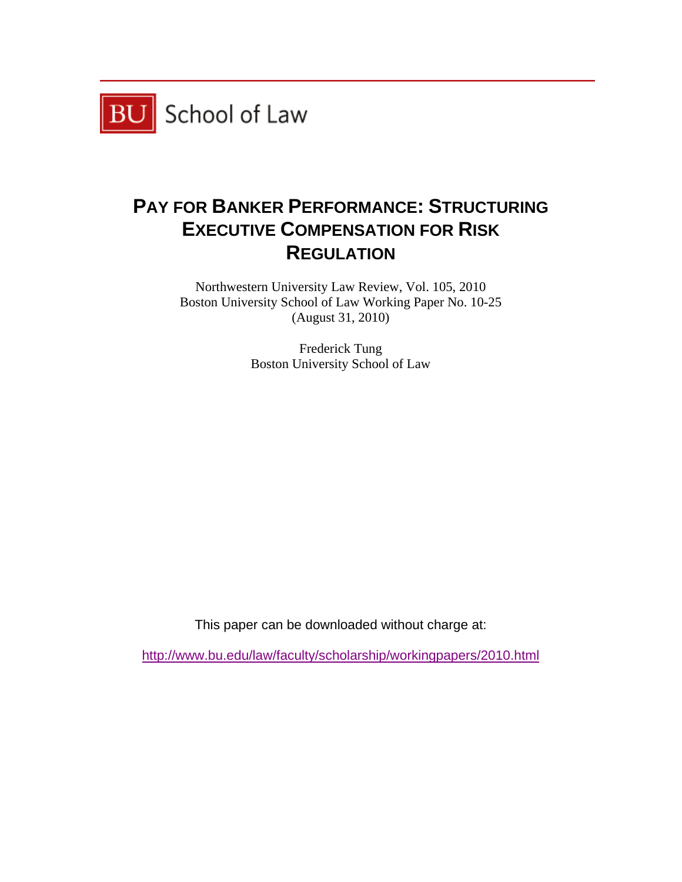

## **PAY FOR BANKER PERFORMANCE: STRUCTURING EXECUTIVE COMPENSATION FOR RISK REGULATION**

Northwestern University Law Review, Vol. 105, 2010 Boston University School of Law Working Paper No. 10-25 (August 31, 2010)

> Frederick Tung Boston University School of Law

This paper can be downloaded without charge at:

http://www.bu.edu/law/faculty/scholarship/workingpapers/2010.html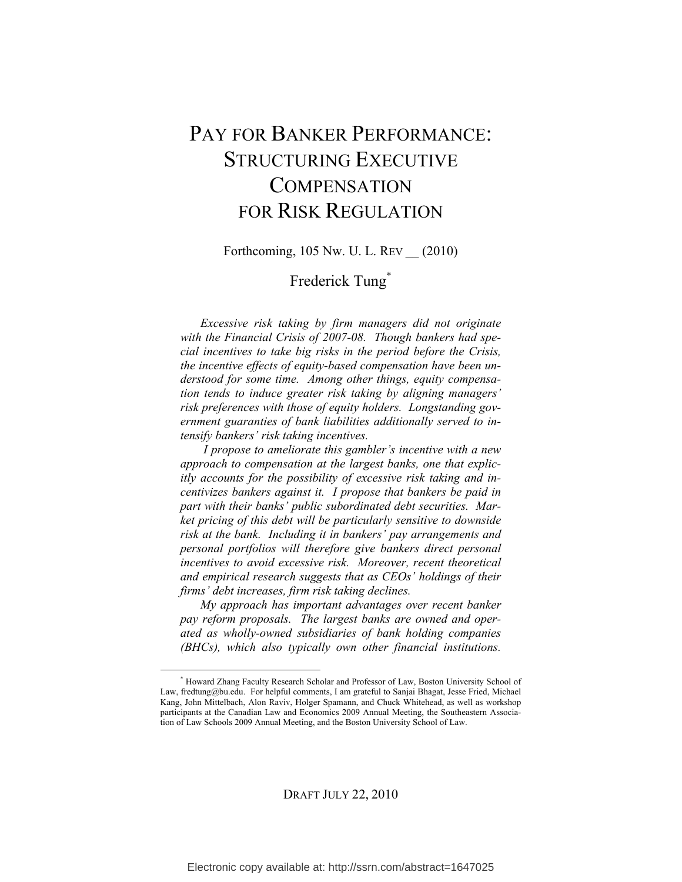## PAY FOR BANKER PERFORMANCE: STRUCTURING EXECUTIVE **COMPENSATION** FOR RISK REGULATION

Forthcoming, 105 Nw. U. L. REV \_\_ (2010)

## Frederick Tung<sup>\*</sup>

*Excessive risk taking by firm managers did not originate with the Financial Crisis of 2007-08. Though bankers had special incentives to take big risks in the period before the Crisis, the incentive effects of equity-based compensation have been understood for some time. Among other things, equity compensation tends to induce greater risk taking by aligning managers' risk preferences with those of equity holders. Longstanding government guaranties of bank liabilities additionally served to intensify bankers' risk taking incentives.* 

 *I propose to ameliorate this gambler's incentive with a new approach to compensation at the largest banks, one that explicitly accounts for the possibility of excessive risk taking and incentivizes bankers against it. I propose that bankers be paid in part with their banks' public subordinated debt securities. Market pricing of this debt will be particularly sensitive to downside risk at the bank. Including it in bankers' pay arrangements and personal portfolios will therefore give bankers direct personal incentives to avoid excessive risk. Moreover, recent theoretical and empirical research suggests that as CEOs' holdings of their firms' debt increases, firm risk taking declines.*

*My approach has important advantages over recent banker pay reform proposals. The largest banks are owned and operated as wholly-owned subsidiaries of bank holding companies (BHCs), which also typically own other financial institutions.* 

DRAFT JULY 22, 2010

 <sup>\*</sup> Howard Zhang Faculty Research Scholar and Professor of Law, Boston University School of Law, fredtung@bu.edu. For helpful comments, I am grateful to Sanjai Bhagat, Jesse Fried, Michael Kang, John Mittelbach, Alon Raviv, Holger Spamann, and Chuck Whitehead, as well as workshop participants at the Canadian Law and Economics 2009 Annual Meeting, the Southeastern Association of Law Schools 2009 Annual Meeting, and the Boston University School of Law.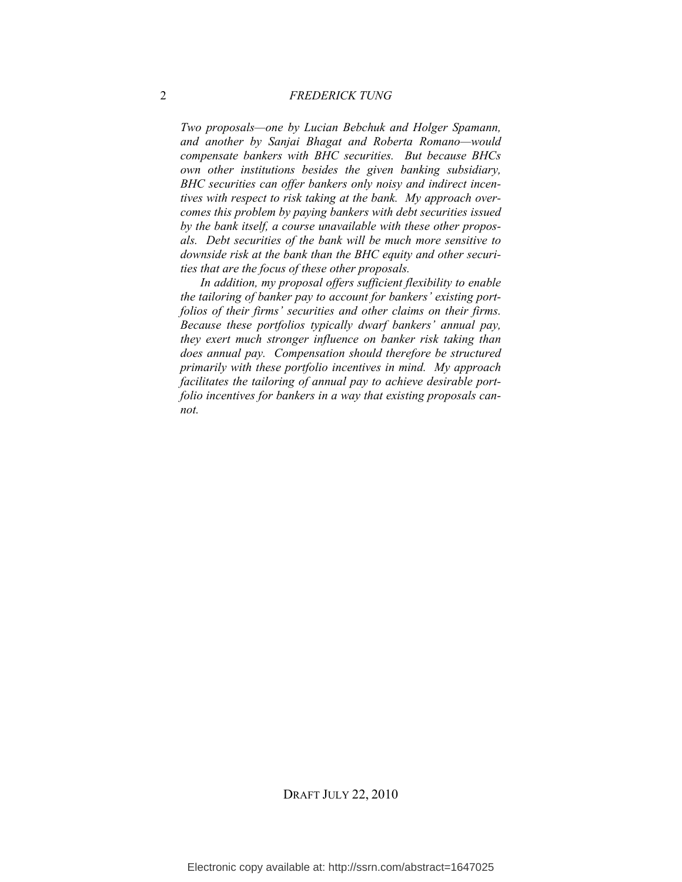#### 2 *FREDERICK TUNG*

*Two proposals—one by Lucian Bebchuk and Holger Spamann, and another by Sanjai Bhagat and Roberta Romano—would compensate bankers with BHC securities. But because BHCs own other institutions besides the given banking subsidiary, BHC securities can offer bankers only noisy and indirect incentives with respect to risk taking at the bank. My approach overcomes this problem by paying bankers with debt securities issued by the bank itself, a course unavailable with these other proposals. Debt securities of the bank will be much more sensitive to downside risk at the bank than the BHC equity and other securities that are the focus of these other proposals.*

*In addition, my proposal offers sufficient flexibility to enable the tailoring of banker pay to account for bankers' existing portfolios of their firms' securities and other claims on their firms. Because these portfolios typically dwarf bankers' annual pay, they exert much stronger influence on banker risk taking than does annual pay. Compensation should therefore be structured primarily with these portfolio incentives in mind. My approach facilitates the tailoring of annual pay to achieve desirable portfolio incentives for bankers in a way that existing proposals cannot.*

DRAFT JULY 22, 2010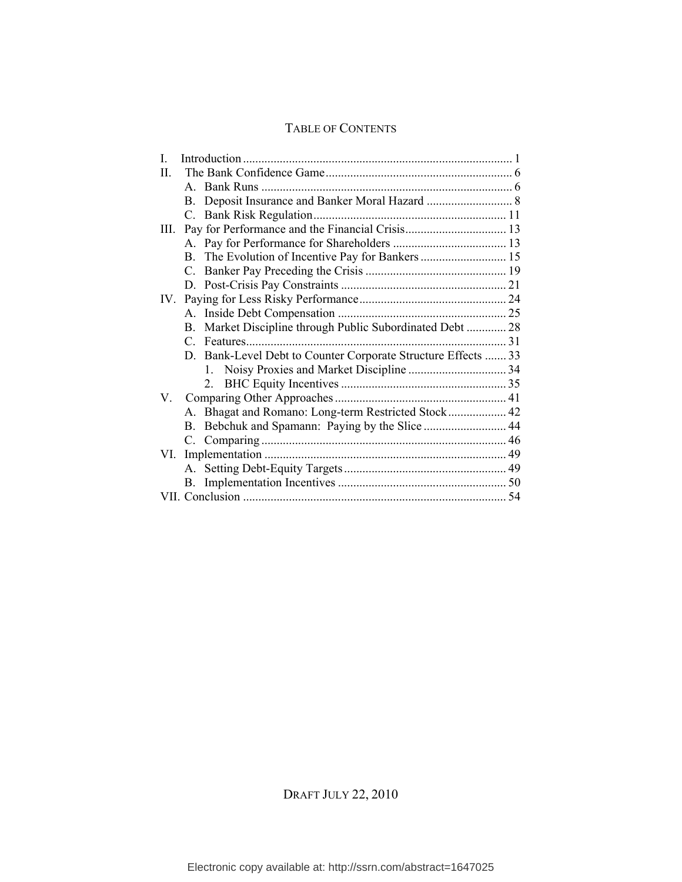## TABLE OF CONTENTS

| $\mathbf{I}$                                                  |  |
|---------------------------------------------------------------|--|
| H                                                             |  |
|                                                               |  |
| <b>B.</b>                                                     |  |
|                                                               |  |
| III.                                                          |  |
|                                                               |  |
|                                                               |  |
|                                                               |  |
|                                                               |  |
| $IV_{-}$                                                      |  |
|                                                               |  |
| Market Discipline through Public Subordinated Debt  28<br>B.  |  |
|                                                               |  |
| D. Bank-Level Debt to Counter Corporate Structure Effects  33 |  |
| $1 \quad$                                                     |  |
|                                                               |  |
| V.                                                            |  |
| A. Bhagat and Romano: Long-term Restricted Stock 42           |  |
| $\bf{B}$ .                                                    |  |
|                                                               |  |
| VI.                                                           |  |
|                                                               |  |
|                                                               |  |
|                                                               |  |

DRAFT JULY 22, 2010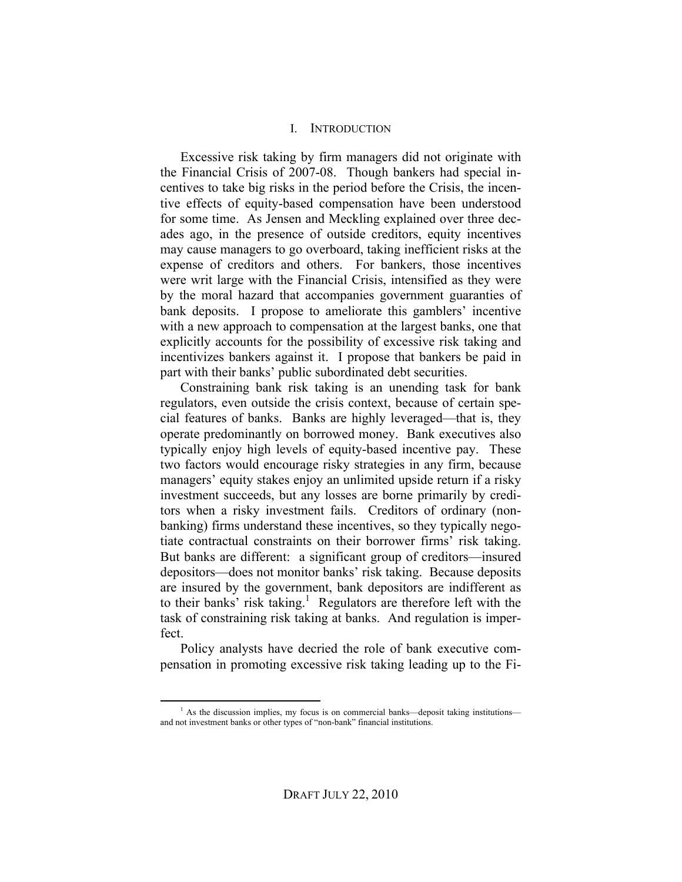#### I. INTRODUCTION

Excessive risk taking by firm managers did not originate with the Financial Crisis of 2007-08. Though bankers had special incentives to take big risks in the period before the Crisis, the incentive effects of equity-based compensation have been understood for some time. As Jensen and Meckling explained over three decades ago, in the presence of outside creditors, equity incentives may cause managers to go overboard, taking inefficient risks at the expense of creditors and others. For bankers, those incentives were writ large with the Financial Crisis, intensified as they were by the moral hazard that accompanies government guaranties of bank deposits. I propose to ameliorate this gamblers' incentive with a new approach to compensation at the largest banks, one that explicitly accounts for the possibility of excessive risk taking and incentivizes bankers against it. I propose that bankers be paid in part with their banks' public subordinated debt securities.

Constraining bank risk taking is an unending task for bank regulators, even outside the crisis context, because of certain special features of banks. Banks are highly leveraged—that is, they operate predominantly on borrowed money. Bank executives also typically enjoy high levels of equity-based incentive pay. These two factors would encourage risky strategies in any firm, because managers' equity stakes enjoy an unlimited upside return if a risky investment succeeds, but any losses are borne primarily by creditors when a risky investment fails. Creditors of ordinary (nonbanking) firms understand these incentives, so they typically negotiate contractual constraints on their borrower firms' risk taking. But banks are different: a significant group of creditors—insured depositors—does not monitor banks' risk taking. Because deposits are insured by the government, bank depositors are indifferent as to their banks' risk taking.<sup>1</sup> Regulators are therefore left with the task of constraining risk taking at banks. And regulation is imperfect.

Policy analysts have decried the role of bank executive compensation in promoting excessive risk taking leading up to the Fi-

<sup>&</sup>lt;sup>1</sup> <sup>1</sup> As the discussion implies, my focus is on commercial banks—deposit taking institutions and not investment banks or other types of "non-bank" financial institutions.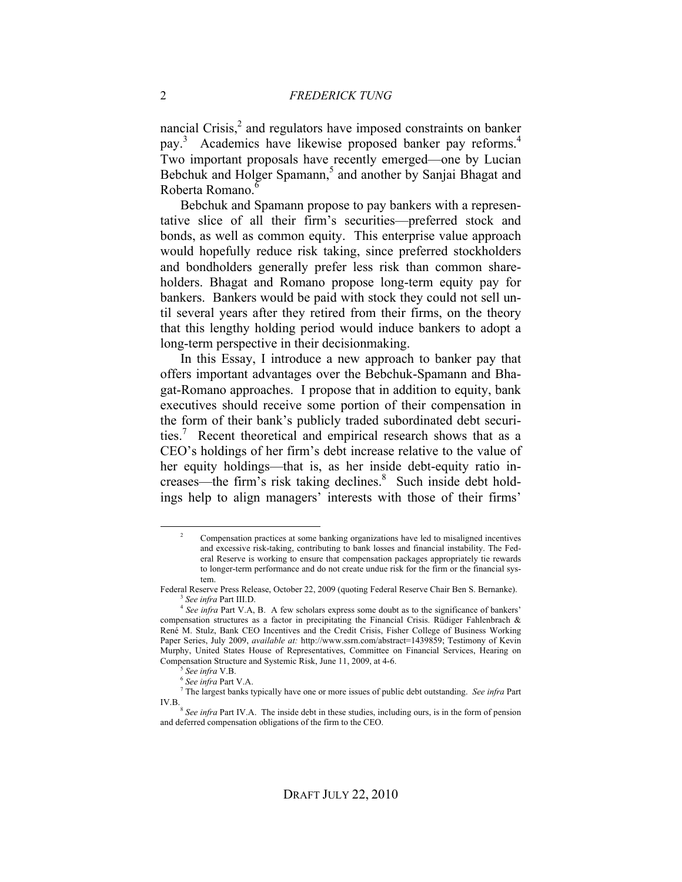nancial Crisis, $<sup>2</sup>$  and regulators have imposed constraints on banker</sup> pay.<sup>3</sup> Academics have likewise proposed banker pay reforms.<sup>4</sup> Two important proposals have recently emerged—one by Lucian Bebchuk and Holger Spamann,<sup>5</sup> and another by Sanjai Bhagat and Roberta Romano.<sup>6</sup>

Bebchuk and Spamann propose to pay bankers with a representative slice of all their firm's securities—preferred stock and bonds, as well as common equity. This enterprise value approach would hopefully reduce risk taking, since preferred stockholders and bondholders generally prefer less risk than common shareholders. Bhagat and Romano propose long-term equity pay for bankers. Bankers would be paid with stock they could not sell until several years after they retired from their firms, on the theory that this lengthy holding period would induce bankers to adopt a long-term perspective in their decisionmaking.

In this Essay, I introduce a new approach to banker pay that offers important advantages over the Bebchuk-Spamann and Bhagat-Romano approaches. I propose that in addition to equity, bank executives should receive some portion of their compensation in the form of their bank's publicly traded subordinated debt securities.<sup>7</sup> Recent theoretical and empirical research shows that as a CEO's holdings of her firm's debt increase relative to the value of her equity holdings—that is, as her inside debt-equity ratio increases—the firm's risk taking declines. 8 Such inside debt holdings help to align managers' interests with those of their firms'

 <sup>2</sup> Compensation practices at some banking organizations have led to misaligned incentives and excessive risk-taking, contributing to bank losses and financial instability. The Federal Reserve is working to ensure that compensation packages appropriately tie rewards to longer-term performance and do not create undue risk for the firm or the financial system.

Federal Reserve Press Release, October 22, 2009 (quoting Federal Reserve Chair Ben S. Bernanke). <sup>3</sup> *See infra* Part III.D.

<sup>&</sup>lt;sup>4</sup> See infra Part V.A, B. A few scholars express some doubt as to the significance of bankers' compensation structures as a factor in precipitating the Financial Crisis. Rüdiger Fahlenbrach & René M. Stulz, Bank CEO Incentives and the Credit Crisis, Fisher College of Business Working Paper Series, July 2009, *available at:* http://www.ssrn.com/abstract=1439859; Testimony of Kevin Murphy, United States House of Representatives, Committee on Financial Services, Hearing on Compensation Structure and Systemic Risk, June 11, 2009, at 4-6.

<sup>5</sup> *See infra* V.B.

<sup>6</sup> *See infra* Part V.A.

<sup>7</sup> The largest banks typically have one or more issues of public debt outstanding. *See infra* Part IV.B.

<sup>&</sup>lt;sup>8</sup> See infra Part IV.A. The inside debt in these studies, including ours, is in the form of pension and deferred compensation obligations of the firm to the CEO.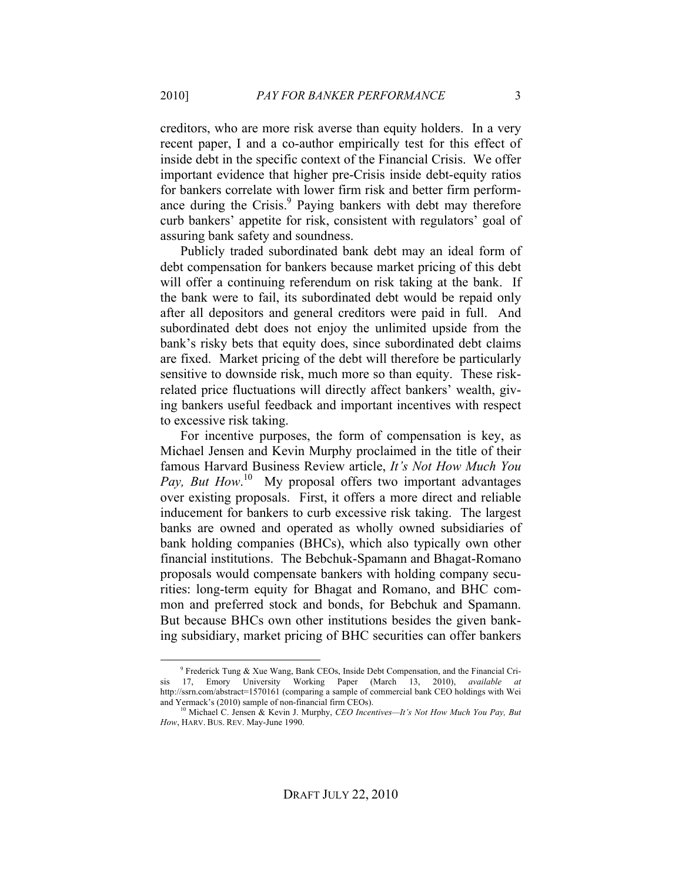creditors, who are more risk averse than equity holders. In a very recent paper, I and a co-author empirically test for this effect of inside debt in the specific context of the Financial Crisis. We offer important evidence that higher pre-Crisis inside debt-equity ratios for bankers correlate with lower firm risk and better firm performance during the Crisis.<sup>9</sup> Paying bankers with debt may therefore curb bankers' appetite for risk, consistent with regulators' goal of assuring bank safety and soundness.

Publicly traded subordinated bank debt may an ideal form of debt compensation for bankers because market pricing of this debt will offer a continuing referendum on risk taking at the bank. If the bank were to fail, its subordinated debt would be repaid only after all depositors and general creditors were paid in full. And subordinated debt does not enjoy the unlimited upside from the bank's risky bets that equity does, since subordinated debt claims are fixed. Market pricing of the debt will therefore be particularly sensitive to downside risk, much more so than equity. These riskrelated price fluctuations will directly affect bankers' wealth, giving bankers useful feedback and important incentives with respect to excessive risk taking.

For incentive purposes, the form of compensation is key, as Michael Jensen and Kevin Murphy proclaimed in the title of their famous Harvard Business Review article, *It's Not How Much You*  Pay, But How.<sup>10</sup> My proposal offers two important advantages over existing proposals. First, it offers a more direct and reliable inducement for bankers to curb excessive risk taking. The largest banks are owned and operated as wholly owned subsidiaries of bank holding companies (BHCs), which also typically own other financial institutions. The Bebchuk-Spamann and Bhagat-Romano proposals would compensate bankers with holding company securities: long-term equity for Bhagat and Romano, and BHC common and preferred stock and bonds, for Bebchuk and Spamann. But because BHCs own other institutions besides the given banking subsidiary, market pricing of BHC securities can offer bankers

 <sup>9</sup> Frederick Tung & Xue Wang, Bank CEOs, Inside Debt Compensation, and the Financial Cri-17, Emory University Working Paper (March 13, 2010), *available* http://ssrn.com/abstract=1570161 (comparing a sample of commercial bank CEO holdings with Wei and Yermack's (2010) sample of non-financial firm CEOs).

<sup>10</sup> Michael C. Jensen & Kevin J. Murphy, *CEO Incentives—It's Not How Much You Pay, But How*, HARV. BUS. REV. May-June 1990.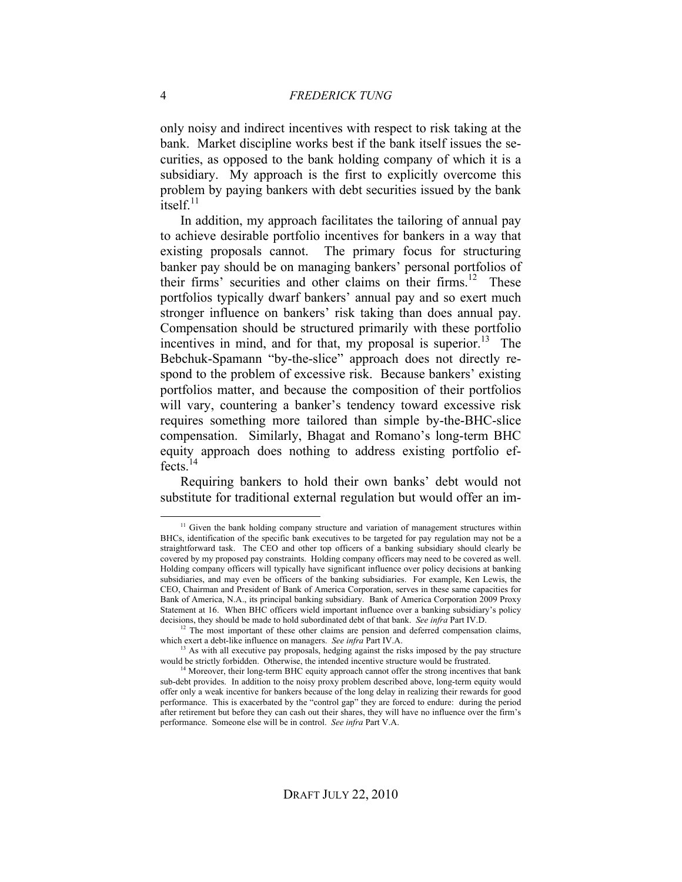only noisy and indirect incentives with respect to risk taking at the bank. Market discipline works best if the bank itself issues the securities, as opposed to the bank holding company of which it is a subsidiary. My approach is the first to explicitly overcome this problem by paying bankers with debt securities issued by the bank itsel $f<sup>11</sup>$ 

In addition, my approach facilitates the tailoring of annual pay to achieve desirable portfolio incentives for bankers in a way that existing proposals cannot. The primary focus for structuring banker pay should be on managing bankers' personal portfolios of their firms' securities and other claims on their firms.<sup>12</sup> These portfolios typically dwarf bankers' annual pay and so exert much stronger influence on bankers' risk taking than does annual pay. Compensation should be structured primarily with these portfolio incentives in mind, and for that, my proposal is superior.<sup>13</sup> The Bebchuk-Spamann "by-the-slice" approach does not directly respond to the problem of excessive risk. Because bankers' existing portfolios matter, and because the composition of their portfolios will vary, countering a banker's tendency toward excessive risk requires something more tailored than simple by-the-BHC-slice compensation. Similarly, Bhagat and Romano's long-term BHC equity approach does nothing to address existing portfolio effects.14

Requiring bankers to hold their own banks' debt would not substitute for traditional external regulation but would offer an im-

<sup>&</sup>lt;sup>11</sup> Given the bank holding company structure and variation of management structures within BHCs, identification of the specific bank executives to be targeted for pay regulation may not be a straightforward task. The CEO and other top officers of a banking subsidiary should clearly be covered by my proposed pay constraints. Holding company officers may need to be covered as well. Holding company officers will typically have significant influence over policy decisions at banking subsidiaries, and may even be officers of the banking subsidiaries. For example, Ken Lewis, the CEO, Chairman and President of Bank of America Corporation, serves in these same capacities for Bank of America, N.A., its principal banking subsidiary. Bank of America Corporation 2009 Proxy Statement at 16. When BHC officers wield important influence over a banking subsidiary's policy decisions, they should be made to hold subordinated debt of that bank. *See infra* Part IV.D.

 $12$  The most important of these other claims are pension and deferred compensation claims, which exert a debt-like influence on managers. *See infra* Part IV.A.

 $<sup>13</sup>$  As with all executive pay proposals, hedging against the risks imposed by the pay structure</sup> would be strictly forbidden. Otherwise, the intended incentive structure would be frustrated.

 $14$  Moreover, their long-term BHC equity approach cannot offer the strong incentives that bank sub-debt provides. In addition to the noisy proxy problem described above, long-term equity would offer only a weak incentive for bankers because of the long delay in realizing their rewards for good performance. This is exacerbated by the "control gap" they are forced to endure: during the period after retirement but before they can cash out their shares, they will have no influence over the firm's performance. Someone else will be in control. *See infra* Part V.A.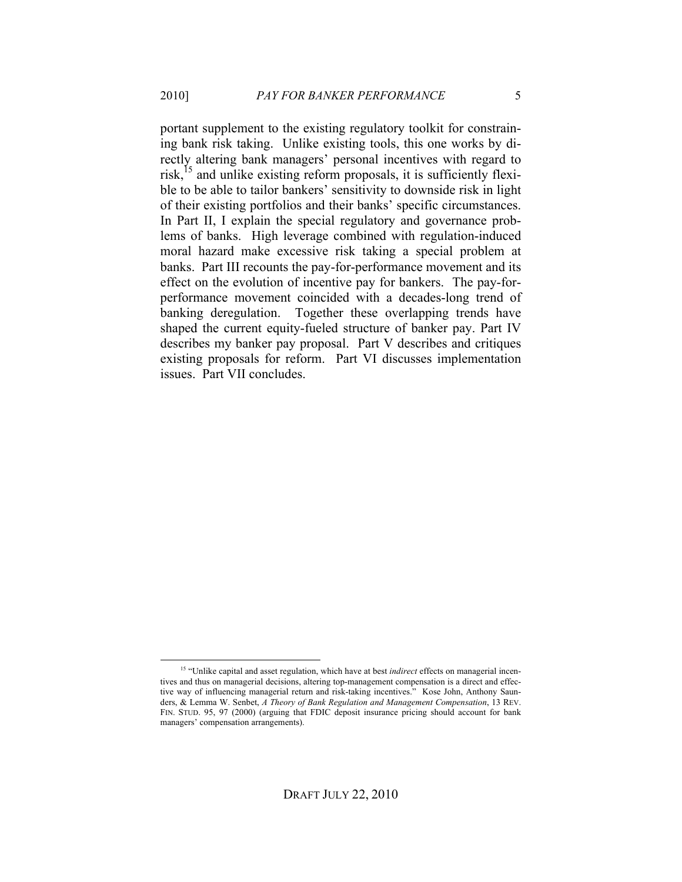portant supplement to the existing regulatory toolkit for constraining bank risk taking. Unlike existing tools, this one works by directly altering bank managers' personal incentives with regard to risk,<sup>15</sup> and unlike existing reform proposals, it is sufficiently flexible to be able to tailor bankers' sensitivity to downside risk in light of their existing portfolios and their banks' specific circumstances. In Part II, I explain the special regulatory and governance problems of banks. High leverage combined with regulation-induced moral hazard make excessive risk taking a special problem at banks. Part III recounts the pay-for-performance movement and its effect on the evolution of incentive pay for bankers. The pay-forperformance movement coincided with a decades-long trend of banking deregulation. Together these overlapping trends have shaped the current equity-fueled structure of banker pay. Part IV describes my banker pay proposal. Part V describes and critiques existing proposals for reform. Part VI discusses implementation issues. Part VII concludes.

 <sup>15 &</sup>quot;Unlike capital and asset regulation, which have at best *indirect* effects on managerial incentives and thus on managerial decisions, altering top-management compensation is a direct and effective way of influencing managerial return and risk-taking incentives." Kose John, Anthony Saunders, & Lemma W. Senbet, *A Theory of Bank Regulation and Management Compensation*, 13 REV. FIN. STUD. 95, 97 (2000) (arguing that FDIC deposit insurance pricing should account for bank managers' compensation arrangements).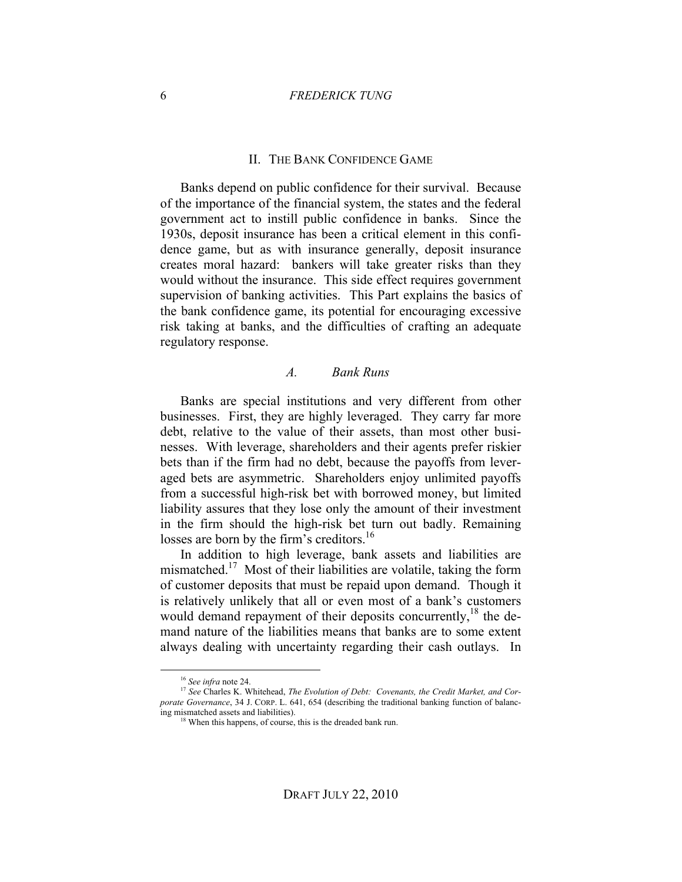#### 6 *FREDERICK TUNG*

#### II. THE BANK CONFIDENCE GAME

Banks depend on public confidence for their survival. Because of the importance of the financial system, the states and the federal government act to instill public confidence in banks. Since the 1930s, deposit insurance has been a critical element in this confidence game, but as with insurance generally, deposit insurance creates moral hazard: bankers will take greater risks than they would without the insurance. This side effect requires government supervision of banking activities. This Part explains the basics of the bank confidence game, its potential for encouraging excessive risk taking at banks, and the difficulties of crafting an adequate regulatory response.

#### *A. Bank Runs*

Banks are special institutions and very different from other businesses. First, they are highly leveraged. They carry far more debt, relative to the value of their assets, than most other businesses. With leverage, shareholders and their agents prefer riskier bets than if the firm had no debt, because the payoffs from leveraged bets are asymmetric. Shareholders enjoy unlimited payoffs from a successful high-risk bet with borrowed money, but limited liability assures that they lose only the amount of their investment in the firm should the high-risk bet turn out badly. Remaining losses are born by the firm's creditors.<sup>16</sup>

In addition to high leverage, bank assets and liabilities are mismatched.<sup>17</sup> Most of their liabilities are volatile, taking the form of customer deposits that must be repaid upon demand. Though it is relatively unlikely that all or even most of a bank's customers would demand repayment of their deposits concurrently,  $^{18}$  the demand nature of the liabilities means that banks are to some extent always dealing with uncertainty regarding their cash outlays. In

 <sup>16</sup> *See infra* note 24.

<sup>&</sup>lt;sup>17</sup> See Charles K. Whitehead, *The Evolution of Debt: Covenants, the Credit Market, and Corporate Governance*, 34 J. CORP. L. 641, 654 (describing the traditional banking function of balancing mismatched assets and liabilities).

<sup>&</sup>lt;sup>18</sup> When this happens, of course, this is the dreaded bank run.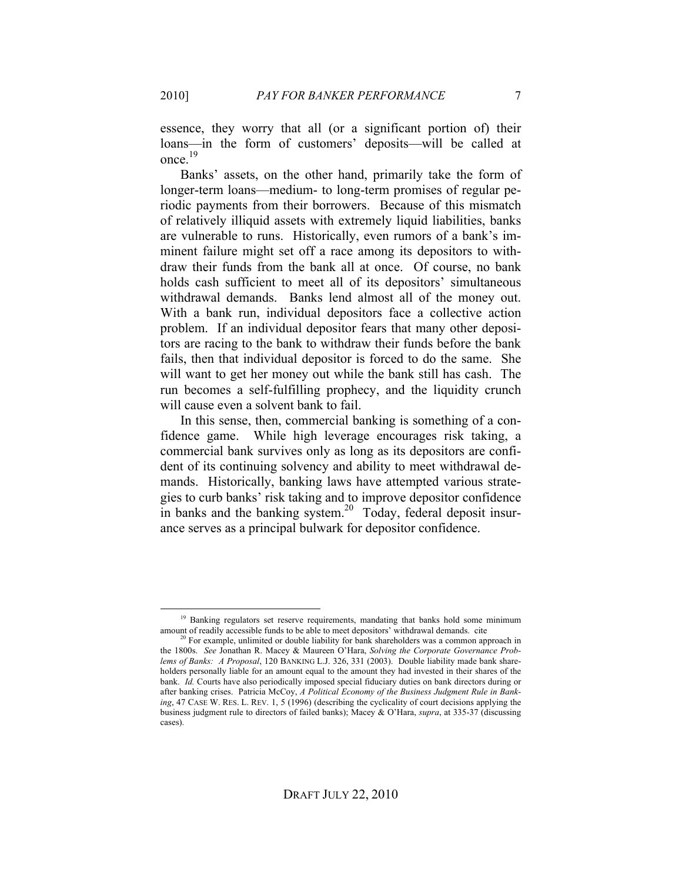essence, they worry that all (or a significant portion of) their

loans—in the form of customers' deposits—will be called at once.<sup>19</sup>

Banks' assets, on the other hand, primarily take the form of longer-term loans—medium- to long-term promises of regular periodic payments from their borrowers. Because of this mismatch of relatively illiquid assets with extremely liquid liabilities, banks are vulnerable to runs. Historically, even rumors of a bank's imminent failure might set off a race among its depositors to withdraw their funds from the bank all at once. Of course, no bank holds cash sufficient to meet all of its depositors' simultaneous withdrawal demands. Banks lend almost all of the money out. With a bank run, individual depositors face a collective action problem. If an individual depositor fears that many other depositors are racing to the bank to withdraw their funds before the bank fails, then that individual depositor is forced to do the same. She will want to get her money out while the bank still has cash. The run becomes a self-fulfilling prophecy, and the liquidity crunch will cause even a solvent bank to fail.

In this sense, then, commercial banking is something of a confidence game. While high leverage encourages risk taking, a commercial bank survives only as long as its depositors are confident of its continuing solvency and ability to meet withdrawal demands. Historically, banking laws have attempted various strategies to curb banks' risk taking and to improve depositor confidence in banks and the banking system.<sup>20</sup> Today, federal deposit insurance serves as a principal bulwark for depositor confidence.

<sup>&</sup>lt;sup>19</sup> Banking regulators set reserve requirements, mandating that banks hold some minimum amount of readily accessible funds to be able to meet depositors' withdrawal demands. cite

<sup>&</sup>lt;sup>20</sup> For example, unlimited or double liability for bank shareholders was a common approach in the 1800s. *See* Jonathan R. Macey & Maureen O'Hara, *Solving the Corporate Governance Problems of Banks: A Proposal*, 120 BANKING L.J. 326, 331 (2003). Double liability made bank shareholders personally liable for an amount equal to the amount they had invested in their shares of the bank. *Id.* Courts have also periodically imposed special fiduciary duties on bank directors during or after banking crises. Patricia McCoy, *A Political Economy of the Business Judgment Rule in Banking*, 47 CASE W. RES. L. REV. 1, 5 (1996) (describing the cyclicality of court decisions applying the business judgment rule to directors of failed banks); Macey & O'Hara, *supra*, at 335-37 (discussing cases).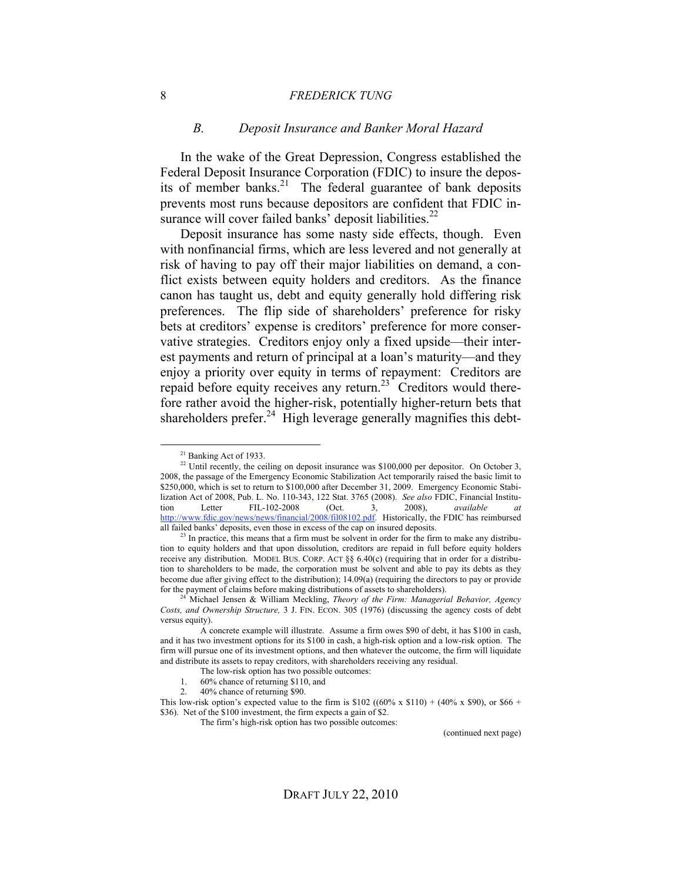#### 8 *FREDERICK TUNG*

#### *B. Deposit Insurance and Banker Moral Hazard*

In the wake of the Great Depression, Congress established the Federal Deposit Insurance Corporation (FDIC) to insure the deposits of member banks.<sup>21</sup> The federal guarantee of bank deposits prevents most runs because depositors are confident that FDIC insurance will cover failed banks' deposit liabilities.<sup>22</sup>

Deposit insurance has some nasty side effects, though. Even with nonfinancial firms, which are less levered and not generally at risk of having to pay off their major liabilities on demand, a conflict exists between equity holders and creditors. As the finance canon has taught us, debt and equity generally hold differing risk preferences. The flip side of shareholders' preference for risky bets at creditors' expense is creditors' preference for more conservative strategies. Creditors enjoy only a fixed upside—their interest payments and return of principal at a loan's maturity—and they enjoy a priority over equity in terms of repayment: Creditors are repaid before equity receives any return.<sup>23</sup> Creditors would therefore rather avoid the higher-risk, potentially higher-return bets that shareholders prefer.<sup>24</sup> High leverage generally magnifies this debt-

(continued next page)

<sup>&</sup>lt;sup>21</sup> Banking Act of 1933.

<sup>&</sup>lt;sup>22</sup> Until recently, the ceiling on deposit insurance was \$100,000 per depositor. On October 3, 2008, the passage of the Emergency Economic Stabilization Act temporarily raised the basic limit to \$250,000, which is set to return to \$100,000 after December 31, 2009. Emergency Economic Stabilization Act of 2008, Pub. L. No. 110-343, 122 Stat. 3765 (2008). *See also* FDIC, Financial Institution Letter FIL-102-2008 (Oct. 3, 2008), *available at* http://www.fdic.gov/news/news/financial/2008/fil08102.pdf. Historically, the FDIC has reimbursed all failed banks' deposits, even those in excess of the cap on insured deposits.

 $2<sup>23</sup>$  In practice, this means that a firm must be solvent in order for the firm to make any distribution to equity holders and that upon dissolution, creditors are repaid in full before equity holders receive any distribution. MODEL BUS. CORP. ACT §§ 6.40(c) (requiring that in order for a distribution to shareholders to be made, the corporation must be solvent and able to pay its debts as they become due after giving effect to the distribution); 14.09(a) (requiring the directors to pay or provide for the payment of claims before making distributions of assets to shareholders).

<sup>24</sup> Michael Jensen & William Meckling, *Theory of the Firm: Managerial Behavior, Agency Costs, and Ownership Structure,* 3 J. FIN. ECON. 305 (1976) (discussing the agency costs of debt versus equity).

A concrete example will illustrate. Assume a firm owes \$90 of debt, it has \$100 in cash, and it has two investment options for its \$100 in cash, a high-risk option and a low-risk option. The firm will pursue one of its investment options, and then whatever the outcome, the firm will liquidate and distribute its assets to repay creditors, with shareholders receiving any residual.

The low-risk option has two possible outcomes:

<sup>1. 60%</sup> chance of returning \$110, and<br>2. 40% chance of returning \$90.

<sup>2.</sup> 40% chance of returning \$90.

This low-risk option's expected value to the firm is \$102 ((60% x \$110) + (40% x \$90), or \$66 + \$36). Net of the \$100 investment, the firm expects a gain of \$2.

The firm's high-risk option has two possible outcomes: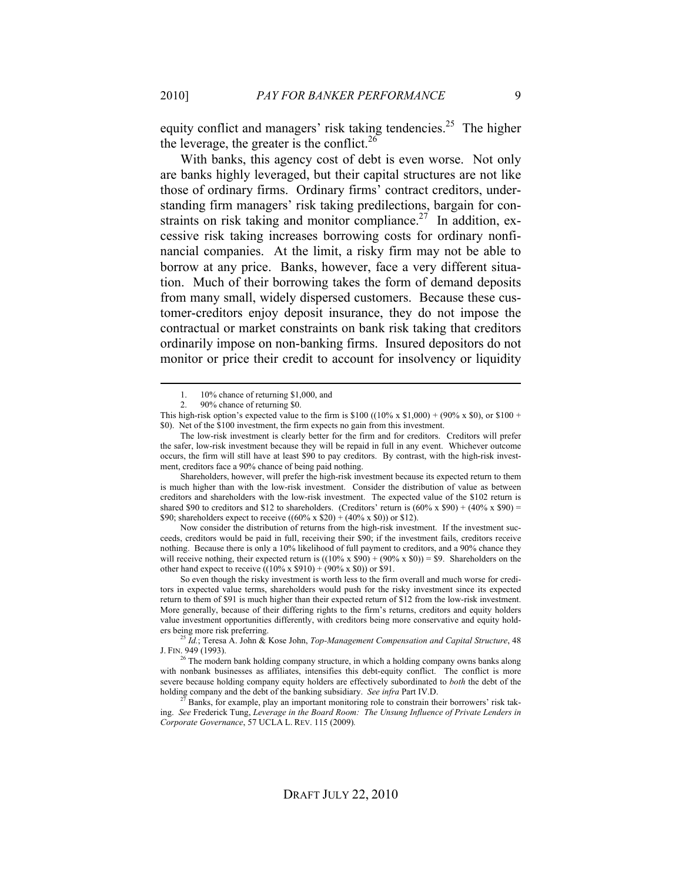equity conflict and managers' risk taking tendencies.<sup>25</sup> The higher the leverage, the greater is the conflict.<sup>26</sup>

With banks, this agency cost of debt is even worse. Not only are banks highly leveraged, but their capital structures are not like those of ordinary firms. Ordinary firms' contract creditors, understanding firm managers' risk taking predilections, bargain for constraints on risk taking and monitor compliance.<sup>27</sup> In addition, excessive risk taking increases borrowing costs for ordinary nonfinancial companies. At the limit, a risky firm may not be able to borrow at any price. Banks, however, face a very different situation. Much of their borrowing takes the form of demand deposits from many small, widely dispersed customers. Because these customer-creditors enjoy deposit insurance, they do not impose the contractual or market constraints on bank risk taking that creditors ordinarily impose on non-banking firms. Insured depositors do not monitor or price their credit to account for insolvency or liquidity

Shareholders, however, will prefer the high-risk investment because its expected return to them is much higher than with the low-risk investment. Consider the distribution of value as between creditors and shareholders with the low-risk investment. The expected value of the \$102 return is shared \$90 to creditors and \$12 to shareholders. (Creditors' return is  $(60\% \times $90) + (40\% \times $90) =$ \$90; shareholders expect to receive  $((60\% \times $20) + (40\% \times $0))$  or \$12).

Now consider the distribution of returns from the high-risk investment. If the investment succeeds, creditors would be paid in full, receiving their \$90; if the investment fails, creditors receive nothing. Because there is only a 10% likelihood of full payment to creditors, and a 90% chance they will receive nothing, their expected return is  $((10\% \times $90) + (90\% \times $0)) = $9$ . Shareholders on the other hand expect to receive  $((10\% \times \$910) + (90\% \times \$0))$  or \$91.

So even though the risky investment is worth less to the firm overall and much worse for creditors in expected value terms, shareholders would push for the risky investment since its expected return to them of \$91 is much higher than their expected return of \$12 from the low-risk investment. More generally, because of their differing rights to the firm's returns, creditors and equity holders value investment opportunities differently, with creditors being more conservative and equity hold-<br>ers being more risk preferring.

<sup>25</sup> Id.; Teresa A. John & Kose John, *Top-Management Compensation and Capital Structure*, 48 J. FIN. 949 (1993).

<sup>26</sup> The modern bank holding company structure, in which a holding company owns banks along with nonbank businesses as affiliates, intensifies this debt-equity conflict. The conflict is more severe because holding company equity holders are effectively subordinated to *both* the debt of the holding company and the debt of the banking subsidiary. *See infra* Part IV.D.

 $^{27}$  Banks, for example, play an important monitoring role to constrain their borrowers' risk taking. *See* Frederick Tung, *Leverage in the Board Room: The Unsung Influence of Private Lenders in Corporate Governance*, 57 UCLA L. REV. 115 (2009)*.*

 <sup>1.</sup> 10% chance of returning \$1,000, and

<sup>2.</sup> 90% chance of returning \$0.

This high-risk option's expected value to the firm is \$100 ((10% x \$1,000) + (90% x \$0), or \$100 + \$0). Net of the \$100 investment, the firm expects no gain from this investment.

The low-risk investment is clearly better for the firm and for creditors. Creditors will prefer the safer, low-risk investment because they will be repaid in full in any event. Whichever outcome occurs, the firm will still have at least \$90 to pay creditors. By contrast, with the high-risk investment, creditors face a 90% chance of being paid nothing.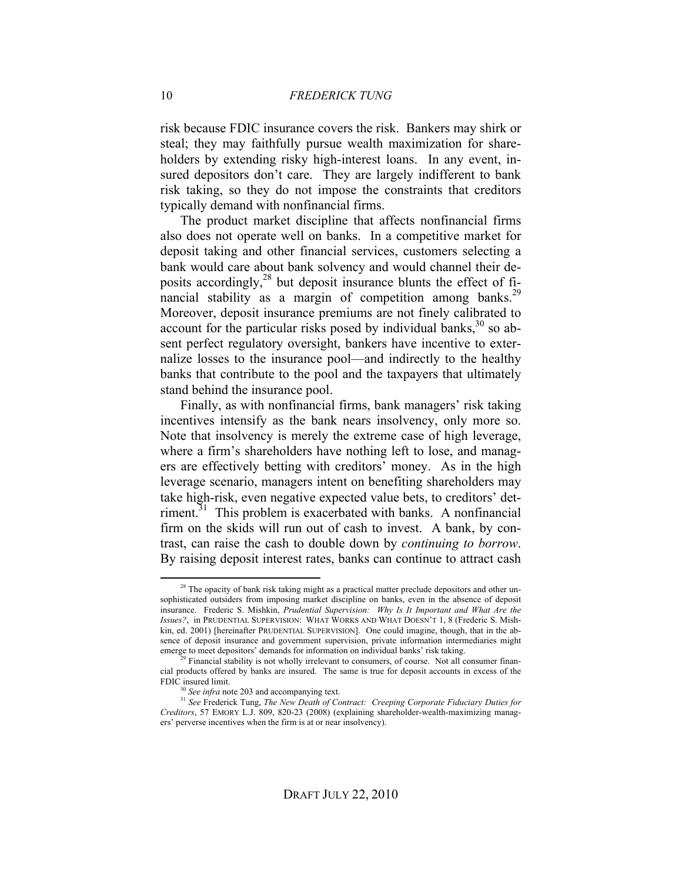risk because FDIC insurance covers the risk. Bankers may shirk or steal; they may faithfully pursue wealth maximization for shareholders by extending risky high-interest loans. In any event, insured depositors don't care. They are largely indifferent to bank risk taking, so they do not impose the constraints that creditors typically demand with nonfinancial firms.

The product market discipline that affects nonfinancial firms also does not operate well on banks. In a competitive market for deposit taking and other financial services, customers selecting a bank would care about bank solvency and would channel their deposits accordingly,<sup>28</sup> but deposit insurance blunts the effect of financial stability as a margin of competition among banks.<sup>29</sup> Moreover, deposit insurance premiums are not finely calibrated to account for the particular risks posed by individual banks,  $30$  so absent perfect regulatory oversight, bankers have incentive to externalize losses to the insurance pool—and indirectly to the healthy banks that contribute to the pool and the taxpayers that ultimately stand behind the insurance pool.

Finally, as with nonfinancial firms, bank managers' risk taking incentives intensify as the bank nears insolvency, only more so. Note that insolvency is merely the extreme case of high leverage, where a firm's shareholders have nothing left to lose, and managers are effectively betting with creditors' money. As in the high leverage scenario, managers intent on benefiting shareholders may take high-risk, even negative expected value bets, to creditors' detriment.<sup>31</sup> This problem is exacerbated with banks. A nonfinancial firm on the skids will run out of cash to invest. A bank, by contrast, can raise the cash to double down by *continuing to borrow*. By raising deposit interest rates, banks can continue to attract cash

 $28$  The opacity of bank risk taking might as a practical matter preclude depositors and other unsophisticated outsiders from imposing market discipline on banks, even in the absence of deposit insurance. Frederic S. Mishkin, *Prudential Supervision: Why Is It Important and What Are the Issues?*, in PRUDENTIAL SUPERVISION: WHAT WORKS AND WHAT DOESN'T 1, 8 (Frederic S. Mishkin, ed. 2001) [hereinafter PRUDENTIAL SUPERVISION]. One could imagine, though, that in the absence of deposit insurance and government supervision, private information intermediaries might emerge to meet depositors' demands for information on individual banks' risk taking.

Financial stability is not wholly irrelevant to consumers, of course. Not all consumer financial products offered by banks are insured. The same is true for deposit accounts in excess of the FDIC insured limit.

<sup>&</sup>lt;sup>30</sup> See infra note 203 and accompanying text.

<sup>31</sup> *See* Frederick Tung, *The New Death of Contract: Creeping Corporate Fiduciary Duties for Creditors*, 57 EMORY L.J. 809, 820-23 (2008) (explaining shareholder-wealth-maximizing managers' perverse incentives when the firm is at or near insolvency).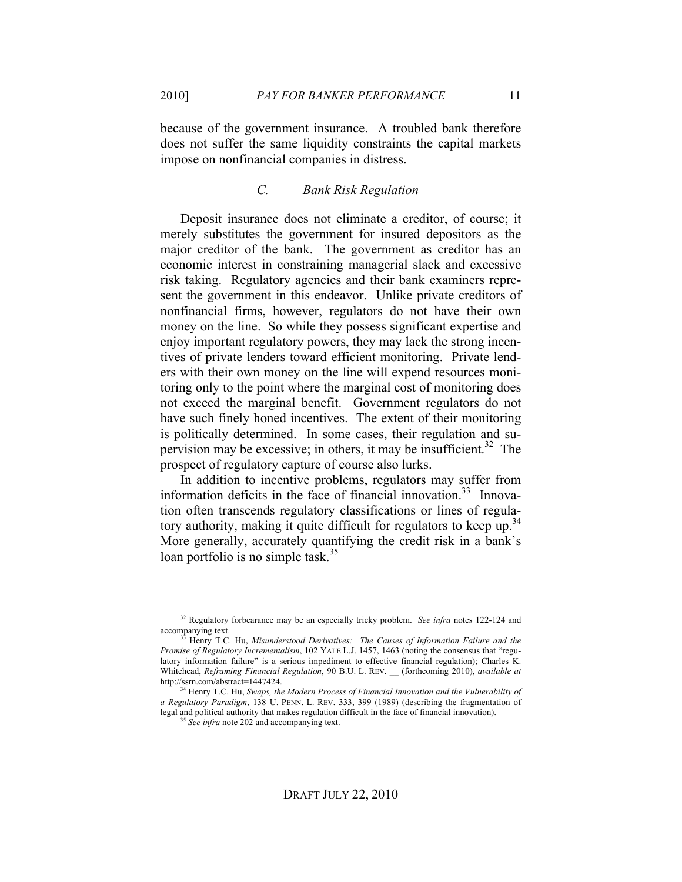because of the government insurance. A troubled bank therefore does not suffer the same liquidity constraints the capital markets impose on nonfinancial companies in distress.

### *C. Bank Risk Regulation*

Deposit insurance does not eliminate a creditor, of course; it merely substitutes the government for insured depositors as the major creditor of the bank. The government as creditor has an economic interest in constraining managerial slack and excessive risk taking. Regulatory agencies and their bank examiners represent the government in this endeavor. Unlike private creditors of nonfinancial firms, however, regulators do not have their own money on the line. So while they possess significant expertise and enjoy important regulatory powers, they may lack the strong incentives of private lenders toward efficient monitoring. Private lenders with their own money on the line will expend resources monitoring only to the point where the marginal cost of monitoring does not exceed the marginal benefit. Government regulators do not have such finely honed incentives. The extent of their monitoring is politically determined. In some cases, their regulation and supervision may be excessive; in others, it may be insufficient.<sup>32</sup> The prospect of regulatory capture of course also lurks.

In addition to incentive problems, regulators may suffer from information deficits in the face of financial innovation.<sup>33</sup> Innovation often transcends regulatory classifications or lines of regulatory authority, making it quite difficult for regulators to keep up.<sup>34</sup> More generally, accurately quantifying the credit risk in a bank's loan portfolio is no simple task. $35$ 

<sup>35</sup> See infra note 202 and accompanying text.

 <sup>32</sup> Regulatory forbearance may be an especially tricky problem. *See infra* notes 122-124 and accompanying text.

<sup>33</sup> Henry T.C. Hu, *Misunderstood Derivatives: The Causes of Information Failure and the Promise of Regulatory Incrementalism*, 102 YALE L.J. 1457, 1463 (noting the consensus that "regulatory information failure" is a serious impediment to effective financial regulation); Charles K. Whitehead, *Reframing Financial Regulation*, 90 B.U. L. REV. \_\_ (forthcoming 2010), *available at* http://ssrn.com/abstract=1447424.

<sup>&</sup>lt;sup>34</sup> Henry T.C. Hu, *Swaps, the Modern Process of Financial Innovation and the Vulnerability of a Regulatory Paradigm*, 138 U. PENN. L. REV. 333, 399 (1989) (describing the fragmentation of legal and political authority that makes regulation difficult in the face of financial innovation).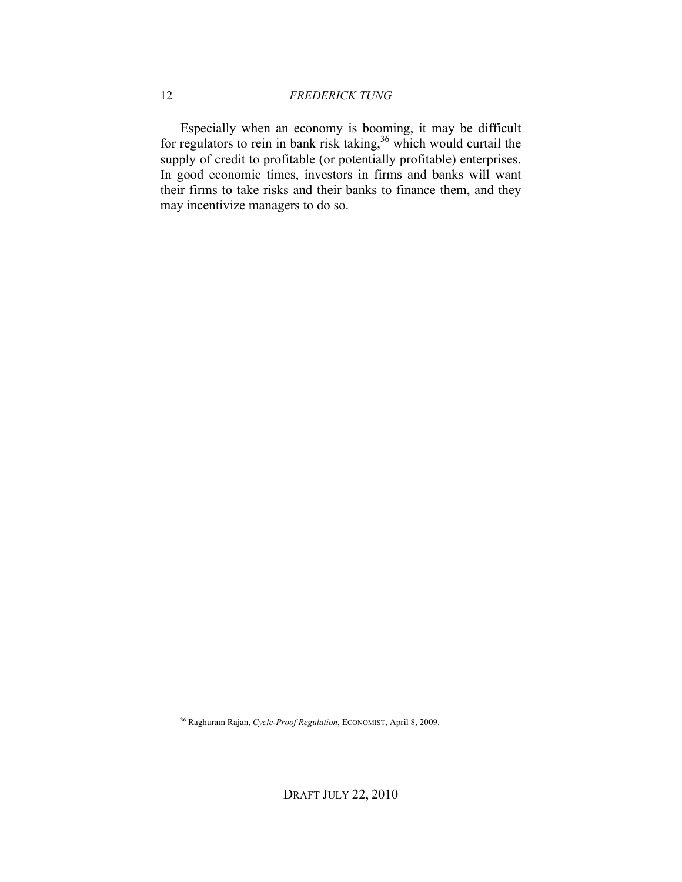Especially when an economy is booming, it may be difficult for regulators to rein in bank risk taking,<sup>36</sup> which would curtail the supply of credit to profitable (or potentially profitable) enterprises. In good economic times, investors in firms and banks will want their firms to take risks and their banks to finance them, and they may incentivize managers to do so.

 <sup>36</sup> Raghuram Rajan, *Cycle-Proof Regulation*, ECONOMIST, April 8, 2009.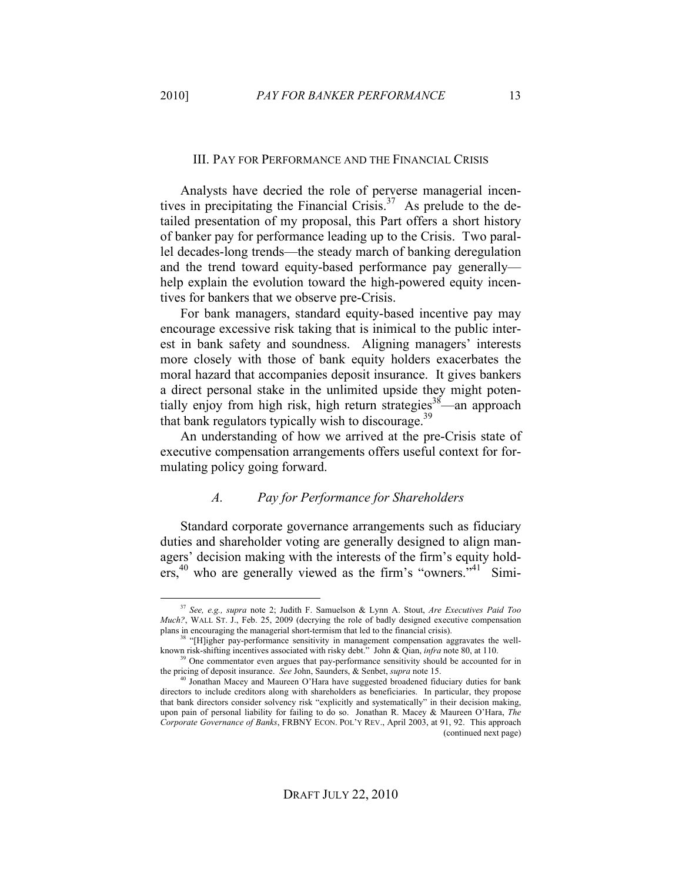#### III. PAY FOR PERFORMANCE AND THE FINANCIAL CRISIS

Analysts have decried the role of perverse managerial incentives in precipitating the Financial Crisis. $37$  As prelude to the detailed presentation of my proposal, this Part offers a short history of banker pay for performance leading up to the Crisis. Two parallel decades-long trends—the steady march of banking deregulation and the trend toward equity-based performance pay generally help explain the evolution toward the high-powered equity incentives for bankers that we observe pre-Crisis.

For bank managers, standard equity-based incentive pay may encourage excessive risk taking that is inimical to the public interest in bank safety and soundness. Aligning managers' interests more closely with those of bank equity holders exacerbates the moral hazard that accompanies deposit insurance. It gives bankers a direct personal stake in the unlimited upside they might potentially enjoy from high risk, high return strategies<sup>38</sup>—an approach that bank regulators typically wish to discourage.<sup>39</sup>

An understanding of how we arrived at the pre-Crisis state of executive compensation arrangements offers useful context for formulating policy going forward.

#### *A. Pay for Performance for Shareholders*

Standard corporate governance arrangements such as fiduciary duties and shareholder voting are generally designed to align managers' decision making with the interests of the firm's equity hold- $\text{e}^{\text{e}^{40}}$  who are generally viewed as the firm's "owners."<sup>41</sup> Simi-

 <sup>37</sup> *See, e.g., supra* note 2; Judith F. Samuelson & Lynn A. Stout, *Are Executives Paid Too Much?*, WALL ST. J., Feb. 25, 2009 (decrying the role of badly designed executive compensation plans in encouraging the managerial short-termism that led to the financial crisis).

<sup>&</sup>lt;sup>38</sup> "[H]igher pay-performance sensitivity in management compensation aggravates the wellknown risk-shifting incentives associated with risky debt." John & Qian, *infra* note 80, at 110.

<sup>&</sup>lt;sup>39</sup> One commentator even argues that pay-performance sensitivity should be accounted for in the pricing of deposit insurance. *See* John, Saunders, & Senbet, *supra* note 15.

<sup>40</sup> Jonathan Macey and Maureen O'Hara have suggested broadened fiduciary duties for bank directors to include creditors along with shareholders as beneficiaries. In particular, they propose that bank directors consider solvency risk "explicitly and systematically" in their decision making, upon pain of personal liability for failing to do so. Jonathan R. Macey & Maureen O'Hara, *The Corporate Governance of Banks*, FRBNY ECON. POL'Y REV., April 2003, at 91, 92. This approach (continued next page)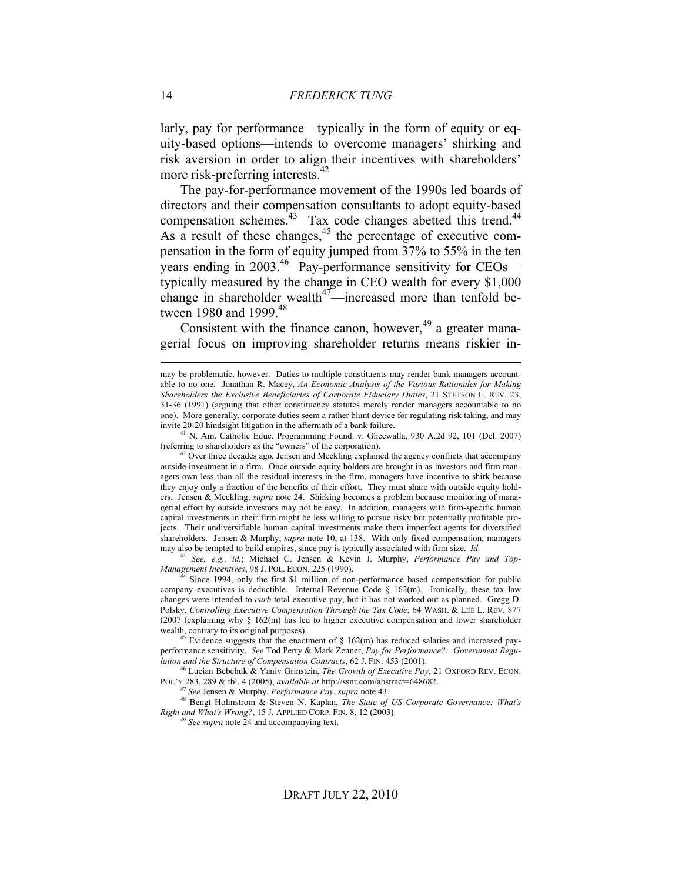larly, pay for performance—typically in the form of equity or equity-based options—intends to overcome managers' shirking and risk aversion in order to align their incentives with shareholders' more risk-preferring interests.<sup>42</sup>

The pay-for-performance movement of the 1990s led boards of directors and their compensation consultants to adopt equity-based compensation schemes. $43$  Tax code changes abetted this trend. $44$ As a result of these changes,  $45$  the percentage of executive compensation in the form of equity jumped from 37% to 55% in the ten years ending in 2003.<sup>46</sup> Pay-performance sensitivity for CEOs typically measured by the change in CEO wealth for every \$1,000 change in shareholder wealth $47$ —increased more than tenfold between 1980 and 1999.<sup>48</sup>

Consistent with the finance canon, however,  $49$  a greater managerial focus on improving shareholder returns means riskier in-

<sup>41</sup> N. Am. Catholic Educ. Programming Found. v. Gheewalla, 930 A.2d 92, 101 (Del. 2007) (referring to shareholders as the "owners" of the corporation).

 $42^4$  Over three decades ago, Jensen and Meckling explained the agency conflicts that accompany outside investment in a firm. Once outside equity holders are brought in as investors and firm managers own less than all the residual interests in the firm, managers have incentive to shirk because they enjoy only a fraction of the benefits of their effort. They must share with outside equity holders. Jensen & Meckling, *supra* note 24. Shirking becomes a problem because monitoring of managerial effort by outside investors may not be easy. In addition, managers with firm-specific human capital investments in their firm might be less willing to pursue risky but potentially profitable projects. Their undiversifiable human capital investments make them imperfect agents for diversified shareholders. Jensen & Murphy, *supra* note 10, at 138. With only fixed compensation, managers may also be tempted to build empires, since pay is typically associated with firm size. *Id.*

<sup>43</sup> *See, e.g., id.*; Michael C. Jensen & Kevin J. Murphy, *Performance Pay and Top-Management Incentives*, 98 J. POL. ECON. 225 (1990).

Since 1994, only the first \$1 million of non-performance based compensation for public company executives is deductible. Internal Revenue Code  $\S$  162(m). Ironically, these tax law changes were intended to *curb* total executive pay, but it has not worked out as planned. Gregg D. Polsky, *Controlling Executive Compensation Through the Tax Code*, 64 WASH. & LEE L. REV. 877 (2007 (explaining why § 162(m) has led to higher executive compensation and lower shareholder wealth, contrary to its original purposes).<br><sup>45</sup> Evidence suggests that the enactment of § 162(m) has reduced salaries and increased pay-

performance sensitivity. *See* Tod Perry & Mark Zenner, *Pay for Performance?: Government Regulation and the Structure of Compensation Contracts*, 62 J. FIN. 453 (2001).

46 Lucian Bebchuk & Yaniv Grinstein, *The Growth of Executive Pay*, 21 OXFORD REV. ECON. POL'Y 283, 289 & tbl. 4 (2005), *available at* http://ssnr.com/abstract=648682.

<sup>48</sup> Bengt Holmstrom & Steven N. Kaplan, *The State of US Corporate Governance: What's Right and What's Wrong?*, 15 J. APPLIED CORP. FIN. 8, 12 (2003).

<sup>19</sup> See supra note 24 and accompanying text.

may be problematic, however. Duties to multiple constituents may render bank managers accountable to no one. Jonathan R. Macey, *An Economic Analysis of the Various Rationales for Making Shareholders the Exclusive Beneficiaries of Corporate Fiduciary Duties*, 21 STETSON L. REV. 23, 31-36 (1991) (arguing that other constituency statutes merely render managers accountable to no one). More generally, corporate duties seem a rather blunt device for regulating risk taking, and may invite 20-20 hindsight litigation in the aftermath of a bank failure.

<sup>47</sup> *See* Jensen & Murphy, *Performance Pay*, *supra* note 43.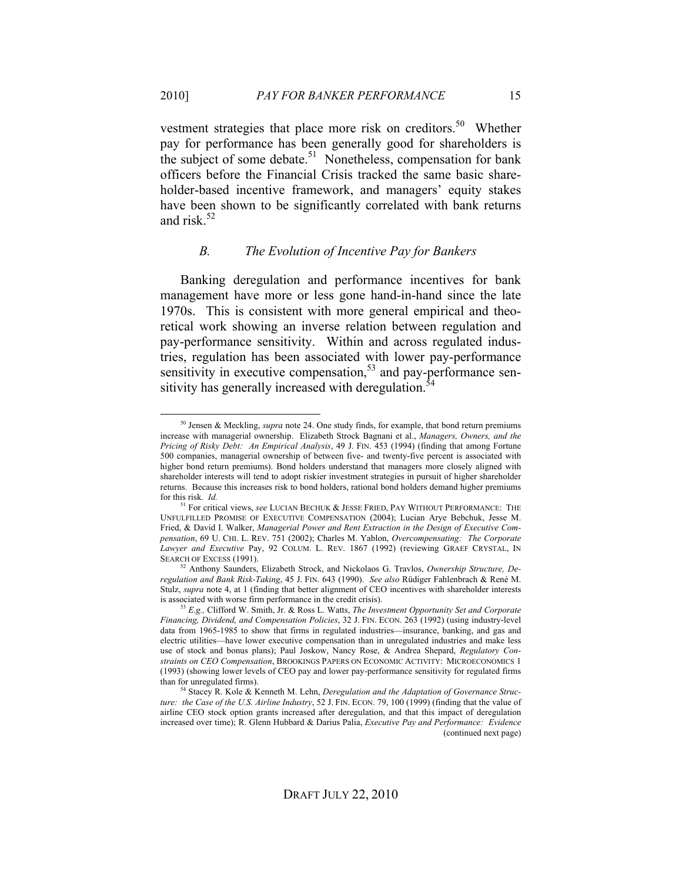vestment strategies that place more risk on creditors.<sup>50</sup> Whether pay for performance has been generally good for shareholders is the subject of some debate.<sup>51</sup> Nonetheless, compensation for bank officers before the Financial Crisis tracked the same basic shareholder-based incentive framework, and managers' equity stakes have been shown to be significantly correlated with bank returns and risk. $52$ 

#### *B. The Evolution of Incentive Pay for Bankers*

Banking deregulation and performance incentives for bank management have more or less gone hand-in-hand since the late 1970s. This is consistent with more general empirical and theoretical work showing an inverse relation between regulation and pay-performance sensitivity. Within and across regulated industries, regulation has been associated with lower pay-performance sensitivity in executive compensation, $5<sup>3</sup>$  and pay-performance sensitivity has generally increased with deregulation.<sup>54</sup>

 <sup>50</sup> Jensen & Meckling, *supra* note 24. One study finds, for example, that bond return premiums increase with managerial ownership. Elizabeth Strock Bagnani et al., *Managers, Owners, and the Pricing of Risky Debt: An Empirical Analysis*, 49 J. FIN. 453 (1994) (finding that among Fortune 500 companies, managerial ownership of between five- and twenty-five percent is associated with higher bond return premiums). Bond holders understand that managers more closely aligned with shareholder interests will tend to adopt riskier investment strategies in pursuit of higher shareholder returns. Because this increases risk to bond holders, rational bond holders demand higher premiums for this risk. *Id.*

<sup>&</sup>lt;sup>1</sup> For critical views, *see* LUCIAN BECHUK & JESSE FRIED, PAY WITHOUT PERFORMANCE: THE UNFULFILLED PROMISE OF EXECUTIVE COMPENSATION (2004); Lucian Arye Bebchuk, Jesse M. Fried, & David I. Walker, *Managerial Power and Rent Extraction in the Design of Executive Compensation*, 69 U. CHI. L. REV. 751 (2002); Charles M. Yablon, *Overcompensating: The Corporate Lawyer and Executive* Pay, 92 COLUM. L. REV. 1867 (1992) (reviewing GRAEF CRYSTAL, IN SEARCH OF EXCESS (1991).

<sup>52</sup> Anthony Saunders, Elizabeth Strock, and Nickolaos G. Travlos, *Ownership Structure, Deregulation and Bank Risk-Taking*, 45 J. FIN. 643 (1990). *See also* Rüdiger Fahlenbrach & René M. Stulz, *supra* note 4, at 1 (finding that better alignment of CEO incentives with shareholder interests is associated with worse firm performance in the credit crisis). 53 *E.g.,* Clifford W. Smith, Jr. & Ross L. Watts, *The Investment Opportunity Set and Corporate* 

*Financing, Dividend, and Compensation Policies*, 32 J. FIN. ECON. 263 (1992) (using industry-level data from 1965-1985 to show that firms in regulated industries—insurance, banking, and gas and electric utilities—have lower executive compensation than in unregulated industries and make less use of stock and bonus plans); Paul Joskow, Nancy Rose, & Andrea Shepard, *Regulatory Constraints on CEO Compensation*, BROOKINGS PAPERS ON ECONOMIC ACTIVITY: MICROECONOMICS 1 (1993) (showing lower levels of CEO pay and lower pay-performance sensitivity for regulated firms than for unregulated firms). 54 Stacey R. Kole & Kenneth M. Lehn, *Deregulation and the Adaptation of Governance Struc-*

*ture: the Case of the U.S. Airline Industry*, 52 J. FIN. ECON. 79, 100 (1999) (finding that the value of airline CEO stock option grants increased after deregulation, and that this impact of deregulation increased over time); R. Glenn Hubbard & Darius Palia, *Executive Pay and Performance: Evidence*  (continued next page)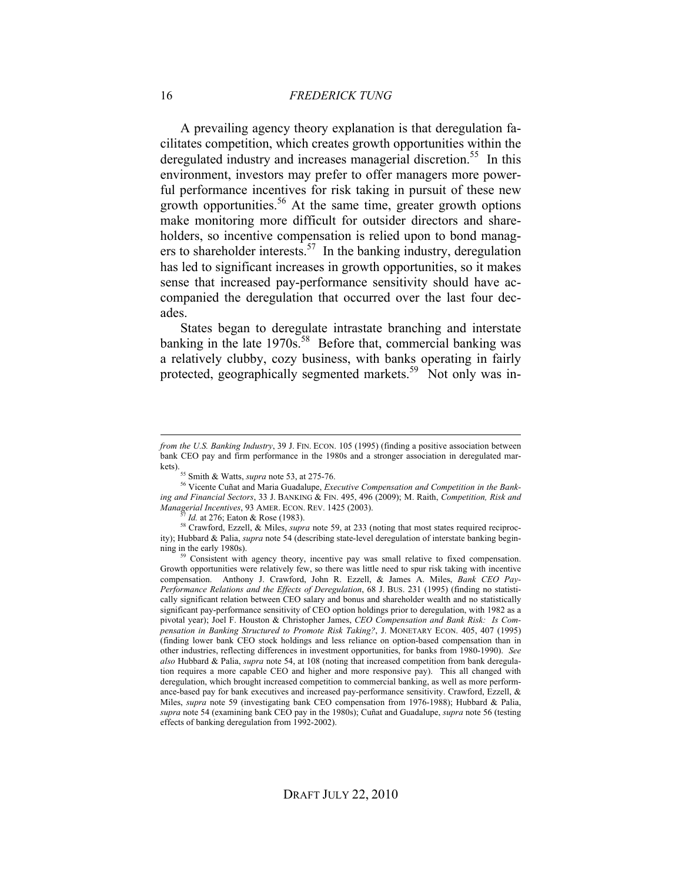A prevailing agency theory explanation is that deregulation facilitates competition, which creates growth opportunities within the deregulated industry and increases managerial discretion.<sup>55</sup> In this environment, investors may prefer to offer managers more powerful performance incentives for risk taking in pursuit of these new growth opportunities.<sup>56</sup> At the same time, greater growth options make monitoring more difficult for outsider directors and shareholders, so incentive compensation is relied upon to bond managers to shareholder interests.<sup>57</sup> In the banking industry, deregulation has led to significant increases in growth opportunities, so it makes sense that increased pay-performance sensitivity should have accompanied the deregulation that occurred over the last four decades.

States began to deregulate intrastate branching and interstate banking in the late 1970s.<sup>58</sup> Before that, commercial banking was a relatively clubby, cozy business, with banks operating in fairly protected, geographically segmented markets.<sup>59</sup> Not only was in-

 $\overline{a}$ 

*from the U.S. Banking Industry*, 39 J. FIN. ECON. 105 (1995) (finding a positive association between bank CEO pay and firm performance in the 1980s and a stronger association in deregulated mar-

kets).55 Smith & Watts, *supra* note 53, at 275-76.

<sup>56</sup> Vicente Cuñat and Maria Guadalupe, *Executive Compensation and Competition in the Banking and Financial Sectors*, 33 J. BANKING & FIN. 495, 496 (2009); M. Raith, *Competition, Risk and Managerial Incentives*, 93 AMER. ECON. REV. 1425 (2003).

*Id.* at 276; Eaton & Rose (1983).

<sup>58</sup> Crawford, Ezzell, & Miles, *supra* note 59, at 233 (noting that most states required reciprocity); Hubbard & Palia, *supra* note 54 (describing state-level deregulation of interstate banking beginning in the early 1980s). <sup>59</sup> Consistent with agency theory, incentive pay was small relative to fixed compensation.

Growth opportunities were relatively few, so there was little need to spur risk taking with incentive compensation. Anthony J. Crawford, John R. Ezzell, & James A. Miles, *Bank CEO Pay-Performance Relations and the Effects of Deregulation*, 68 J. BUS. 231 (1995) (finding no statistically significant relation between CEO salary and bonus and shareholder wealth and no statistically significant pay-performance sensitivity of CEO option holdings prior to deregulation, with 1982 as a pivotal year); Joel F. Houston & Christopher James, *CEO Compensation and Bank Risk: Is Compensation in Banking Structured to Promote Risk Taking?*, J. MONETARY ECON. 405, 407 (1995) (finding lower bank CEO stock holdings and less reliance on option-based compensation than in other industries, reflecting differences in investment opportunities, for banks from 1980-1990). *See also* Hubbard & Palia, *supra* note 54, at 108 (noting that increased competition from bank deregulation requires a more capable CEO and higher and more responsive pay). This all changed with deregulation, which brought increased competition to commercial banking, as well as more performance-based pay for bank executives and increased pay-performance sensitivity. Crawford, Ezzell, & Miles, *supra* note 59 (investigating bank CEO compensation from 1976-1988); Hubbard & Palia, *supra* note 54 (examining bank CEO pay in the 1980s); Cuñat and Guadalupe, *supra* note 56 (testing effects of banking deregulation from 1992-2002).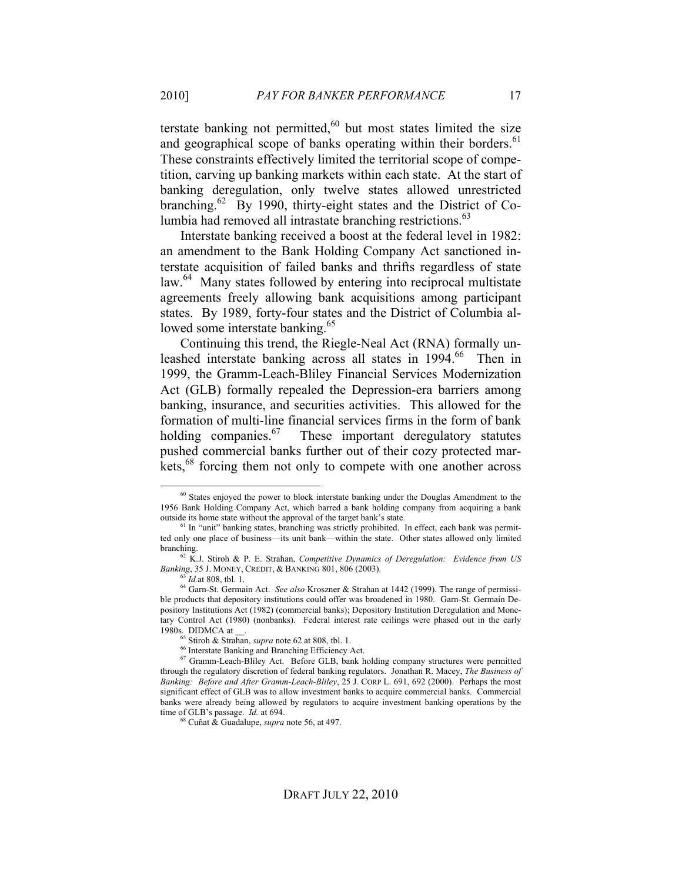terstate banking not permitted,<sup>60</sup> but most states limited the size and geographical scope of banks operating within their borders.<sup>61</sup> These constraints effectively limited the territorial scope of competition, carving up banking markets within each state. At the start of banking deregulation, only twelve states allowed unrestricted branching.<sup>62</sup> By 1990, thirty-eight states and the District of Columbia had removed all intrastate branching restrictions.<sup>63</sup>

Interstate banking received a boost at the federal level in 1982: an amendment to the Bank Holding Company Act sanctioned interstate acquisition of failed banks and thrifts regardless of state law.<sup>64</sup> Many states followed by entering into reciprocal multistate agreements freely allowing bank acquisitions among participant states. By 1989, forty-four states and the District of Columbia allowed some interstate banking.<sup>65</sup>

Continuing this trend, the Riegle-Neal Act (RNA) formally unleashed interstate banking across all states in 1994.<sup>66</sup> Then in 1999, the Gramm-Leach-Bliley Financial Services Modernization Act (GLB) formally repealed the Depression-era barriers among banking, insurance, and securities activities. This allowed for the formation of multi-line financial services firms in the form of bank holding companies. $^{67}$  These important deregulatory statutes pushed commercial banks further out of their cozy protected markets,<sup>68</sup> forcing them not only to compete with one another across

<sup>&</sup>lt;sup>60</sup> States enjoyed the power to block interstate banking under the Douglas Amendment to the 1956 Bank Holding Company Act, which barred a bank holding company from acquiring a bank outside its home state without the approval of the target bank's state.

<sup>&</sup>lt;sup>61</sup> In "unit" banking states, branching was strictly prohibited. In effect, each bank was permitted only one place of business—its unit bank—within the state. Other states allowed only limited branching.

<sup>62</sup> K.J. Stiroh & P. E. Strahan, *Competitive Dynamics of Deregulation: Evidence from US Banking*, 35 J. MONEY, CREDIT, & BANKING 801, 806 (2003).

<sup>63</sup> *Id.*at 808, tbl. 1.

<sup>64</sup> Garn-St. Germain Act. *See also* Kroszner & Strahan at 1442 (1999). The range of permissible products that depository institutions could offer was broadened in 1980. Garn-St. Germain Depository Institutions Act (1982) (commercial banks); Depository Institution Deregulation and Monetary Control Act (1980) (nonbanks). Federal interest rate ceilings were phased out in the early 1980s. DIDMCA at

<sup>65</sup> Stiroh & Strahan, *supra* note 62 at 808, tbl. 1.

<sup>&</sup>lt;sup>66</sup> Interstate Banking and Branching Efficiency Act.

<sup>67</sup> Gramm-Leach-Bliley Act. Before GLB, bank holding company structures were permitted through the regulatory discretion of federal banking regulators. Jonathan R. Macey, *The Business of Banking: Before and After Gramm-Leach-Bliley*, 25 J. CORP L. 691, 692 (2000). Perhaps the most significant effect of GLB was to allow investment banks to acquire commercial banks. Commercial banks were already being allowed by regulators to acquire investment banking operations by the time of GLB's passage. *Id.* at 694.

<sup>68</sup> Cuñat & Guadalupe, *supra* note 56, at 497.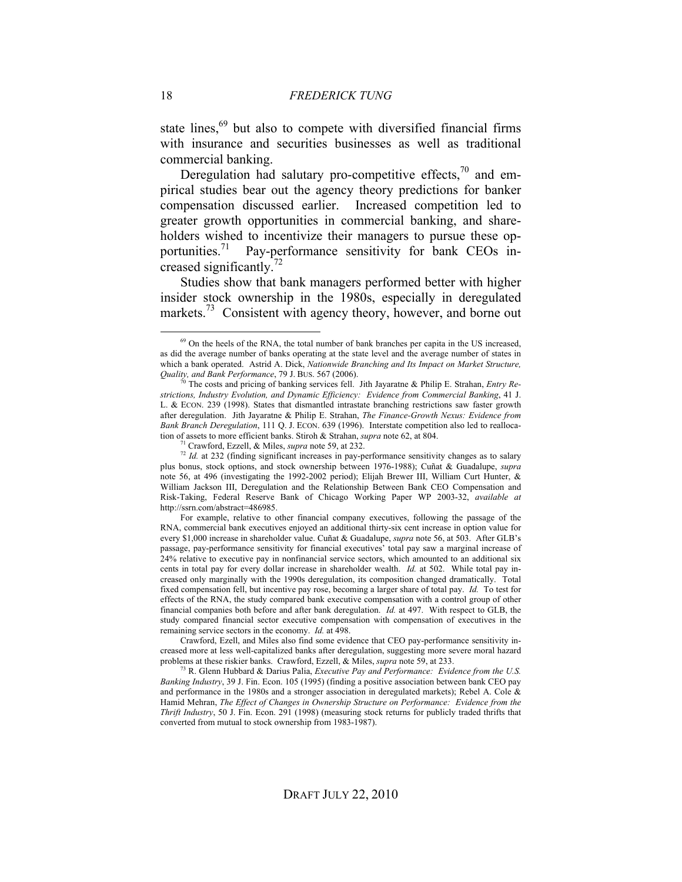state lines,<sup>69</sup> but also to compete with diversified financial firms with insurance and securities businesses as well as traditional commercial banking.

Deregulation had salutary pro-competitive effects, $70$  and empirical studies bear out the agency theory predictions for banker compensation discussed earlier. Increased competition led to greater growth opportunities in commercial banking, and shareholders wished to incentivize their managers to pursue these opportunities.<sup>71</sup> Pay-performance sensitivity for bank CEOs increased significantly.72

Studies show that bank managers performed better with higher insider stock ownership in the 1980s, especially in deregulated markets.<sup>73</sup> Consistent with agency theory, however, and borne out

For example, relative to other financial company executives, following the passage of the RNA, commercial bank executives enjoyed an additional thirty-six cent increase in option value for every \$1,000 increase in shareholder value. Cuñat & Guadalupe, *supra* note 56, at 503. After GLB's passage, pay-performance sensitivity for financial executives' total pay saw a marginal increase of 24% relative to executive pay in nonfinancial service sectors, which amounted to an additional six cents in total pay for every dollar increase in shareholder wealth. *Id.* at 502. While total pay increased only marginally with the 1990s deregulation, its composition changed dramatically. Total fixed compensation fell, but incentive pay rose, becoming a larger share of total pay. *Id.* To test for effects of the RNA, the study compared bank executive compensation with a control group of other financial companies both before and after bank deregulation. *Id.* at 497. With respect to GLB, the study compared financial sector executive compensation with compensation of executives in the remaining service sectors in the economy. *Id.* at 498.

Crawford, Ezell, and Miles also find some evidence that CEO pay-performance sensitivity increased more at less well-capitalized banks after deregulation, suggesting more severe moral hazard problems at these riskier banks. Crawford, Ezzell, & Miles, *supra* note 59, at 233.<br><sup>73</sup> R. Glenn Hubbard & Darius Palia, *Executive Pay and Performance: Evidence from the U.S.* 

*Banking Industry*, 39 J. Fin. Econ. 105 (1995) (finding a positive association between bank CEO pay and performance in the 1980s and a stronger association in deregulated markets); Rebel A. Cole & Hamid Mehran, *The Effect of Changes in Ownership Structure on Performance: Evidence from the Thrift Industry*, 50 J. Fin. Econ. 291 (1998) (measuring stock returns for publicly traded thrifts that converted from mutual to stock ownership from 1983-1987).

<sup>&</sup>lt;sup>69</sup> On the heels of the RNA, the total number of bank branches per capita in the US increased, as did the average number of banks operating at the state level and the average number of states in which a bank operated. Astrid A. Dick, *Nationwide Branching and Its Impact on Market Structure, Quality, and Bank Performance*, 79 J. BUS. 567 (2006).

The costs and pricing of banking services fell. Jith Jayaratne & Philip E. Strahan, *Entry Restrictions, Industry Evolution, and Dynamic Efficiency: Evidence from Commercial Banking*, 41 J. L. & ECON. 239 (1998). States that dismantled intrastate branching restrictions saw faster growth after deregulation. Jith Jayaratne & Philip E. Strahan, *The Finance-Growth Nexus: Evidence from Bank Branch Deregulation*, 111 Q. J. ECON. 639 (1996). Interstate competition also led to reallocation of assets to more efficient banks. Stiroh & Strahan, *supra* note 62, at 804.

<sup>&</sup>lt;sup>1</sup> Crawford, Ezzell, & Miles, *supra* note 59, at 232.

<sup>&</sup>lt;sup>72</sup> *Id.* at 232 (finding significant increases in pay-performance sensitivity changes as to salary plus bonus, stock options, and stock ownership between 1976-1988); Cuñat & Guadalupe, *supra*  note 56, at 496 (investigating the 1992-2002 period); Elijah Brewer III, William Curt Hunter, & William Jackson III, Deregulation and the Relationship Between Bank CEO Compensation and Risk-Taking, Federal Reserve Bank of Chicago Working Paper WP 2003-32, *available at*  http://ssrn.com/abstract=486985.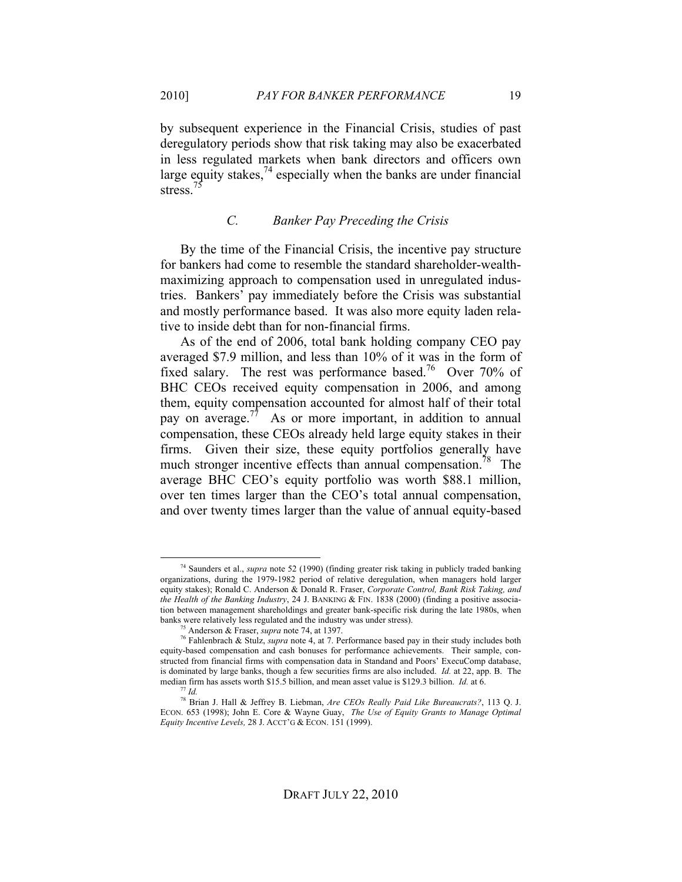by subsequent experience in the Financial Crisis, studies of past deregulatory periods show that risk taking may also be exacerbated in less regulated markets when bank directors and officers own large equity stakes,  $^{74}$  especially when the banks are under financial stress.<sup>7</sup>

#### *C. Banker Pay Preceding the Crisis*

By the time of the Financial Crisis, the incentive pay structure for bankers had come to resemble the standard shareholder-wealthmaximizing approach to compensation used in unregulated industries. Bankers' pay immediately before the Crisis was substantial and mostly performance based. It was also more equity laden relative to inside debt than for non-financial firms.

As of the end of 2006, total bank holding company CEO pay averaged \$7.9 million, and less than 10% of it was in the form of fixed salary. The rest was performance based.<sup>76</sup> Over 70% of BHC CEOs received equity compensation in 2006, and among them, equity compensation accounted for almost half of their total pay on average.<sup>77</sup> As or more important, in addition to annual compensation, these CEOs already held large equity stakes in their firms. Given their size, these equity portfolios generally have much stronger incentive effects than annual compensation.<sup>78</sup> The average BHC CEO's equity portfolio was worth \$88.1 million, over ten times larger than the CEO's total annual compensation, and over twenty times larger than the value of annual equity-based

 <sup>74</sup> Saunders et al., *supra* note 52 (1990) (finding greater risk taking in publicly traded banking organizations, during the 1979-1982 period of relative deregulation, when managers hold larger equity stakes); Ronald C. Anderson & Donald R. Fraser, *Corporate Control, Bank Risk Taking, and the Health of the Banking Industry*, 24 J. BANKING & FIN. 1838 (2000) (finding a positive association between management shareholdings and greater bank-specific risk during the late 1980s, when banks were relatively less regulated and the industry was under stress).

Anderson & Fraser, *supra* note 74, at 1397.

<sup>76</sup> Fahlenbrach & Stulz, *supra* note 4, at 7. Performance based pay in their study includes both equity-based compensation and cash bonuses for performance achievements. Their sample, constructed from financial firms with compensation data in Standand and Poors' ExecuComp database, is dominated by large banks, though a few securities firms are also included. *Id.* at 22, app. B. The median firm has assets worth \$15.5 billion, and mean asset value is \$129.3 billion. *Id.* at 6. 77 *Id.*

<sup>78</sup> Brian J. Hall & Jeffrey B. Liebman, *Are CEOs Really Paid Like Bureaucrats?*, 113 Q. J. ECON. 653 (1998); John E. Core & Wayne Guay, *The Use of Equity Grants to Manage Optimal Equity Incentive Levels,* 28 J. ACCT'G & ECON. 151 (1999).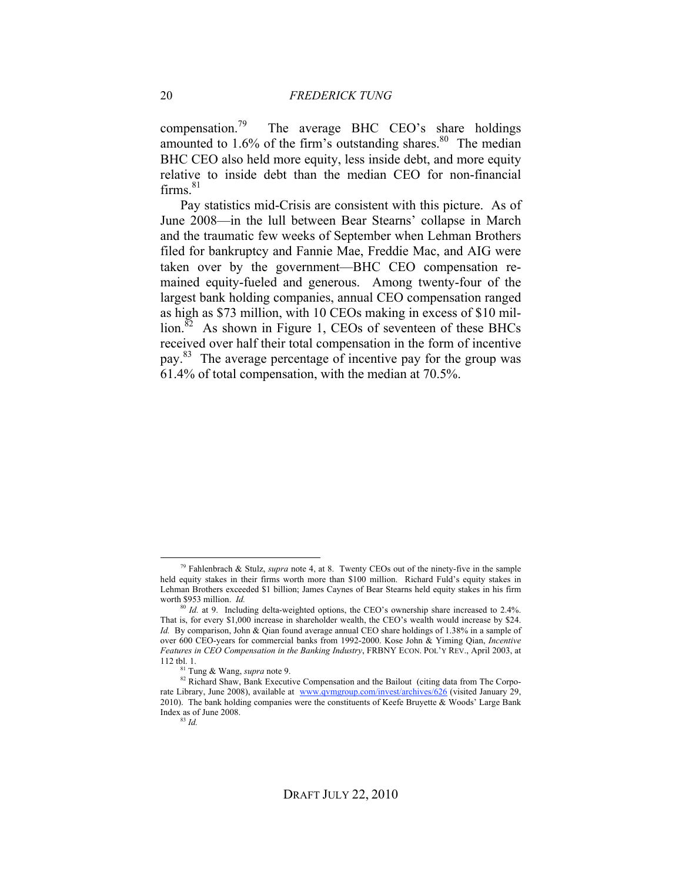compensation.<sup>79</sup> The average BHC CEO's share holdings amounted to  $1.6\%$  of the firm's outstanding shares.<sup>80</sup> The median BHC CEO also held more equity, less inside debt, and more equity relative to inside debt than the median CEO for non-financial  $firms.<sup>81</sup>$ 

Pay statistics mid-Crisis are consistent with this picture. As of June 2008—in the lull between Bear Stearns' collapse in March and the traumatic few weeks of September when Lehman Brothers filed for bankruptcy and Fannie Mae, Freddie Mac, and AIG were taken over by the government—BHC CEO compensation remained equity-fueled and generous. Among twenty-four of the largest bank holding companies, annual CEO compensation ranged as high as \$73 million, with 10 CEOs making in excess of \$10 million.<sup>82</sup> As shown in Figure 1, CEOs of seventeen of these BHCs received over half their total compensation in the form of incentive pay.83 The average percentage of incentive pay for the group was 61.4% of total compensation, with the median at 70.5%.

 <sup>79</sup> Fahlenbrach & Stulz, *supra* note 4, at 8. Twenty CEOs out of the ninety-five in the sample held equity stakes in their firms worth more than \$100 million. Richard Fuld's equity stakes in Lehman Brothers exceeded \$1 billion; James Caynes of Bear Stearns held equity stakes in his firm worth \$953 million. *Id.*

<sup>&</sup>lt;sup>80</sup> *Id.* at 9. Including delta-weighted options, the CEO's ownership share increased to 2.4%. That is, for every \$1,000 increase in shareholder wealth, the CEO's wealth would increase by \$24. *Id.* By comparison, John & Qian found average annual CEO share holdings of 1.38% in a sample of over 600 CEO-years for commercial banks from 1992-2000. Kose John & Yiming Qian, *Incentive Features in CEO Compensation in the Banking Industry*, FRBNY ECON. POL'Y REV., April 2003, at 112 tbl. 1.

<sup>81</sup> Tung & Wang, *supra* note 9.

<sup>82</sup> Richard Shaw, Bank Executive Compensation and the Bailout (citing data from The Corporate Library, June 2008), available at www.qvmgroup.com/invest/archives/626 (visited January 29, 2010). The bank holding companies were the constituents of Keefe Bruyette  $\&$  Woods' Large Bank Index as of June 2008.

<sup>83</sup> *Id.*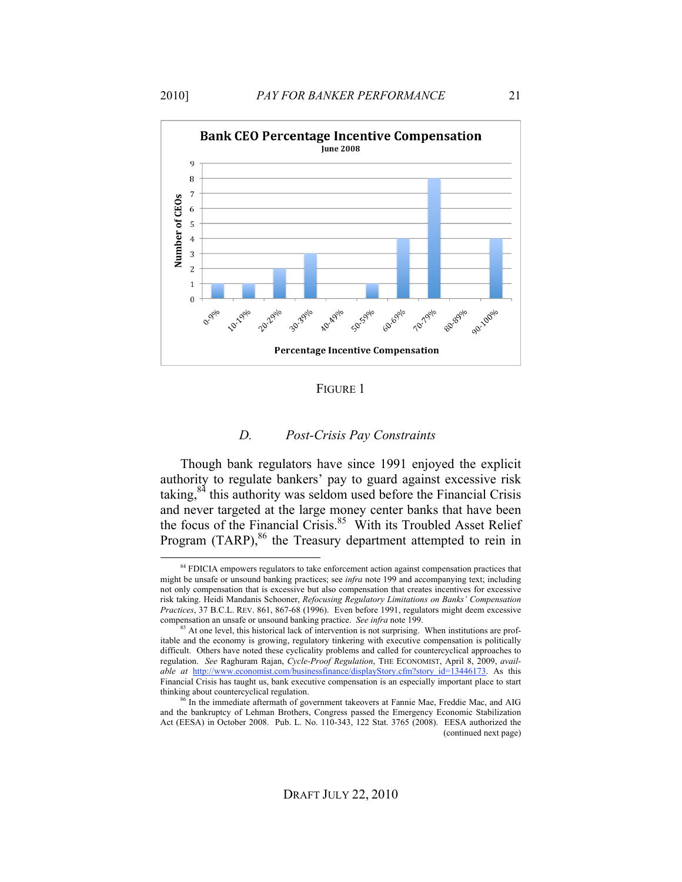

FIGURE 1

#### *D. Post-Crisis Pay Constraints*

Though bank regulators have since 1991 enjoyed the explicit authority to regulate bankers' pay to guard against excessive risk taking,84 this authority was seldom used before the Financial Crisis and never targeted at the large money center banks that have been the focus of the Financial Crisis.<sup>85</sup> With its Troubled Asset Relief Program  $(TARP)$ ,  $86$  the Treasury department attempted to rein in

<sup>&</sup>lt;sup>84</sup> FDICIA empowers regulators to take enforcement action against compensation practices that might be unsafe or unsound banking practices; see *infra* note 199 and accompanying text; including not only compensation that is excessive but also compensation that creates incentives for excessive risk taking. Heidi Mandanis Schooner, *Refocusing Regulatory Limitations on Banks' Compensation Practices*, 37 B.C.L. REV. 861, 867-68 (1996). Even before 1991, regulators might deem excessive compensation an unsafe or unsound banking practice. *See infra* note 199.

<sup>&</sup>lt;sup>85</sup> At one level, this historical lack of intervention is not surprising. When institutions are profitable and the economy is growing, regulatory tinkering with executive compensation is politically difficult. Others have noted these cyclicality problems and called for countercyclical approaches to regulation. *See* Raghuram Rajan, *Cycle-Proof Regulation*, THE ECONOMIST, April 8, 2009, *available at http://www.economist.com/businessfinance/displayStory.cfm?story\_id=13446173.* As this Financial Crisis has taught us, bank executive compensation is an especially important place to start thinking about countercyclical regulation.

<sup>&</sup>lt;sup>86</sup> In the immediate aftermath of government takeovers at Fannie Mae, Freddie Mac, and AIG and the bankruptcy of Lehman Brothers, Congress passed the Emergency Economic Stabilization Act (EESA) in October 2008. Pub. L. No. 110-343, 122 Stat. 3765 (2008). EESA authorized the (continued next page)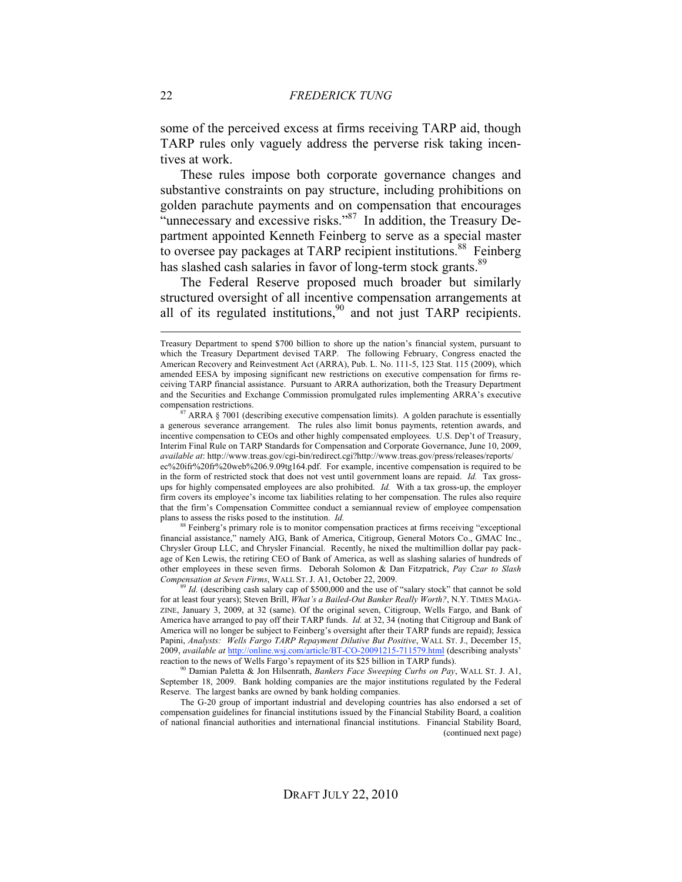some of the perceived excess at firms receiving TARP aid, though TARP rules only vaguely address the perverse risk taking incentives at work.

These rules impose both corporate governance changes and substantive constraints on pay structure, including prohibitions on golden parachute payments and on compensation that encourages "unnecessary and excessive risks."<sup>87</sup> In addition, the Treasury Department appointed Kenneth Feinberg to serve as a special master to oversee pay packages at TARP recipient institutions.<sup>88</sup> Feinberg has slashed cash salaries in favor of long-term stock grants.<sup>89</sup>

The Federal Reserve proposed much broader but similarly structured oversight of all incentive compensation arrangements at all of its regulated institutions,<sup>90</sup> and not just TARP recipients.

88 Feinberg's primary role is to monitor compensation practices at firms receiving "exceptional financial assistance," namely AIG, Bank of America, Citigroup, General Motors Co., GMAC Inc., Chrysler Group LLC, and Chrysler Financial. Recently, he nixed the multimillion dollar pay package of Ken Lewis, the retiring CEO of Bank of America, as well as slashing salaries of hundreds of other employees in these seven firms. Deborah Solomon & Dan Fitzpatrick, *Pay Czar to Slash Compensation at Seven Firms*, WALL ST. J. A1, October 22, 2009.

<sup>99</sup> *Id.* (describing cash salary cap of \$500,000 and the use of "salary stock" that cannot be sold for at least four years); Steven Brill, *What's a Bailed-Out Banker Really Worth?*, N.Y. TIMES MAGA-ZINE, January 3, 2009, at 32 (same). Of the original seven, Citigroup, Wells Fargo, and Bank of America have arranged to pay off their TARP funds. *Id.* at 32, 34 (noting that Citigroup and Bank of America will no longer be subject to Feinberg's oversight after their TARP funds are repaid); Jessica Papini, *Analysts: Wells Fargo TARP Repayment Dilutive But Positive*, WALL ST. J., December 15, 2009, *available at* http://online.wsj.com/article/BT-CO-20091215-711579.html (describing analysts' reaction to the news of Wells Fargo's repayment of its \$25 billion in TARP funds).

90 Damian Paletta & Jon Hilsenrath, *Bankers Face Sweeping Curbs on Pay*, WALL ST. J. A1, September 18, 2009. Bank holding companies are the major institutions regulated by the Federal Reserve. The largest banks are owned by bank holding companies.

The G-20 group of important industrial and developing countries has also endorsed a set of compensation guidelines for financial institutions issued by the Financial Stability Board, a coalition of national financial authorities and international financial institutions. Financial Stability Board, (continued next page)

Treasury Department to spend \$700 billion to shore up the nation's financial system, pursuant to which the Treasury Department devised TARP. The following February, Congress enacted the American Recovery and Reinvestment Act (ARRA), Pub. L. No. 111-5, 123 Stat. 115 (2009), which amended EESA by imposing significant new restrictions on executive compensation for firms receiving TARP financial assistance. Pursuant to ARRA authorization, both the Treasury Department and the Securities and Exchange Commission promulgated rules implementing ARRA's executive compensation restrictions.

<sup>87</sup> ARRA § 7001 (describing executive compensation limits). A golden parachute is essentially a generous severance arrangement. The rules also limit bonus payments, retention awards, and incentive compensation to CEOs and other highly compensated employees. U.S. Dep't of Treasury, Interim Final Rule on TARP Standards for Compensation and Corporate Governance, June 10, 2009, *available at*: http://www.treas.gov/cgi-bin/redirect.cgi?http://www.treas.gov/press/releases/reports/ ec%20ifr%20fr%20web%206.9.09tg164.pdf. For example, incentive compensation is required to be in the form of restricted stock that does not vest until government loans are repaid. *Id.* Tax grossups for highly compensated employees are also prohibited. *Id.* With a tax gross-up, the employer firm covers its employee's income tax liabilities relating to her compensation. The rules also require that the firm's Compensation Committee conduct a semiannual review of employee compensation plans to assess the risks posed to the institution. *Id.*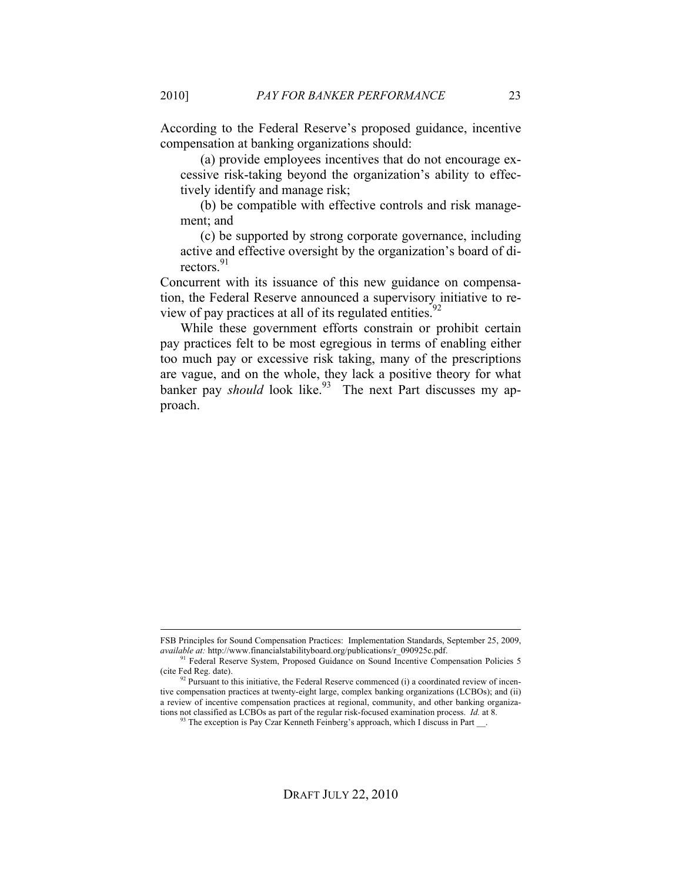According to the Federal Reserve's proposed guidance, incentive compensation at banking organizations should:

(a) provide employees incentives that do not encourage excessive risk-taking beyond the organization's ability to effectively identify and manage risk;

(b) be compatible with effective controls and risk management; and

(c) be supported by strong corporate governance, including active and effective oversight by the organization's board of directors. 91

Concurrent with its issuance of this new guidance on compensation, the Federal Reserve announced a supervisory initiative to review of pay practices at all of its regulated entities.<sup>92</sup>

While these government efforts constrain or prohibit certain pay practices felt to be most egregious in terms of enabling either too much pay or excessive risk taking, many of the prescriptions are vague, and on the whole, they lack a positive theory for what banker pay *should* look like.<sup>93</sup> The next Part discusses my approach.

FSB Principles for Sound Compensation Practices: Implementation Standards, September 25, 2009, *available at:* http://www.financialstabilityboard.org/publications/r\_090925c.pdf.

<sup>&</sup>lt;sup>91</sup> Federal Reserve System, Proposed Guidance on Sound Incentive Compensation Policies 5 (cite Fed Reg. date). 92 Pursuant to this initiative, the Federal Reserve commenced (i) a coordinated review of incen-

tive compensation practices at twenty-eight large, complex banking organizations (LCBOs); and (ii) a review of incentive compensation practices at regional, community, and other banking organizations not classified as LCBOs as part of the regular risk-focused examination process. *Id.* at 8.

<sup>&</sup>lt;sup>93</sup> The exception is Pay Czar Kenneth Feinberg's approach, which I discuss in Part \_\_.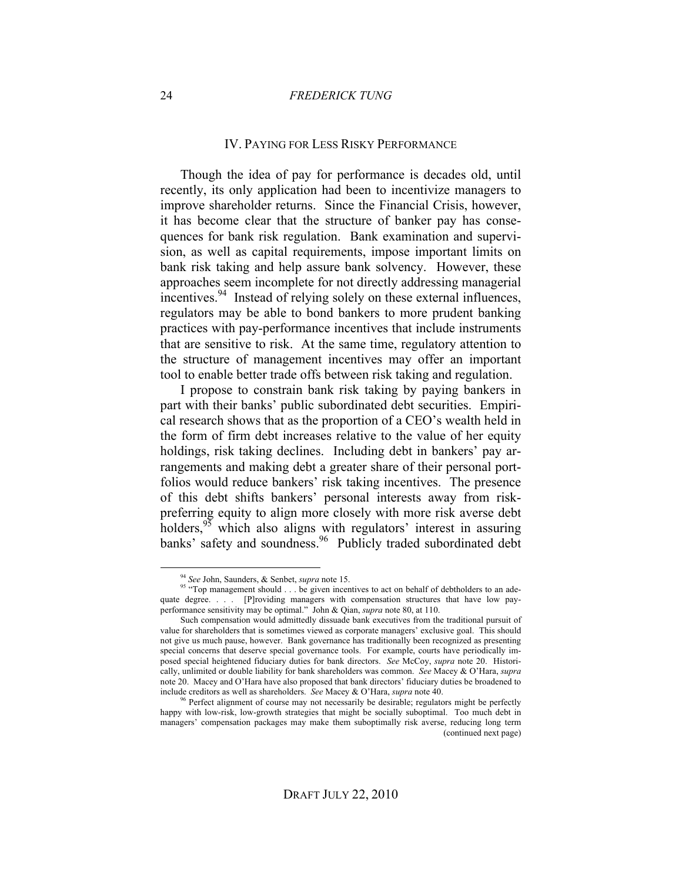#### 24 *FREDERICK TUNG*

#### IV. PAYING FOR LESS RISKY PERFORMANCE

Though the idea of pay for performance is decades old, until recently, its only application had been to incentivize managers to improve shareholder returns. Since the Financial Crisis, however, it has become clear that the structure of banker pay has consequences for bank risk regulation. Bank examination and supervision, as well as capital requirements, impose important limits on bank risk taking and help assure bank solvency. However, these approaches seem incomplete for not directly addressing managerial incentives.<sup>94</sup> Instead of relying solely on these external influences, regulators may be able to bond bankers to more prudent banking practices with pay-performance incentives that include instruments that are sensitive to risk. At the same time, regulatory attention to the structure of management incentives may offer an important tool to enable better trade offs between risk taking and regulation.

I propose to constrain bank risk taking by paying bankers in part with their banks' public subordinated debt securities. Empirical research shows that as the proportion of a CEO's wealth held in the form of firm debt increases relative to the value of her equity holdings, risk taking declines. Including debt in bankers' pay arrangements and making debt a greater share of their personal portfolios would reduce bankers' risk taking incentives. The presence of this debt shifts bankers' personal interests away from riskpreferring equity to align more closely with more risk averse debt holders,<sup>95</sup> which also aligns with regulators' interest in assuring banks' safety and soundness.<sup>96</sup> Publicly traded subordinated debt

 <sup>94</sup> *See* John, Saunders, & Senbet, *supra* note 15.

<sup>&</sup>lt;sup>95</sup> "Top management should . . . be given incentives to act on behalf of debtholders to an adequate degree. . . . [P]roviding managers with compensation structures that have low payperformance sensitivity may be optimal." John & Qian, *supra* note 80, at 110.

Such compensation would admittedly dissuade bank executives from the traditional pursuit of value for shareholders that is sometimes viewed as corporate managers' exclusive goal. This should not give us much pause, however. Bank governance has traditionally been recognized as presenting special concerns that deserve special governance tools. For example, courts have periodically imposed special heightened fiduciary duties for bank directors. *See* McCoy, *supra* note 20. Historically, unlimited or double liability for bank shareholders was common. *See* Macey & O'Hara, *supra*  note 20. Macey and O'Hara have also proposed that bank directors' fiduciary duties be broadened to include creditors as well as shareholders. *See* Macey & O'Hara, *supra* note 40.

<sup>&</sup>lt;sup>96</sup> Perfect alignment of course may not necessarily be desirable; regulators might be perfectly happy with low-risk, low-growth strategies that might be socially suboptimal. Too much debt in managers' compensation packages may make them suboptimally risk averse, reducing long term (continued next page)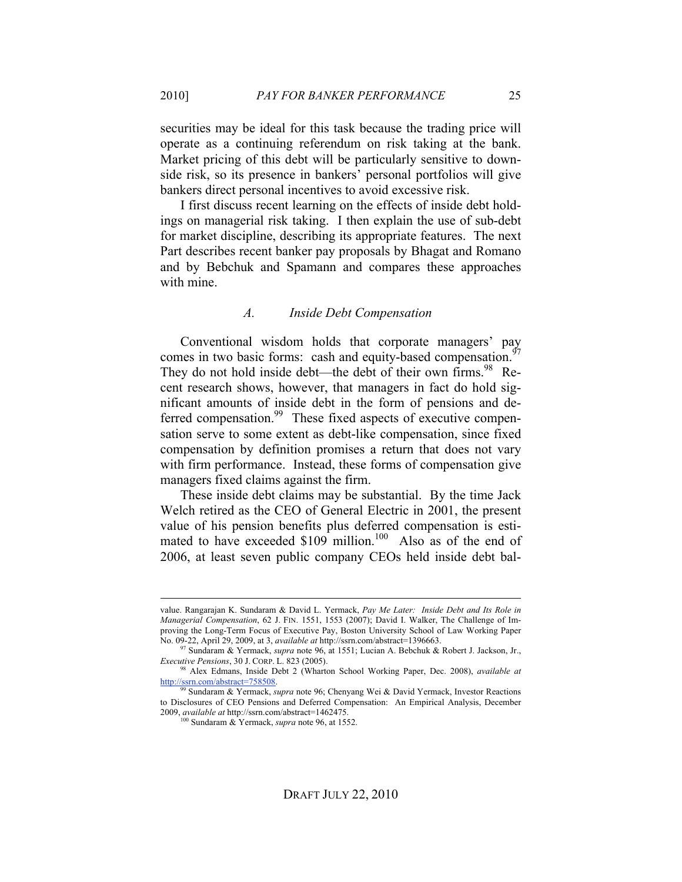securities may be ideal for this task because the trading price will operate as a continuing referendum on risk taking at the bank. Market pricing of this debt will be particularly sensitive to downside risk, so its presence in bankers' personal portfolios will give bankers direct personal incentives to avoid excessive risk.

I first discuss recent learning on the effects of inside debt holdings on managerial risk taking. I then explain the use of sub-debt for market discipline, describing its appropriate features. The next Part describes recent banker pay proposals by Bhagat and Romano and by Bebchuk and Spamann and compares these approaches with mine.

#### *A. Inside Debt Compensation*

Conventional wisdom holds that corporate managers' pay comes in two basic forms: cash and equity-based compensation.<sup>97</sup> They do not hold inside debt—the debt of their own firms.<sup>98</sup> Recent research shows, however, that managers in fact do hold significant amounts of inside debt in the form of pensions and deferred compensation.<sup>99</sup> These fixed aspects of executive compensation serve to some extent as debt-like compensation, since fixed compensation by definition promises a return that does not vary with firm performance. Instead, these forms of compensation give managers fixed claims against the firm.

These inside debt claims may be substantial. By the time Jack Welch retired as the CEO of General Electric in 2001, the present value of his pension benefits plus deferred compensation is estimated to have exceeded  $$109$  million.<sup>100</sup> Also as of the end of 2006, at least seven public company CEOs held inside debt bal-

value. Rangarajan K. Sundaram & David L. Yermack, *Pay Me Later: Inside Debt and Its Role in Managerial Compensation*, 62 J. FIN. 1551, 1553 (2007); David I. Walker, The Challenge of Improving the Long-Term Focus of Executive Pay, Boston University School of Law Working Paper No. 09-22, April 29, 2009, at 3, *available at* http://ssrn.com/abstract=1396663.

<sup>97</sup> Sundaram & Yermack, *supra* note 96, at 1551; Lucian A. Bebchuk & Robert J. Jackson, Jr., *Executive Pensions*, 30 J. CORP. L. 823 (2005).

<sup>98</sup> Alex Edmans, Inside Debt 2 (Wharton School Working Paper, Dec. 2008), *available at*  http://ssrn.com/abstract=758508.

<sup>99</sup> Sundaram & Yermack, *supra* note 96; Chenyang Wei & David Yermack, Investor Reactions to Disclosures of CEO Pensions and Deferred Compensation: An Empirical Analysis, December 2009, *available at* http://ssrn.com/abstract=1462475.

<sup>100</sup> Sundaram & Yermack, *supra* note 96, at 1552.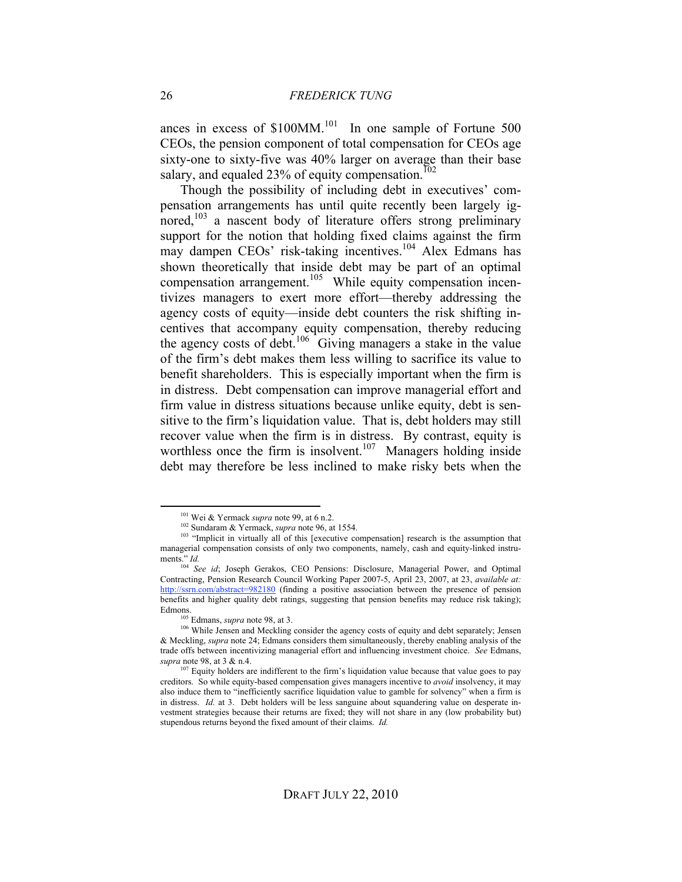ances in excess of  $$100MM$ <sup>101</sup> In one sample of Fortune 500 CEOs, the pension component of total compensation for CEOs age sixty-one to sixty-five was 40% larger on average than their base salary, and equaled  $23%$  of equity compensation.<sup>102</sup>

Though the possibility of including debt in executives' compensation arrangements has until quite recently been largely ignored, $103$  a nascent body of literature offers strong preliminary support for the notion that holding fixed claims against the firm may dampen CEOs' risk-taking incentives.<sup>104</sup> Alex Edmans has shown theoretically that inside debt may be part of an optimal compensation arrangement.<sup>105</sup> While equity compensation incentivizes managers to exert more effort—thereby addressing the agency costs of equity—inside debt counters the risk shifting incentives that accompany equity compensation, thereby reducing the agency costs of debt.<sup>106</sup> Giving managers a stake in the value of the firm's debt makes them less willing to sacrifice its value to benefit shareholders. This is especially important when the firm is in distress. Debt compensation can improve managerial effort and firm value in distress situations because unlike equity, debt is sensitive to the firm's liquidation value. That is, debt holders may still recover value when the firm is in distress. By contrast, equity is worthless once the firm is insolvent.<sup>107</sup> Managers holding inside debt may therefore be less inclined to make risky bets when the

 <sup>101</sup> Wei & Yermack *supra* note 99, at 6 n.2.

<sup>102</sup> Sundaram & Yermack, *supra* note 96, at 1554.

<sup>&</sup>lt;sup>103</sup> "Implicit in virtually all of this [executive compensation] research is the assumption that managerial compensation consists of only two components, namely, cash and equity-linked instruments." *Id.*

<sup>104</sup> *See id*; Joseph Gerakos, CEO Pensions: Disclosure, Managerial Power, and Optimal Contracting, Pension Research Council Working Paper 2007-5, April 23, 2007, at 23, *available at:* http://ssrn.com/abstract=982180 (finding a positive association between the presence of pension benefits and higher quality debt ratings, suggesting that pension benefits may reduce risk taking); Edmons.

<sup>&</sup>lt;sup>05</sup> Edmans, *supra* note 98, at 3.

<sup>&</sup>lt;sup>106</sup> While Jensen and Meckling consider the agency costs of equity and debt separately; Jensen & Meckling, *supra* note 24; Edmans considers them simultaneously, thereby enabling analysis of the trade offs between incentivizing managerial effort and influencing investment choice. *See* Edmans, *supra* note 98, at 3 & n.4.

 $107$  Equity holders are indifferent to the firm's liquidation value because that value goes to pay creditors. So while equity-based compensation gives managers incentive to *avoid* insolvency, it may also induce them to "inefficiently sacrifice liquidation value to gamble for solvency" when a firm is in distress. *Id.* at 3. Debt holders will be less sanguine about squandering value on desperate investment strategies because their returns are fixed; they will not share in any (low probability but) stupendous returns beyond the fixed amount of their claims. *Id.*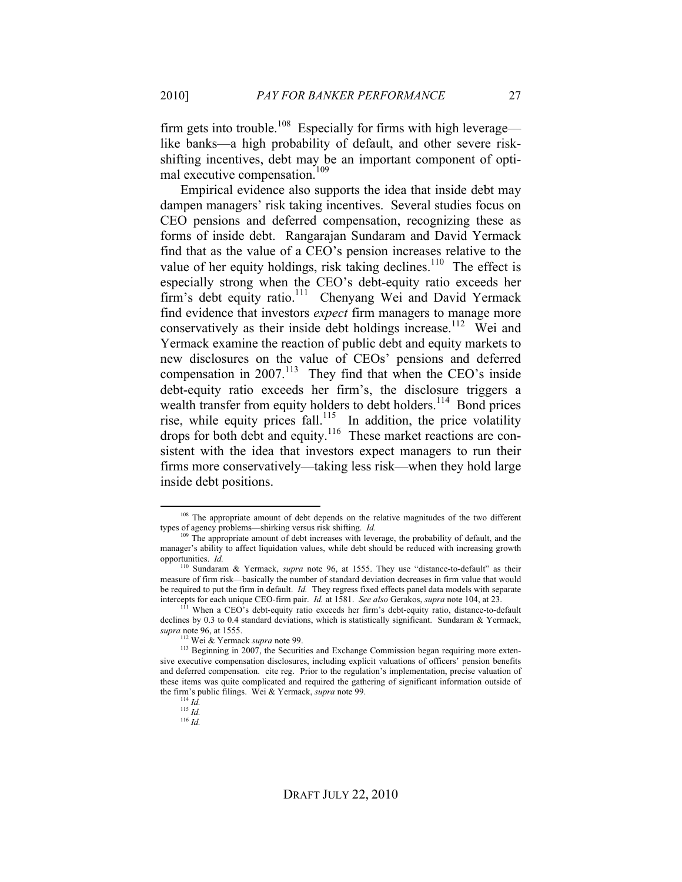firm gets into trouble.<sup>108</sup> Especially for firms with high leverage like banks—a high probability of default, and other severe riskshifting incentives, debt may be an important component of optimal executive compensation.<sup>109</sup>

Empirical evidence also supports the idea that inside debt may dampen managers' risk taking incentives. Several studies focus on CEO pensions and deferred compensation, recognizing these as forms of inside debt. Rangarajan Sundaram and David Yermack find that as the value of a CEO's pension increases relative to the value of her equity holdings, risk taking declines.<sup>110</sup> The effect is especially strong when the CEO's debt-equity ratio exceeds her firm's debt equity ratio.<sup>111</sup> Chenyang Wei and David Yermack find evidence that investors *expect* firm managers to manage more conservatively as their inside debt holdings increase.<sup>112</sup> Wei and Yermack examine the reaction of public debt and equity markets to new disclosures on the value of CEOs' pensions and deferred compensation in 2007.<sup>113</sup> They find that when the CEO's inside debt-equity ratio exceeds her firm's, the disclosure triggers a wealth transfer from equity holders to debt holders.<sup>114</sup> Bond prices rise, while equity prices fall.<sup>115</sup> In addition, the price volatility drops for both debt and equity.<sup>116</sup> These market reactions are consistent with the idea that investors expect managers to run their firms more conservatively—taking less risk—when they hold large inside debt positions.

<sup>&</sup>lt;sup>108</sup> The appropriate amount of debt depends on the relative magnitudes of the two different types of agency problems—shirking versus risk shifting. *Id.* 

 $109$  The appropriate amount of debt increases with leverage, the probability of default, and the manager's ability to affect liquidation values, while debt should be reduced with increasing growth opportunities. *Id.*

<sup>110</sup> Sundaram & Yermack, *supra* note 96, at 1555. They use "distance-to-default" as their measure of firm risk—basically the number of standard deviation decreases in firm value that would be required to put the firm in default. *Id.* They regress fixed effects panel data models with separate intercepts for each unique CEO-firm pair. *Id.* at 1581. *See also* Gerakos, *supra* note 104, at 23.

When a CEO's debt-equity ratio exceeds her firm's debt-equity ratio, distance-to-default declines by 0.3 to 0.4 standard deviations, which is statistically significant. Sundaram & Yermack, *supra* note 96, at 1555.

<sup>&</sup>lt;sup>113</sup> Beginning in 2007, the Securities and Exchange Commission began requiring more extensive executive compensation disclosures, including explicit valuations of officers' pension benefits and deferred compensation. cite reg. Prior to the regulation's implementation, precise valuation of these items was quite complicated and required the gathering of significant information outside of the firm's public filings. Wei & Yermack, *supra* note 99. 114 *Id.*

 $\frac{115}{1}$  *Id.* 

<sup>116</sup> *Id.*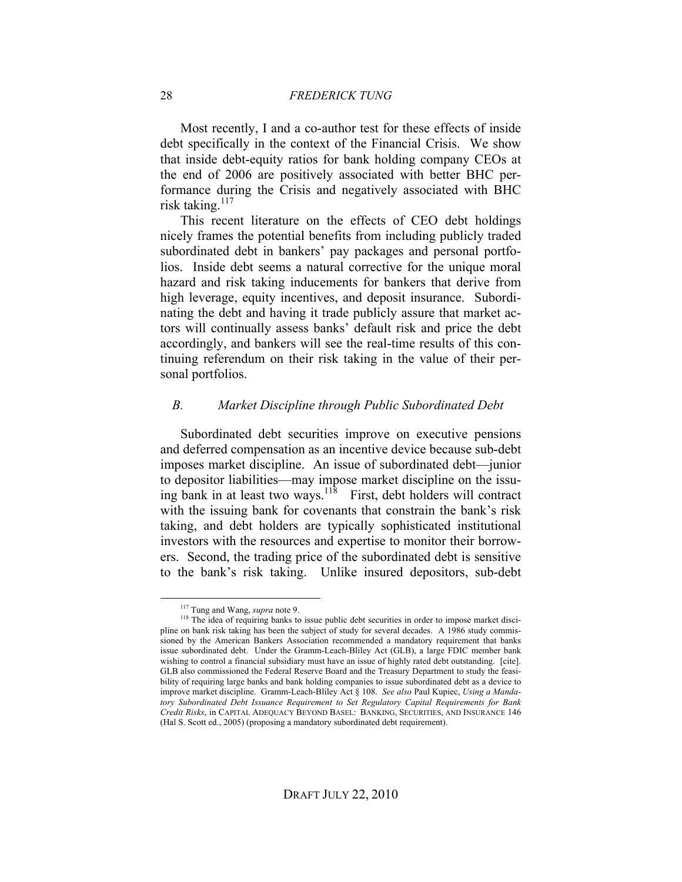Most recently, I and a co-author test for these effects of inside debt specifically in the context of the Financial Crisis. We show that inside debt-equity ratios for bank holding company CEOs at the end of 2006 are positively associated with better BHC performance during the Crisis and negatively associated with BHC risk taking. $117$ 

This recent literature on the effects of CEO debt holdings nicely frames the potential benefits from including publicly traded subordinated debt in bankers' pay packages and personal portfolios. Inside debt seems a natural corrective for the unique moral hazard and risk taking inducements for bankers that derive from high leverage, equity incentives, and deposit insurance. Subordinating the debt and having it trade publicly assure that market actors will continually assess banks' default risk and price the debt accordingly, and bankers will see the real-time results of this continuing referendum on their risk taking in the value of their personal portfolios.

#### *B. Market Discipline through Public Subordinated Debt*

Subordinated debt securities improve on executive pensions and deferred compensation as an incentive device because sub-debt imposes market discipline. An issue of subordinated debt—junior to depositor liabilities—may impose market discipline on the issuing bank in at least two ways.<sup>118</sup> First, debt holders will contract with the issuing bank for covenants that constrain the bank's risk taking, and debt holders are typically sophisticated institutional investors with the resources and expertise to monitor their borrowers. Second, the trading price of the subordinated debt is sensitive to the bank's risk taking. Unlike insured depositors, sub-debt

 <sup>117</sup> Tung and Wang, *supra* note 9.

<sup>&</sup>lt;sup>118</sup> The idea of requiring banks to issue public debt securities in order to impose market discipline on bank risk taking has been the subject of study for several decades. A 1986 study commissioned by the American Bankers Association recommended a mandatory requirement that banks issue subordinated debt. Under the Gramm-Leach-Bliley Act (GLB), a large FDIC member bank wishing to control a financial subsidiary must have an issue of highly rated debt outstanding. [cite]. GLB also commissioned the Federal Reserve Board and the Treasury Department to study the feasibility of requiring large banks and bank holding companies to issue subordinated debt as a device to improve market discipline. Gramm-Leach-Bliley Act § 108. *See also* Paul Kupiec, *Using a Mandatory Subordinated Debt Issuance Requirement to Set Regulatory Capital Requirements for Bank Credit Risks*, in CAPITAL ADEQUACY BEYOND BASEL: BANKING, SECURITIES, AND INSURANCE 146 (Hal S. Scott ed., 2005) (proposing a mandatory subordinated debt requirement).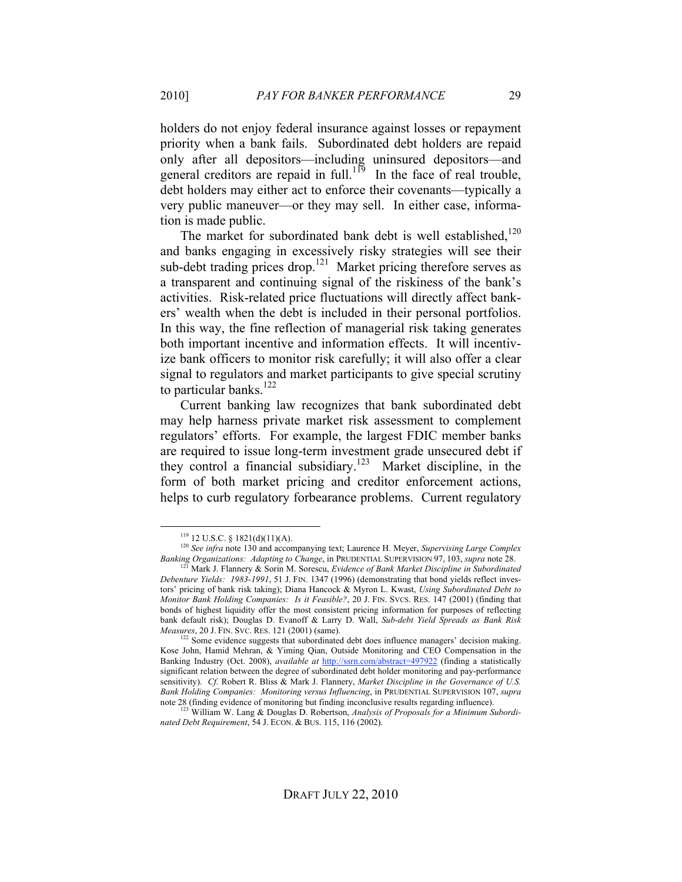holders do not enjoy federal insurance against losses or repayment priority when a bank fails. Subordinated debt holders are repaid only after all depositors—including uninsured depositors—and general creditors are repaid in full.<sup>119</sup> In the face of real trouble, debt holders may either act to enforce their covenants—typically a very public maneuver—or they may sell. In either case, information is made public.

The market for subordinated bank debt is well established,<sup>120</sup> and banks engaging in excessively risky strategies will see their sub-debt trading prices drop.<sup>121</sup> Market pricing therefore serves as a transparent and continuing signal of the riskiness of the bank's activities. Risk-related price fluctuations will directly affect bankers' wealth when the debt is included in their personal portfolios. In this way, the fine reflection of managerial risk taking generates both important incentive and information effects. It will incentivize bank officers to monitor risk carefully; it will also offer a clear signal to regulators and market participants to give special scrutiny to particular banks. $122$ 

Current banking law recognizes that bank subordinated debt may help harness private market risk assessment to complement regulators' efforts. For example, the largest FDIC member banks are required to issue long-term investment grade unsecured debt if they control a financial subsidiary.<sup>123</sup> Market discipline, in the form of both market pricing and creditor enforcement actions, helps to curb regulatory forbearance problems. Current regulatory

 $119$  12 U.S.C. § 1821(d)(11)(A).

<sup>120</sup> *See infra* note 130 and accompanying text; Laurence H. Meyer, *Supervising Large Complex Banking Organizations: Adapting to Change*, in PRUDENTIAL SUPERVISION 97, 103, *supra* note 28.

<sup>121</sup> Mark J. Flannery & Sorin M. Sorescu, *Evidence of Bank Market Discipline in Subordinated Debenture Yields: 1983-1991*, 51 J. FIN. 1347 (1996) (demonstrating that bond yields reflect investors' pricing of bank risk taking); Diana Hancock & Myron L. Kwast, *Using Subordinated Debt to Monitor Bank Holding Companies: Is it Feasible?*, 20 J. FIN. SVCS. RES. 147 (2001) (finding that bonds of highest liquidity offer the most consistent pricing information for purposes of reflecting bank default risk); Douglas D. Evanoff & Larry D. Wall, *Sub-debt Yield Spreads as Bank Risk Measures*, 20 J. FIN. SVC. RES. 121 (2001) (same).

<sup>&</sup>lt;sup>122</sup> Some evidence suggests that subordinated debt does influence managers' decision making. Kose John, Hamid Mehran, & Yiming Qian, Outside Monitoring and CEO Compensation in the Banking Industry (Oct. 2008), *available at* http://ssrn.com/abstract=497922 (finding a statistically significant relation between the degree of subordinated debt holder monitoring and pay-performance sensitivity). *Cf.* Robert R. Bliss & Mark J. Flannery, *Market Discipline in the Governance of U.S. Bank Holding Companies: Monitoring versus Influencing*, in PRUDENTIAL SUPERVISION 107, *supra* note 28 (finding evidence of monitoring but finding inconclusive results regarding influence).

<sup>&</sup>lt;sup>123</sup> William W. Lang & Douglas D. Robertson, *Analysis of Proposals for a Minimum Subordinated Debt Requirement*, 54 J. ECON. & BUS. 115, 116 (2002).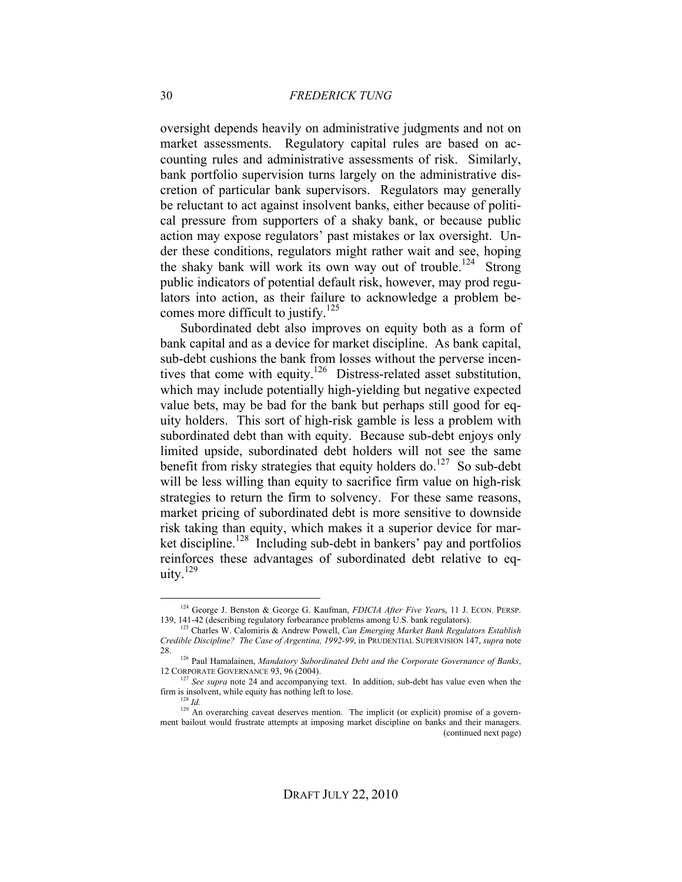oversight depends heavily on administrative judgments and not on market assessments. Regulatory capital rules are based on accounting rules and administrative assessments of risk. Similarly, bank portfolio supervision turns largely on the administrative discretion of particular bank supervisors. Regulators may generally be reluctant to act against insolvent banks, either because of political pressure from supporters of a shaky bank, or because public action may expose regulators' past mistakes or lax oversight. Under these conditions, regulators might rather wait and see, hoping the shaky bank will work its own way out of trouble.<sup>124</sup> Strong public indicators of potential default risk, however, may prod regulators into action, as their failure to acknowledge a problem becomes more difficult to justify.<sup>125</sup>

Subordinated debt also improves on equity both as a form of bank capital and as a device for market discipline. As bank capital, sub-debt cushions the bank from losses without the perverse incentives that come with equity.<sup>126</sup> Distress-related asset substitution, which may include potentially high-yielding but negative expected value bets, may be bad for the bank but perhaps still good for equity holders. This sort of high-risk gamble is less a problem with subordinated debt than with equity. Because sub-debt enjoys only limited upside, subordinated debt holders will not see the same benefit from risky strategies that equity holders do.<sup>127</sup> So sub-debt will be less willing than equity to sacrifice firm value on high-risk strategies to return the firm to solvency. For these same reasons, market pricing of subordinated debt is more sensitive to downside risk taking than equity, which makes it a superior device for market discipline.<sup>128</sup> Including sub-debt in bankers' pay and portfolios reinforces these advantages of subordinated debt relative to equity.129

 <sup>124</sup> George J. Benston & George G. Kaufman, *FDICIA After Five Year*s, 11 J. ECON. PERSP. 139, 141-42 (describing regulatory forbearance problems among U.S. bank regulators).

<sup>125</sup> Charles W. Calomiris & Andrew Powell, *Can Emerging Market Bank Regulators Establish Credible Discipline? The Case of Argentina, 1992-99*, in PRUDENTIAL SUPERVISION 147, *supra* note

<sup>28. 126</sup> Paul Hamalainen, *Mandatory Subordinated Debt and the Corporate Governance of Banks*, 12 CORPORATE GOVERNANCE 93, 96 (2004).

<sup>&</sup>lt;sup>127</sup> See supra note 24 and accompanying text. In addition, sub-debt has value even when the firm is insolvent, while equity has nothing left to lose.

<sup>128</sup> *Id.*

<sup>&</sup>lt;sup>129</sup> An overarching caveat deserves mention. The implicit (or explicit) promise of a government bailout would frustrate attempts at imposing market discipline on banks and their managers. (continued next page)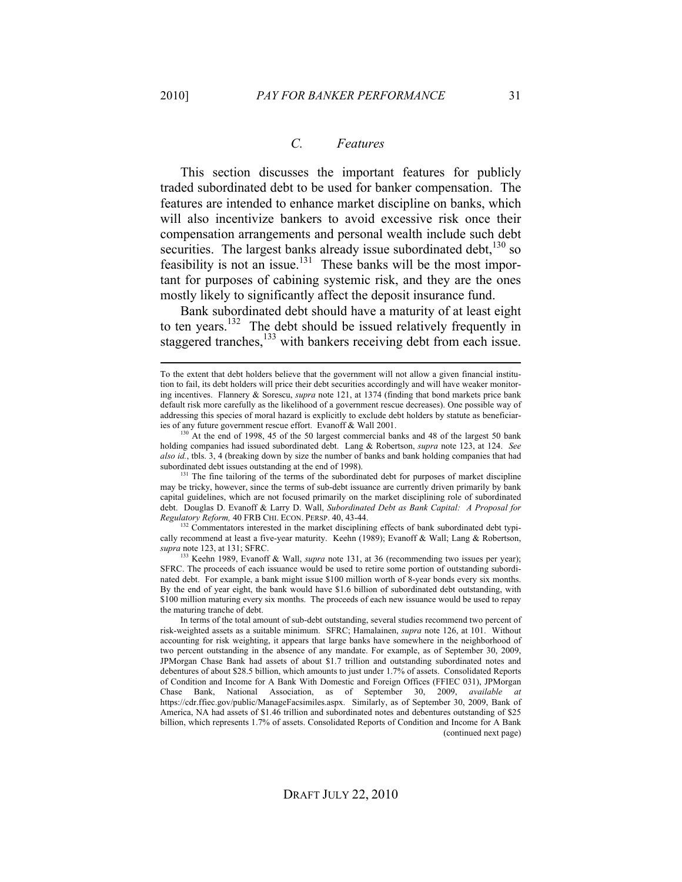#### *C. Features*

This section discusses the important features for publicly traded subordinated debt to be used for banker compensation. The features are intended to enhance market discipline on banks, which will also incentivize bankers to avoid excessive risk once their compensation arrangements and personal wealth include such debt securities. The largest banks already issue subordinated debt,<sup>130</sup> so feasibility is not an issue.<sup>131</sup> These banks will be the most important for purposes of cabining systemic risk, and they are the ones mostly likely to significantly affect the deposit insurance fund.

Bank subordinated debt should have a maturity of at least eight to ten years.<sup>132</sup> The debt should be issued relatively frequently in staggered tranches,<sup>133</sup> with bankers receiving debt from each issue.

<sup>131</sup> The fine tailoring of the terms of the subordinated debt for purposes of market discipline may be tricky, however, since the terms of sub-debt issuance are currently driven primarily by bank capital guidelines, which are not focused primarily on the market disciplining role of subordinated debt. Douglas D. Evanoff & Larry D. Wall, *Subordinated Debt as Bank Capital: A Proposal for Regulatory Reform,* 40 FRB CHI. ECON. PERSP. 40, 43-44.

<sup>132</sup> Commentators interested in the market disciplining effects of bank subordinated debt typically recommend at least a five-year maturity. Keehn (1989); Evanoff & Wall; Lang & Robertson, *supra* note 123, at 131; SFRC.

133 Keehn 1989, Evanoff & Wall, *supra* note 131, at 36 (recommending two issues per year); SFRC. The proceeds of each issuance would be used to retire some portion of outstanding subordinated debt. For example, a bank might issue \$100 million worth of 8-year bonds every six months. By the end of year eight, the bank would have \$1.6 billion of subordinated debt outstanding, with \$100 million maturing every six months. The proceeds of each new issuance would be used to repay the maturing tranche of debt.

To the extent that debt holders believe that the government will not allow a given financial institution to fail, its debt holders will price their debt securities accordingly and will have weaker monitoring incentives. Flannery & Sorescu, *supra* note 121, at 1374 (finding that bond markets price bank default risk more carefully as the likelihood of a government rescue decreases). One possible way of addressing this species of moral hazard is explicitly to exclude debt holders by statute as beneficiaries of any future government rescue effort. Evanoff & Wall 2001.

<sup>&</sup>lt;sup>130</sup> At the end of 1998, 45 of the 50 largest commercial banks and 48 of the largest 50 bank holding companies had issued subordinated debt. Lang & Robertson, *supra* note 123, at 124. *See also id.*, tbls. 3, 4 (breaking down by size the number of banks and bank holding companies that had subordinated debt issues outstanding at the end of 1998).

In terms of the total amount of sub-debt outstanding, several studies recommend two percent of risk-weighted assets as a suitable minimum. SFRC; Hamalainen, *supra* note 126, at 101. Without accounting for risk weighting, it appears that large banks have somewhere in the neighborhood of two percent outstanding in the absence of any mandate. For example, as of September 30, 2009, JPMorgan Chase Bank had assets of about \$1.7 trillion and outstanding subordinated notes and debentures of about \$28.5 billion, which amounts to just under 1.7% of assets. Consolidated Reports of Condition and Income for A Bank With Domestic and Foreign Offices (FFIEC 031), JPMorgan Chase Bank, National Association, as of September 30, 2009, *available at*  https://cdr.ffiec.gov/public/ManageFacsimiles.aspx. Similarly, as of September 30, 2009, Bank of America, NA had assets of \$1.46 trillion and subordinated notes and debentures outstanding of \$25 billion, which represents 1.7% of assets. Consolidated Reports of Condition and Income for A Bank (continued next page)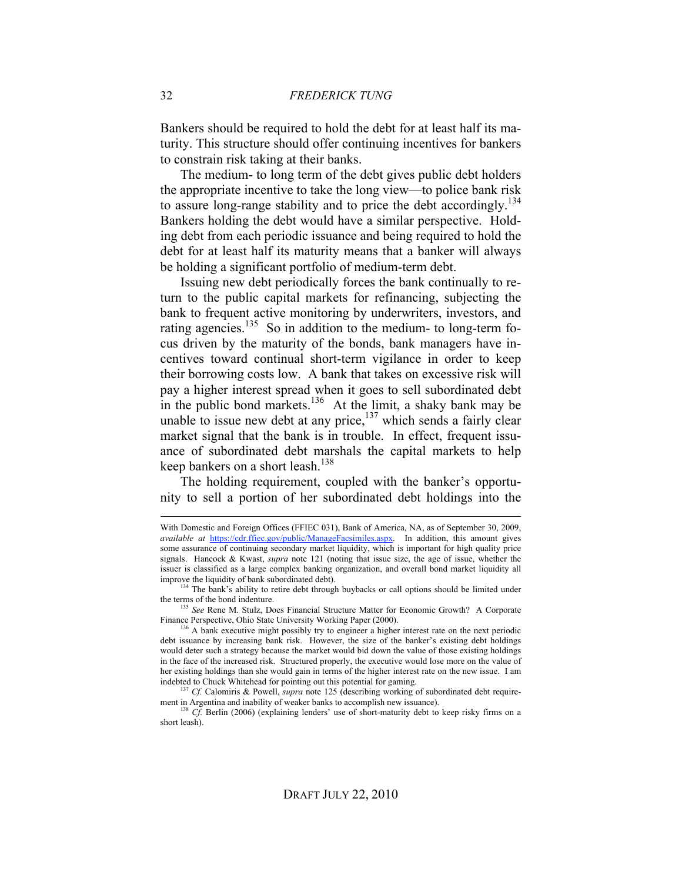Bankers should be required to hold the debt for at least half its maturity. This structure should offer continuing incentives for bankers to constrain risk taking at their banks.

The medium- to long term of the debt gives public debt holders the appropriate incentive to take the long view—to police bank risk to assure long-range stability and to price the debt accordingly.<sup>134</sup> Bankers holding the debt would have a similar perspective. Holding debt from each periodic issuance and being required to hold the debt for at least half its maturity means that a banker will always be holding a significant portfolio of medium-term debt.

Issuing new debt periodically forces the bank continually to return to the public capital markets for refinancing, subjecting the bank to frequent active monitoring by underwriters, investors, and rating agencies.<sup>135</sup> So in addition to the medium- to long-term focus driven by the maturity of the bonds, bank managers have incentives toward continual short-term vigilance in order to keep their borrowing costs low. A bank that takes on excessive risk will pay a higher interest spread when it goes to sell subordinated debt in the public bond markets.<sup>136</sup> At the limit, a shaky bank may be unable to issue new debt at any price,  $137$  which sends a fairly clear market signal that the bank is in trouble. In effect, frequent issuance of subordinated debt marshals the capital markets to help keep bankers on a short leash.<sup>138</sup>

The holding requirement, coupled with the banker's opportunity to sell a portion of her subordinated debt holdings into the

<sup>134</sup> The bank's ability to retire debt through buybacks or call options should be limited under

the terms of the bond indenture.<br><sup>135</sup> *See* Rene M. Stulz, Does Financial Structure Matter for Economic Growth? A Corporate Finance Perspective, Ohio State University Working Paper (2000).

With Domestic and Foreign Offices (FFIEC 031), Bank of America, NA, as of September 30, 2009, *available at* https://cdr.ffiec.gov/public/ManageFacsimiles.aspx. In addition, this amount gives some assurance of continuing secondary market liquidity, which is important for high quality price signals. Hancock & Kwast, *supra* note 121 (noting that issue size, the age of issue, whether the issuer is classified as a large complex banking organization, and overall bond market liquidity all improve the liquidity of bank subordinated debt).

<sup>&</sup>lt;sup>136</sup> A bank executive might possibly try to engineer a higher interest rate on the next periodic debt issuance by increasing bank risk. However, the size of the banker's existing debt holdings would deter such a strategy because the market would bid down the value of those existing holdings in the face of the increased risk. Structured properly, the executive would lose more on the value of her existing holdings than she would gain in terms of the higher interest rate on the new issue. I am indebted to Chuck Whitehead for pointing out this potential for gaming.

<sup>137</sup> *Cf.* Calomiris & Powell, *supra* note 125 (describing working of subordinated debt requirement in Argentina and inability of weaker banks to accomplish new issuance).

<sup>&</sup>lt;sup>138</sup> *Cf.* Berlin (2006) (explaining lenders' use of short-maturity debt to keep risky firms on a short leash).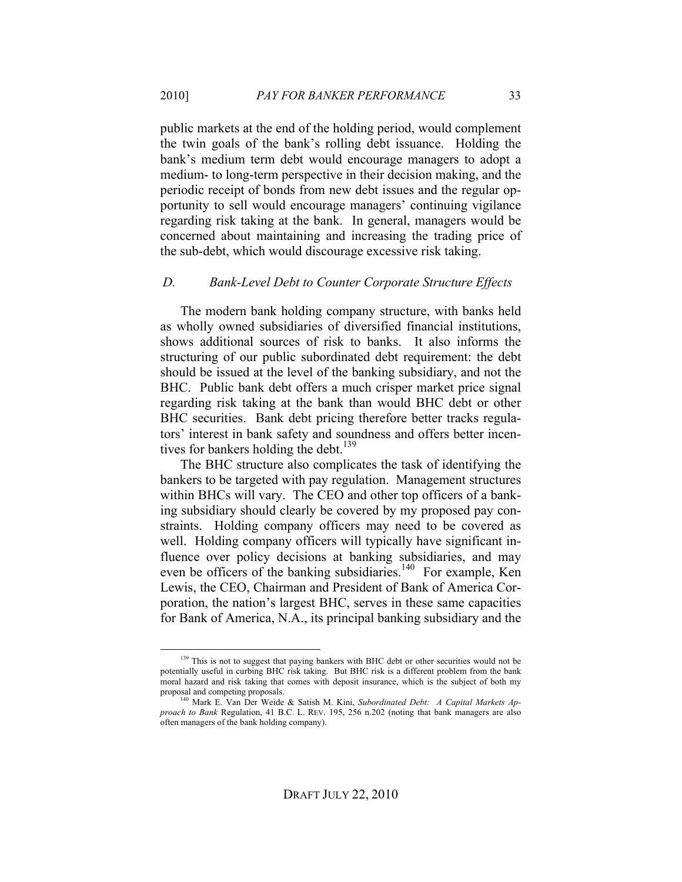public markets at the end of the holding period, would complement the twin goals of the bank's rolling debt issuance. Holding the bank's medium term debt would encourage managers to adopt a medium- to long-term perspective in their decision making, and the periodic receipt of bonds from new debt issues and the regular opportunity to sell would encourage managers' continuing vigilance regarding risk taking at the bank. In general, managers would be concerned about maintaining and increasing the trading price of the sub-debt, which would discourage excessive risk taking.

#### *D. Bank-Level Debt to Counter Corporate Structure Effects*

The modern bank holding company structure, with banks held as wholly owned subsidiaries of diversified financial institutions, shows additional sources of risk to banks. It also informs the structuring of our public subordinated debt requirement: the debt should be issued at the level of the banking subsidiary, and not the BHC. Public bank debt offers a much crisper market price signal regarding risk taking at the bank than would BHC debt or other BHC securities. Bank debt pricing therefore better tracks regulators' interest in bank safety and soundness and offers better incentives for bankers holding the debt.<sup>139</sup>

The BHC structure also complicates the task of identifying the bankers to be targeted with pay regulation. Management structures within BHCs will vary. The CEO and other top officers of a banking subsidiary should clearly be covered by my proposed pay constraints. Holding company officers may need to be covered as well. Holding company officers will typically have significant influence over policy decisions at banking subsidiaries, and may even be officers of the banking subsidiaries.<sup>140</sup> For example, Ken Lewis, the CEO, Chairman and President of Bank of America Corporation, the nation's largest BHC, serves in these same capacities for Bank of America, N.A., its principal banking subsidiary and the

<sup>&</sup>lt;sup>139</sup> This is not to suggest that paying bankers with BHC debt or other securities would not be potentially useful in curbing BHC risk taking. But BHC risk is a different problem from the bank moral hazard and risk taking that comes with deposit insurance, which is the subject of both my proposal and competing proposals.

<sup>140</sup> Mark E. Van Der Weide & Satish M. Kini, *Subordinated Debt: A Capital Markets Approach to Bank* Regulation, 41 B.C. L. REV. 195, 256 n.202 (noting that bank managers are also often managers of the bank holding company).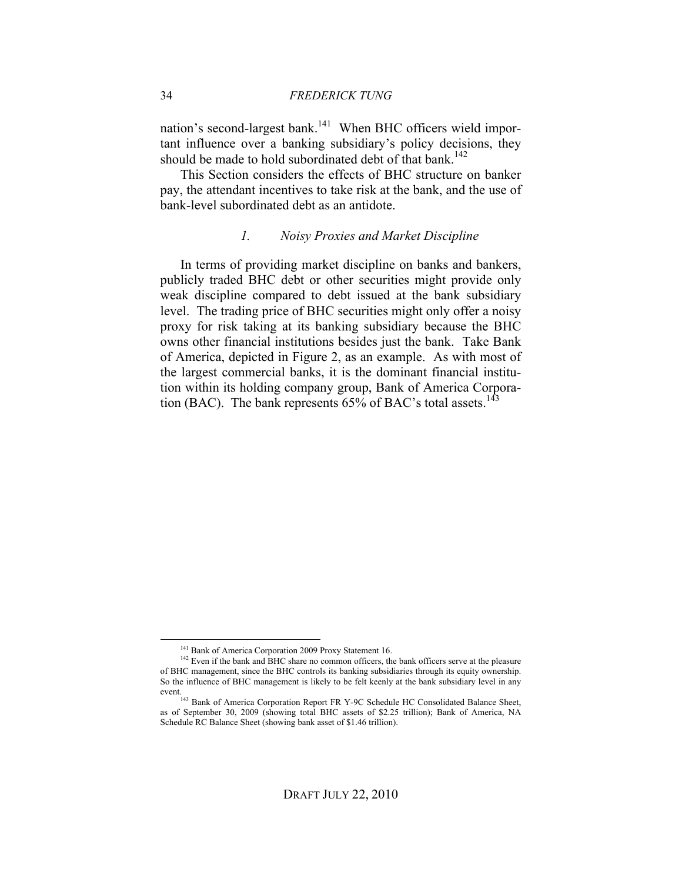nation's second-largest bank.<sup>141</sup> When BHC officers wield important influence over a banking subsidiary's policy decisions, they should be made to hold subordinated debt of that bank.<sup>142</sup>

This Section considers the effects of BHC structure on banker pay, the attendant incentives to take risk at the bank, and the use of bank-level subordinated debt as an antidote.

#### *1. Noisy Proxies and Market Discipline*

In terms of providing market discipline on banks and bankers, publicly traded BHC debt or other securities might provide only weak discipline compared to debt issued at the bank subsidiary level. The trading price of BHC securities might only offer a noisy proxy for risk taking at its banking subsidiary because the BHC owns other financial institutions besides just the bank. Take Bank of America, depicted in Figure 2, as an example. As with most of the largest commercial banks, it is the dominant financial institution within its holding company group, Bank of America Corporation (BAC). The bank represents  $65\%$  of BAC's total assets.<sup>143</sup>

<sup>&</sup>lt;sup>141</sup> Bank of America Corporation 2009 Proxy Statement 16.

<sup>&</sup>lt;sup>142</sup> Even if the bank and BHC share no common officers, the bank officers serve at the pleasure of BHC management, since the BHC controls its banking subsidiaries through its equity ownership. So the influence of BHC management is likely to be felt keenly at the bank subsidiary level in any event.<br><sup>143</sup> Bank of America Corporation Report FR Y-9C Schedule HC Consolidated Balance Sheet,

as of September 30, 2009 (showing total BHC assets of \$2.25 trillion); Bank of America, NA Schedule RC Balance Sheet (showing bank asset of \$1.46 trillion).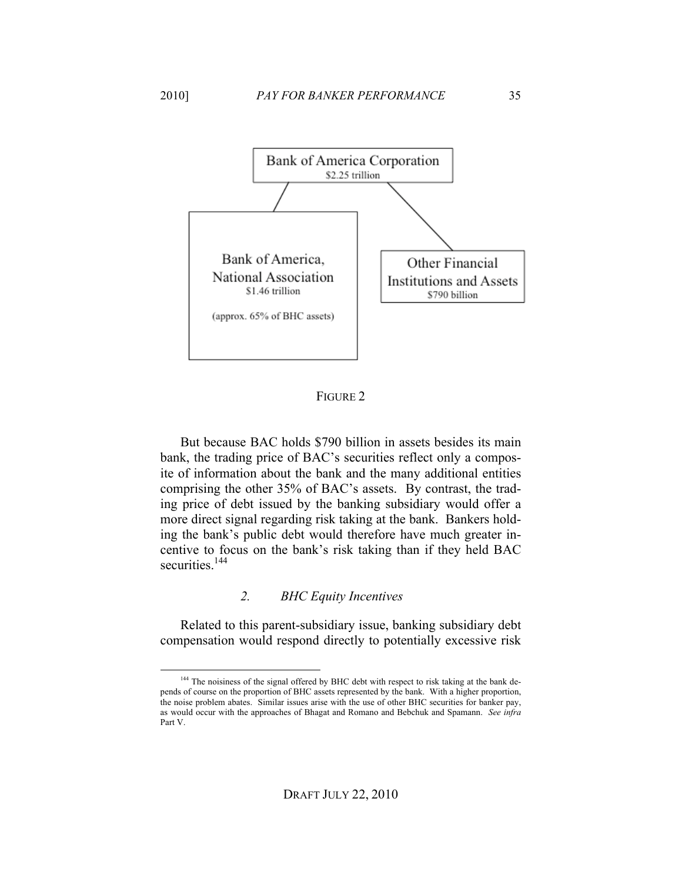

#### FIGURE 2

But because BAC holds \$790 billion in assets besides its main bank, the trading price of BAC's securities reflect only a composite of information about the bank and the many additional entities comprising the other 35% of BAC's assets. By contrast, the trading price of debt issued by the banking subsidiary would offer a more direct signal regarding risk taking at the bank. Bankers holding the bank's public debt would therefore have much greater incentive to focus on the bank's risk taking than if they held BAC securities.<sup>144</sup>

#### *2. BHC Equity Incentives*

Related to this parent-subsidiary issue, banking subsidiary debt compensation would respond directly to potentially excessive risk

<sup>&</sup>lt;sup>144</sup> The noisiness of the signal offered by BHC debt with respect to risk taking at the bank depends of course on the proportion of BHC assets represented by the bank. With a higher proportion, the noise problem abates. Similar issues arise with the use of other BHC securities for banker pay, as would occur with the approaches of Bhagat and Romano and Bebchuk and Spamann. *See infra*  Part V.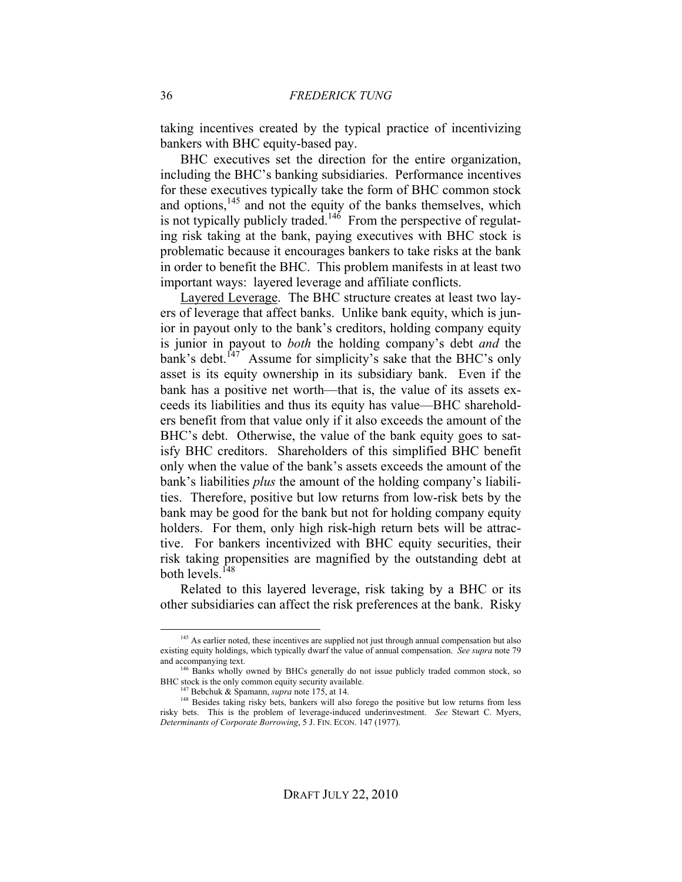taking incentives created by the typical practice of incentivizing bankers with BHC equity-based pay.

BHC executives set the direction for the entire organization, including the BHC's banking subsidiaries. Performance incentives for these executives typically take the form of BHC common stock and options,<sup>145</sup> and not the equity of the banks themselves, which is not typically publicly traded.<sup>146</sup> From the perspective of regulating risk taking at the bank, paying executives with BHC stock is problematic because it encourages bankers to take risks at the bank in order to benefit the BHC. This problem manifests in at least two important ways: layered leverage and affiliate conflicts.

Layered Leverage. The BHC structure creates at least two layers of leverage that affect banks. Unlike bank equity, which is junior in payout only to the bank's creditors, holding company equity is junior in payout to *both* the holding company's debt *and* the bank's debt.<sup>147</sup> Assume for simplicity's sake that the BHC's only asset is its equity ownership in its subsidiary bank. Even if the bank has a positive net worth—that is, the value of its assets exceeds its liabilities and thus its equity has value—BHC shareholders benefit from that value only if it also exceeds the amount of the BHC's debt. Otherwise, the value of the bank equity goes to satisfy BHC creditors. Shareholders of this simplified BHC benefit only when the value of the bank's assets exceeds the amount of the bank's liabilities *plus* the amount of the holding company's liabilities. Therefore, positive but low returns from low-risk bets by the bank may be good for the bank but not for holding company equity holders. For them, only high risk-high return bets will be attractive. For bankers incentivized with BHC equity securities, their risk taking propensities are magnified by the outstanding debt at both levels.<sup>148</sup>

Related to this layered leverage, risk taking by a BHC or its other subsidiaries can affect the risk preferences at the bank. Risky

<sup>&</sup>lt;sup>145</sup> As earlier noted, these incentives are supplied not just through annual compensation but also existing equity holdings, which typically dwarf the value of annual compensation. *See supra* note 79 and accompanying text.

<sup>&</sup>lt;sup>146</sup> Banks wholly owned by BHCs generally do not issue publicly traded common stock, so BHC stock is the only common equity security available.

<sup>147</sup> Bebchuk & Spamann, *supra* note 175, at 14.

<sup>&</sup>lt;sup>148</sup> Besides taking risky bets, bankers will also forego the positive but low returns from less risky bets. This is the problem of leverage-induced underinvestment. *See* Stewart C. Myers, *Determinants of Corporate Borrowing*, 5 J. FIN. ECON. 147 (1977).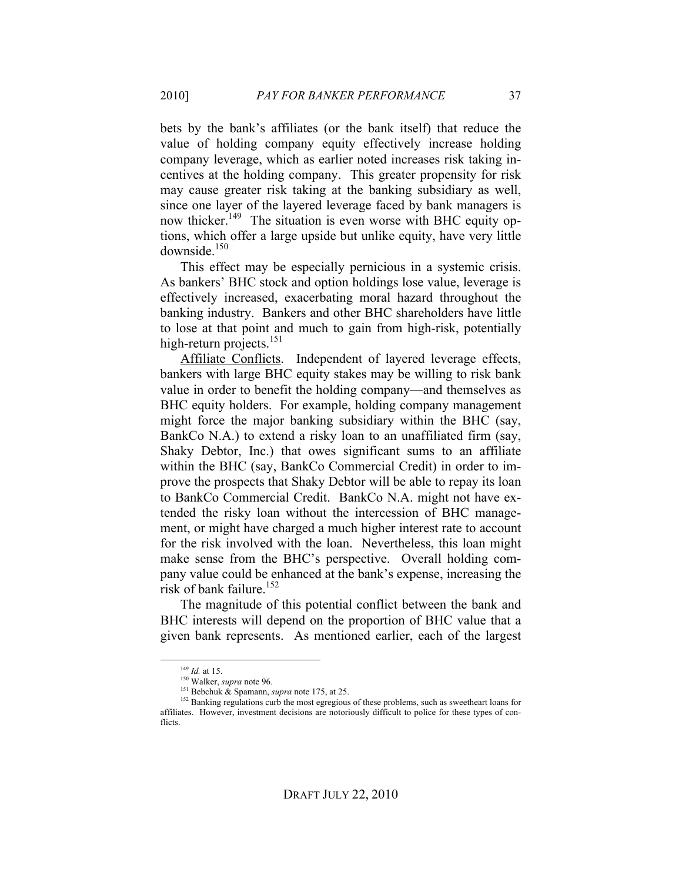bets by the bank's affiliates (or the bank itself) that reduce the value of holding company equity effectively increase holding company leverage, which as earlier noted increases risk taking incentives at the holding company. This greater propensity for risk may cause greater risk taking at the banking subsidiary as well, since one layer of the layered leverage faced by bank managers is now thicker.<sup>149</sup> The situation is even worse with BHC equity options, which offer a large upside but unlike equity, have very little downside.<sup>150</sup>

This effect may be especially pernicious in a systemic crisis. As bankers' BHC stock and option holdings lose value, leverage is effectively increased, exacerbating moral hazard throughout the banking industry. Bankers and other BHC shareholders have little to lose at that point and much to gain from high-risk, potentially high-return projects.<sup>151</sup>

Affiliate Conflicts. Independent of layered leverage effects, bankers with large BHC equity stakes may be willing to risk bank value in order to benefit the holding company—and themselves as BHC equity holders. For example, holding company management might force the major banking subsidiary within the BHC (say, BankCo N.A.) to extend a risky loan to an unaffiliated firm (say, Shaky Debtor, Inc.) that owes significant sums to an affiliate within the BHC (say, BankCo Commercial Credit) in order to improve the prospects that Shaky Debtor will be able to repay its loan to BankCo Commercial Credit. BankCo N.A. might not have extended the risky loan without the intercession of BHC management, or might have charged a much higher interest rate to account for the risk involved with the loan. Nevertheless, this loan might make sense from the BHC's perspective. Overall holding company value could be enhanced at the bank's expense, increasing the risk of bank failure.<sup>152</sup>

The magnitude of this potential conflict between the bank and BHC interests will depend on the proportion of BHC value that a given bank represents. As mentioned earlier, each of the largest

<sup>&</sup>lt;sup>149</sup> *Id.* at 15.<br><sup>150</sup> Walker, *supra* note 96.

<sup>151</sup> Bebchuk & Spamann, *supra* note 175, at 25.

<sup>&</sup>lt;sup>152</sup> Banking regulations curb the most egregious of these problems, such as sweetheart loans for affiliates. However, investment decisions are notoriously difficult to police for these types of conflicts.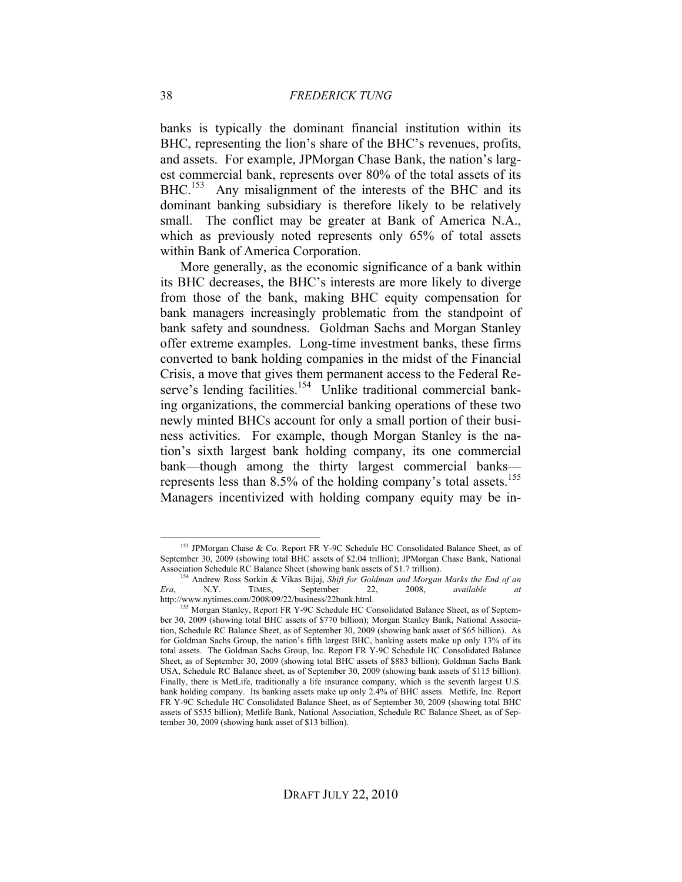banks is typically the dominant financial institution within its BHC, representing the lion's share of the BHC's revenues, profits, and assets. For example, JPMorgan Chase Bank, the nation's largest commercial bank, represents over 80% of the total assets of its BHC.<sup>153</sup> Any misalignment of the interests of the BHC and its dominant banking subsidiary is therefore likely to be relatively small. The conflict may be greater at Bank of America N.A., which as previously noted represents only 65% of total assets within Bank of America Corporation.

More generally, as the economic significance of a bank within its BHC decreases, the BHC's interests are more likely to diverge from those of the bank, making BHC equity compensation for bank managers increasingly problematic from the standpoint of bank safety and soundness. Goldman Sachs and Morgan Stanley offer extreme examples. Long-time investment banks, these firms converted to bank holding companies in the midst of the Financial Crisis, a move that gives them permanent access to the Federal Reserve's lending facilities.<sup>154</sup> Unlike traditional commercial banking organizations, the commercial banking operations of these two newly minted BHCs account for only a small portion of their business activities. For example, though Morgan Stanley is the nation's sixth largest bank holding company, its one commercial bank—though among the thirty largest commercial banks represents less than  $8.5\%$  of the holding company's total assets.<sup>155</sup> Managers incentivized with holding company equity may be in-

<sup>&</sup>lt;sup>153</sup> JPMorgan Chase & Co. Report FR Y-9C Schedule HC Consolidated Balance Sheet, as of September 30, 2009 (showing total BHC assets of \$2.04 trillion); JPMorgan Chase Bank, National Association Schedule RC Balance Sheet (showing bank assets of \$1.7 trillion).

<sup>&</sup>lt;sup>1</sup> Andrew Ross Sorkin & Vikas Bijaj, *Shift for Goldman and Morgan Marks the End of an* N.Y. TIMES, September 22, 2008, *available at Era*, N.Y. TIMES, September 22, 2008, *available at*

<sup>&</sup>lt;sup>155</sup> Morgan Stanley, Report FR Y-9C Schedule HC Consolidated Balance Sheet, as of September 30, 2009 (showing total BHC assets of \$770 billion); Morgan Stanley Bank, National Association, Schedule RC Balance Sheet, as of September 30, 2009 (showing bank asset of \$65 billion). As for Goldman Sachs Group, the nation's fifth largest BHC, banking assets make up only 13% of its total assets. The Goldman Sachs Group, Inc. Report FR Y-9C Schedule HC Consolidated Balance Sheet, as of September 30, 2009 (showing total BHC assets of \$883 billion); Goldman Sachs Bank USA, Schedule RC Balance sheet, as of September 30, 2009 (showing bank assets of \$115 billion). Finally, there is MetLife, traditionally a life insurance company, which is the seventh largest U.S. bank holding company. Its banking assets make up only 2.4% of BHC assets. Metlife, Inc. Report FR Y-9C Schedule HC Consolidated Balance Sheet, as of September 30, 2009 (showing total BHC assets of \$535 billion); Metlife Bank, National Association, Schedule RC Balance Sheet, as of September 30, 2009 (showing bank asset of \$13 billion).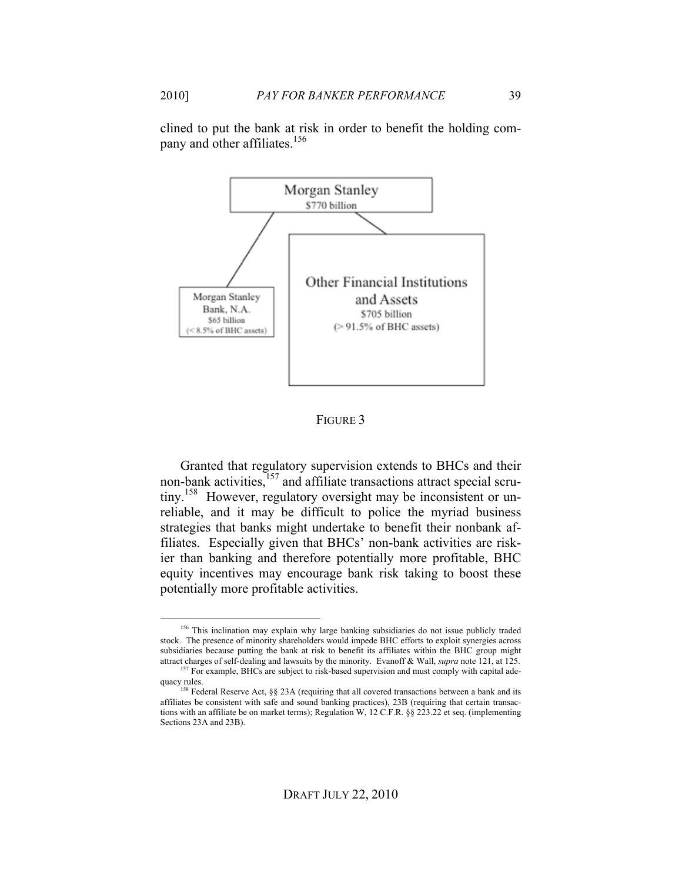2010] *PAY FOR BANKER PERFORMANCE* 39

clined to put the bank at risk in order to benefit the holding company and other affiliates.<sup>156</sup>



FIGURE 3

Granted that regulatory supervision extends to BHCs and their non-bank activities,<sup>157</sup> and affiliate transactions attract special scrutiny.<sup>158</sup> However, regulatory oversight may be inconsistent or unreliable, and it may be difficult to police the myriad business strategies that banks might undertake to benefit their nonbank affiliates. Especially given that BHCs' non-bank activities are riskier than banking and therefore potentially more profitable, BHC equity incentives may encourage bank risk taking to boost these potentially more profitable activities.

<sup>&</sup>lt;sup>156</sup> This inclination may explain why large banking subsidiaries do not issue publicly traded stock. The presence of minority shareholders would impede BHC efforts to exploit synergies across subsidiaries because putting the bank at risk to benefit its affiliates within the BHC group might attract charges of self-dealing and lawsuits by the minority. Evanoff & Wall, *supra* note 121, at 125.

 $157$  For example, BHCs are subject to risk-based supervision and must comply with capital adequacy rules.<br><sup>158</sup> Federal Reserve Act, §§ 23A (requiring that all covered transactions between a bank and its

affiliates be consistent with safe and sound banking practices), 23B (requiring that certain transactions with an affiliate be on market terms); Regulation W, 12 C.F.R. §§ 223.22 et seq. (implementing Sections 23A and 23B).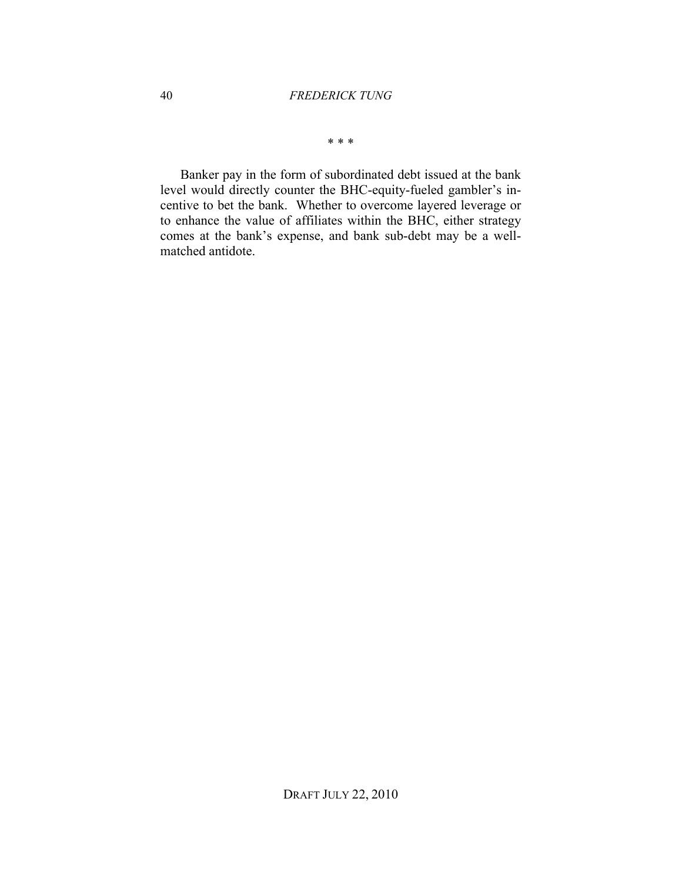\* \* \*

Banker pay in the form of subordinated debt issued at the bank level would directly counter the BHC-equity-fueled gambler's incentive to bet the bank. Whether to overcome layered leverage or to enhance the value of affiliates within the BHC, either strategy comes at the bank's expense, and bank sub-debt may be a wellmatched antidote.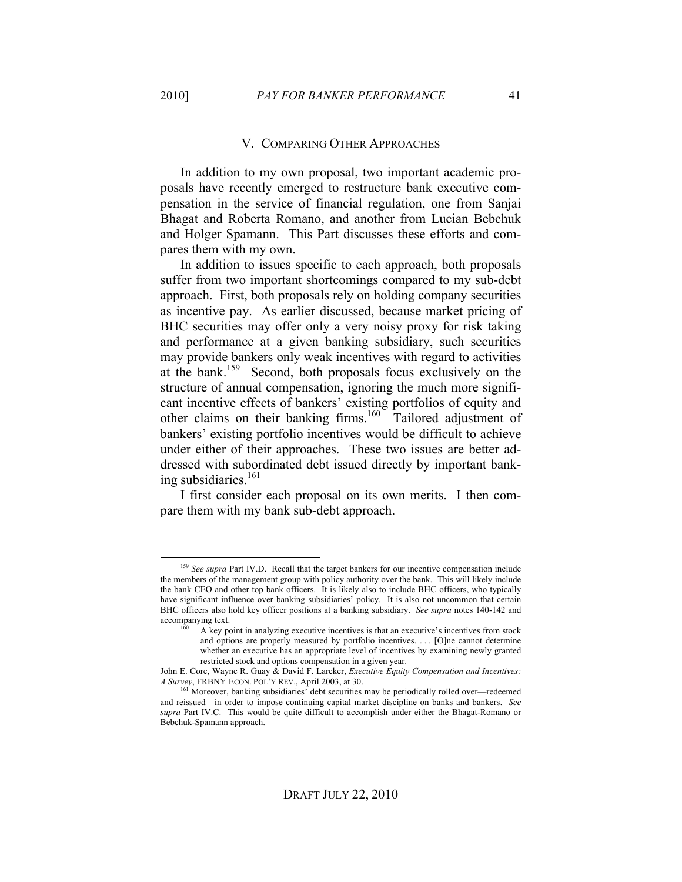#### V. COMPARING OTHER APPROACHES

In addition to my own proposal, two important academic proposals have recently emerged to restructure bank executive compensation in the service of financial regulation, one from Sanjai Bhagat and Roberta Romano, and another from Lucian Bebchuk and Holger Spamann. This Part discusses these efforts and compares them with my own.

In addition to issues specific to each approach, both proposals suffer from two important shortcomings compared to my sub-debt approach. First, both proposals rely on holding company securities as incentive pay. As earlier discussed, because market pricing of BHC securities may offer only a very noisy proxy for risk taking and performance at a given banking subsidiary, such securities may provide bankers only weak incentives with regard to activities at the bank.<sup>159</sup> Second, both proposals focus exclusively on the structure of annual compensation, ignoring the much more significant incentive effects of bankers' existing portfolios of equity and other claims on their banking firms.<sup>160</sup> Tailored adjustment of bankers' existing portfolio incentives would be difficult to achieve under either of their approaches. These two issues are better addressed with subordinated debt issued directly by important banking subsidiaries. $161$ 

I first consider each proposal on its own merits. I then compare them with my bank sub-debt approach.

<sup>&</sup>lt;sup>159</sup> See supra Part IV.D. Recall that the target bankers for our incentive compensation include the members of the management group with policy authority over the bank. This will likely include the bank CEO and other top bank officers. It is likely also to include BHC officers, who typically have significant influence over banking subsidiaries' policy. It is also not uncommon that certain BHC officers also hold key officer positions at a banking subsidiary. *See supra* notes 140-142 and accompanying text.

<sup>160</sup> A key point in analyzing executive incentives is that an executive's incentives from stock and options are properly measured by portfolio incentives. . . . [O]ne cannot determine whether an executive has an appropriate level of incentives by examining newly granted restricted stock and options compensation in a given year.

John E. Core, Wayne R. Guay & David F. Larcker, *Executive Equity Compensation and Incentives: A Survey*, FRBNY ECON. POL'Y REV., April 2003, at 30.

<sup>&</sup>lt;sup>161</sup> Moreover, banking subsidiaries' debt securities may be periodically rolled over—redeemed and reissued—in order to impose continuing capital market discipline on banks and bankers. *See supra* Part IV.C. This would be quite difficult to accomplish under either the Bhagat-Romano or Bebchuk-Spamann approach.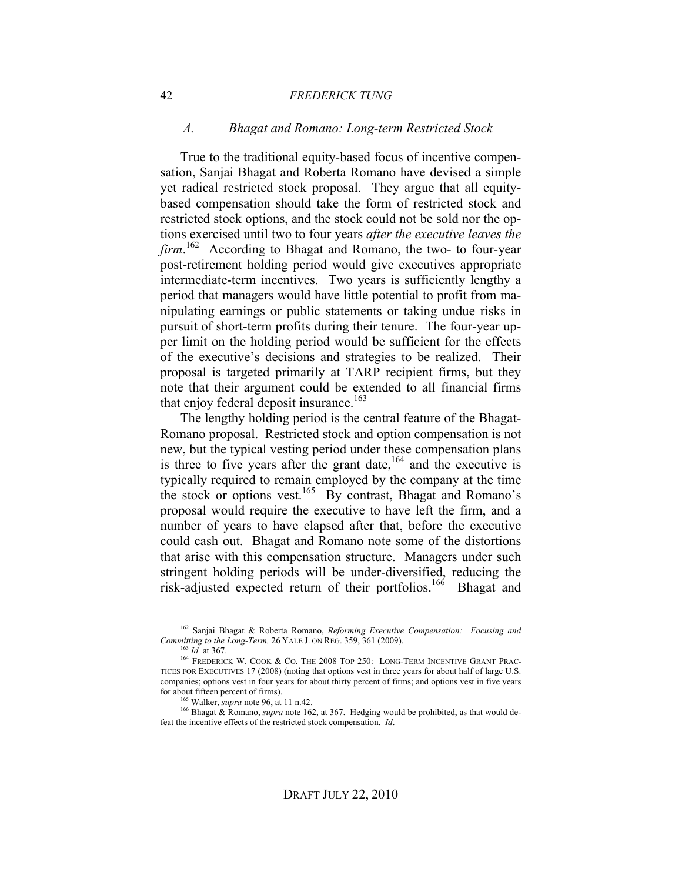#### 42 *FREDERICK TUNG*

#### *A. Bhagat and Romano: Long-term Restricted Stock*

True to the traditional equity-based focus of incentive compensation, Sanjai Bhagat and Roberta Romano have devised a simple yet radical restricted stock proposal. They argue that all equitybased compensation should take the form of restricted stock and restricted stock options, and the stock could not be sold nor the options exercised until two to four years *after the executive leaves the firm*. 162 According to Bhagat and Romano, the two- to four-year post-retirement holding period would give executives appropriate intermediate-term incentives. Two years is sufficiently lengthy a period that managers would have little potential to profit from manipulating earnings or public statements or taking undue risks in pursuit of short-term profits during their tenure. The four-year upper limit on the holding period would be sufficient for the effects of the executive's decisions and strategies to be realized. Their proposal is targeted primarily at TARP recipient firms, but they note that their argument could be extended to all financial firms that enjoy federal deposit insurance.<sup>163</sup>

The lengthy holding period is the central feature of the Bhagat-Romano proposal. Restricted stock and option compensation is not new, but the typical vesting period under these compensation plans is three to five years after the grant date,  $164$  and the executive is typically required to remain employed by the company at the time the stock or options vest.<sup>165</sup> By contrast, Bhagat and Romano's proposal would require the executive to have left the firm, and a number of years to have elapsed after that, before the executive could cash out. Bhagat and Romano note some of the distortions that arise with this compensation structure. Managers under such stringent holding periods will be under-diversified, reducing the risk-adjusted expected return of their portfolios.<sup>166</sup> Bhagat and

 <sup>162</sup> Sanjai Bhagat & Roberta Romano, *Reforming Executive Compensation: Focusing and Committing to the Long-Term,* 26 YALE J. ON REG. 359, 361 (2009).

<sup>163</sup> *Id.* at 367.

<sup>164</sup> FREDERICK W. COOK & CO. THE 2008 TOP 250: LONG-TERM INCENTIVE GRANT PRAC-TICES FOR EXECUTIVES 17 (2008) (noting that options vest in three years for about half of large U.S. companies; options vest in four years for about thirty percent of firms; and options vest in five years for about fifteen percent of firms).

 $165$  Walker, *supra* note 96, at 11 n.42.

<sup>166</sup> Bhagat & Romano, *supra* note 162, at 367. Hedging would be prohibited, as that would defeat the incentive effects of the restricted stock compensation. *Id*.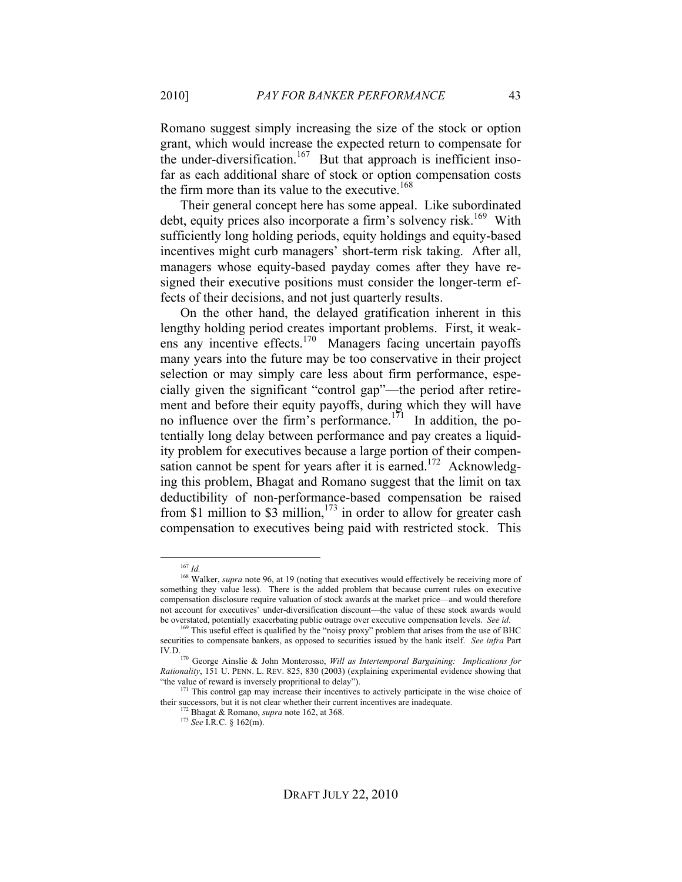Romano suggest simply increasing the size of the stock or option grant, which would increase the expected return to compensate for the under-diversification.<sup>167</sup> But that approach is inefficient insofar as each additional share of stock or option compensation costs the firm more than its value to the executive.<sup>168</sup>

Their general concept here has some appeal. Like subordinated debt, equity prices also incorporate a firm's solvency risk.<sup>169</sup> With sufficiently long holding periods, equity holdings and equity-based incentives might curb managers' short-term risk taking. After all, managers whose equity-based payday comes after they have resigned their executive positions must consider the longer-term effects of their decisions, and not just quarterly results.

On the other hand, the delayed gratification inherent in this lengthy holding period creates important problems. First, it weakens any incentive effects.170 Managers facing uncertain payoffs many years into the future may be too conservative in their project selection or may simply care less about firm performance, especially given the significant "control gap"—the period after retirement and before their equity payoffs, during which they will have no influence over the firm's performance.<sup>171</sup> In addition, the potentially long delay between performance and pay creates a liquidity problem for executives because a large portion of their compensation cannot be spent for years after it is earned.<sup>172</sup> Acknowledging this problem, Bhagat and Romano suggest that the limit on tax deductibility of non-performance-based compensation be raised from \$1 million to \$3 million,<sup>173</sup> in order to allow for greater cash compensation to executives being paid with restricted stock. This

 <sup>167</sup> *Id.*

<sup>&</sup>lt;sup>168</sup> Walker, *supra* note 96, at 19 (noting that executives would effectively be receiving more of something they value less). There is the added problem that because current rules on executive compensation disclosure require valuation of stock awards at the market price—and would therefore not account for executives' under-diversification discount—the value of these stock awards would be overstated, potentially exacerbating public outrage over executive compensation levels. *See id*.

<sup>&</sup>lt;sup>169</sup> This useful effect is qualified by the "noisy proxy" problem that arises from the use of BHC securities to compensate bankers, as opposed to securities issued by the bank itself. *See infra* Part IV.D.

<sup>170</sup> George Ainslie & John Monterosso, *Will as Intertemporal Bargaining: Implications for Rationality*, 151 U. PENN. L. REV. 825, 830 (2003) (explaining experimental evidence showing that "the value of reward is inversely propritional to delay").

 $171$  This control gap may increase their incentives to actively participate in the wise choice of their successors, but it is not clear whether their current incentives are inadequate.

<sup>172</sup> Bhagat & Romano, *supra* note 162, at 368.

<sup>173</sup> *See* I.R.C. § 162(m).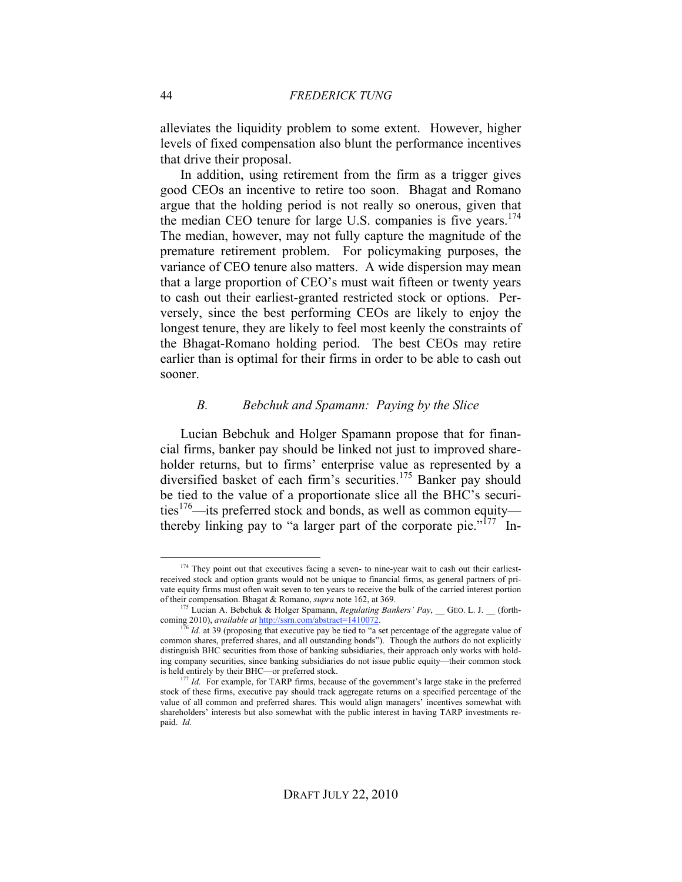alleviates the liquidity problem to some extent. However, higher levels of fixed compensation also blunt the performance incentives that drive their proposal.

In addition, using retirement from the firm as a trigger gives good CEOs an incentive to retire too soon. Bhagat and Romano argue that the holding period is not really so onerous, given that the median CEO tenure for large U.S. companies is five years.<sup>174</sup> The median, however, may not fully capture the magnitude of the premature retirement problem. For policymaking purposes, the variance of CEO tenure also matters. A wide dispersion may mean that a large proportion of CEO's must wait fifteen or twenty years to cash out their earliest-granted restricted stock or options. Perversely, since the best performing CEOs are likely to enjoy the longest tenure, they are likely to feel most keenly the constraints of the Bhagat-Romano holding period. The best CEOs may retire earlier than is optimal for their firms in order to be able to cash out sooner.

#### *B. Bebchuk and Spamann: Paying by the Slice*

Lucian Bebchuk and Holger Spamann propose that for financial firms, banker pay should be linked not just to improved shareholder returns, but to firms' enterprise value as represented by a diversified basket of each firm's securities.<sup>175</sup> Banker pay should be tied to the value of a proportionate slice all the BHC's securities<sup>176</sup>—its preferred stock and bonds, as well as common equity thereby linking pay to "a larger part of the corporate pie."<sup>177</sup> In-

<sup>&</sup>lt;sup>174</sup> They point out that executives facing a seven- to nine-year wait to cash out their earliestreceived stock and option grants would not be unique to financial firms, as general partners of private equity firms must often wait seven to ten years to receive the bulk of the carried interest portion of their compensation. Bhagat & Romano, *supra* note 162, at 369.

<sup>175</sup> Lucian A. Bebchuk & Holger Spamann, *Regulating Bankers' Pay*, \_\_ GEO. L. J. \_\_ (forthcoming 2010), *available at* http://ssrn.com/abstract=1410072. <sup>176</sup> *Id.* at 39 (proposing that executive pay be tied to "a set percentage of the aggregate value of

common shares, preferred shares, and all outstanding bonds"). Though the authors do not explicitly distinguish BHC securities from those of banking subsidiaries, their approach only works with holding company securities, since banking subsidiaries do not issue public equity—their common stock is held entirely by their BHC—or preferred stock.

<sup>&</sup>lt;sup>177</sup> *Id.* For example, for TARP firms, because of the government's large stake in the preferred stock of these firms, executive pay should track aggregate returns on a specified percentage of the value of all common and preferred shares. This would align managers' incentives somewhat with shareholders' interests but also somewhat with the public interest in having TARP investments repaid. *Id.*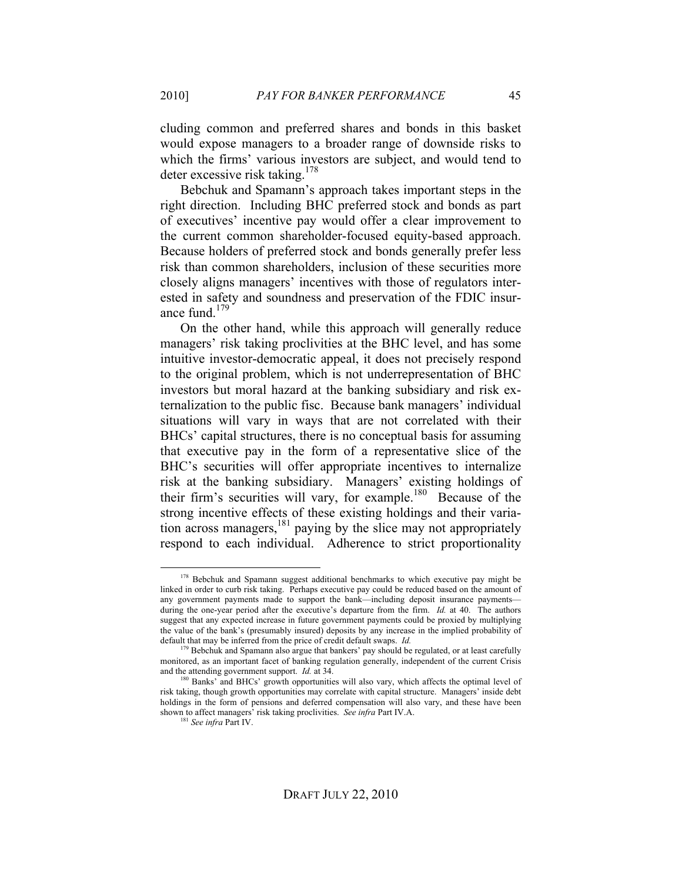cluding common and preferred shares and bonds in this basket would expose managers to a broader range of downside risks to which the firms' various investors are subject, and would tend to deter excessive risk taking.178

Bebchuk and Spamann's approach takes important steps in the right direction. Including BHC preferred stock and bonds as part of executives' incentive pay would offer a clear improvement to the current common shareholder-focused equity-based approach. Because holders of preferred stock and bonds generally prefer less risk than common shareholders, inclusion of these securities more closely aligns managers' incentives with those of regulators interested in safety and soundness and preservation of the FDIC insurance fund. $179$ 

On the other hand, while this approach will generally reduce managers' risk taking proclivities at the BHC level, and has some intuitive investor-democratic appeal, it does not precisely respond to the original problem, which is not underrepresentation of BHC investors but moral hazard at the banking subsidiary and risk externalization to the public fisc. Because bank managers' individual situations will vary in ways that are not correlated with their BHCs' capital structures, there is no conceptual basis for assuming that executive pay in the form of a representative slice of the BHC's securities will offer appropriate incentives to internalize risk at the banking subsidiary. Managers' existing holdings of their firm's securities will vary, for example.<sup>180</sup> Because of the strong incentive effects of these existing holdings and their variation across managers,181 paying by the slice may not appropriately respond to each individual. Adherence to strict proportionality

<sup>&</sup>lt;sup>178</sup> Bebchuk and Spamann suggest additional benchmarks to which executive pay might be linked in order to curb risk taking. Perhaps executive pay could be reduced based on the amount of any government payments made to support the bank—including deposit insurance payments during the one-year period after the executive's departure from the firm. *Id.* at 40. The authors suggest that any expected increase in future government payments could be proxied by multiplying the value of the bank's (presumably insured) deposits by any increase in the implied probability of default that may be inferred from the price of credit default swaps. *Id.*

<sup>&</sup>lt;sup>179</sup> Bebchuk and Spamann also argue that bankers' pay should be regulated, or at least carefully monitored, as an important facet of banking regulation generally, independent of the current Crisis and the attending government support. *Id.* at 34.

<sup>&</sup>lt;sup>180</sup> Banks' and BHCs' growth opportunities will also vary, which affects the optimal level of risk taking, though growth opportunities may correlate with capital structure. Managers' inside debt holdings in the form of pensions and deferred compensation will also vary, and these have been shown to affect managers' risk taking proclivities. *See infra* Part IV.A.

<sup>181</sup> *See infra* Part IV.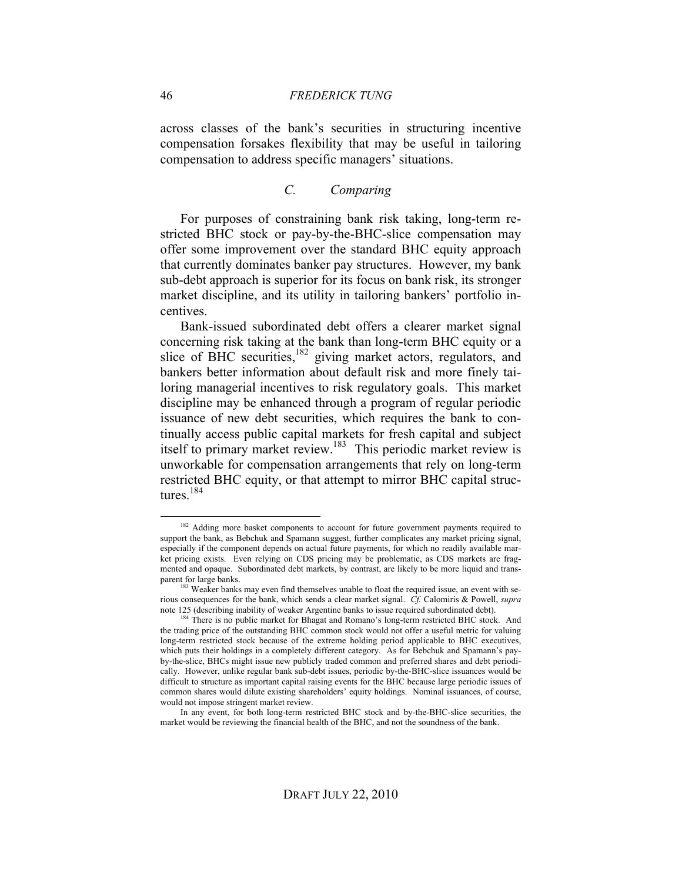across classes of the bank's securities in structuring incentive compensation forsakes flexibility that may be useful in tailoring compensation to address specific managers' situations.

### *C. Comparing*

For purposes of constraining bank risk taking, long-term restricted BHC stock or pay-by-the-BHC-slice compensation may offer some improvement over the standard BHC equity approach that currently dominates banker pay structures. However, my bank sub-debt approach is superior for its focus on bank risk, its stronger market discipline, and its utility in tailoring bankers' portfolio incentives.

Bank-issued subordinated debt offers a clearer market signal concerning risk taking at the bank than long-term BHC equity or a slice of BHC securities,<sup>182</sup> giving market actors, regulators, and bankers better information about default risk and more finely tailoring managerial incentives to risk regulatory goals. This market discipline may be enhanced through a program of regular periodic issuance of new debt securities, which requires the bank to continually access public capital markets for fresh capital and subject itself to primary market review.<sup>183</sup> This periodic market review is unworkable for compensation arrangements that rely on long-term restricted BHC equity, or that attempt to mirror BHC capital structures.<sup>184</sup>

<sup>&</sup>lt;sup>182</sup> Adding more basket components to account for future government payments required to support the bank, as Bebchuk and Spamann suggest, further complicates any market pricing signal, especially if the component depends on actual future payments, for which no readily available market pricing exists. Even relying on CDS pricing may be problematic, as CDS markets are fragmented and opaque. Subordinated debt markets, by contrast, are likely to be more liquid and transparent for large banks.

<sup>&</sup>lt;sup>183</sup> Weaker banks may even find themselves unable to float the required issue, an event with serious consequences for the bank, which sends a clear market signal. *Cf.* Calomiris & Powell, *supra* note 125 (describing inability of weaker Argentine banks to issue required subordinated debt). 184 There is no public market for Bhagat and Romano's long-term restricted BHC stock. And

the trading price of the outstanding BHC common stock would not offer a useful metric for valuing long-term restricted stock because of the extreme holding period applicable to BHC executives, which puts their holdings in a completely different category. As for Bebchuk and Spamann's payby-the-slice, BHCs might issue new publicly traded common and preferred shares and debt periodically. However, unlike regular bank sub-debt issues, periodic by-the-BHC-slice issuances would be difficult to structure as important capital raising events for the BHC because large periodic issues of common shares would dilute existing shareholders' equity holdings. Nominal issuances, of course, would not impose stringent market review.

In any event, for both long-term restricted BHC stock and by-the-BHC-slice securities, the market would be reviewing the financial health of the BHC, and not the soundness of the bank.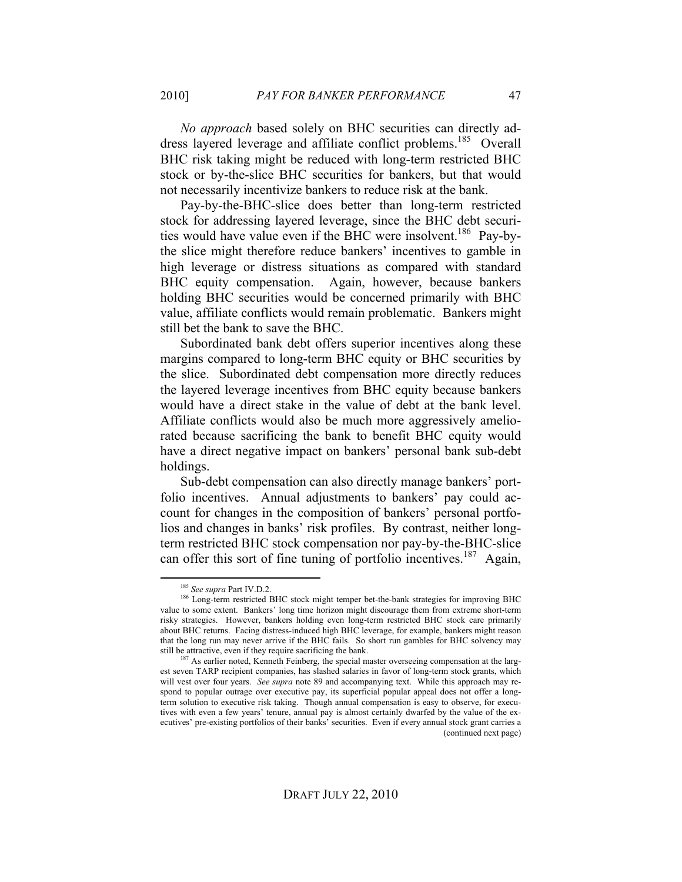*No approach* based solely on BHC securities can directly address layered leverage and affiliate conflict problems.<sup>185</sup> Overall BHC risk taking might be reduced with long-term restricted BHC stock or by-the-slice BHC securities for bankers, but that would not necessarily incentivize bankers to reduce risk at the bank.

Pay-by-the-BHC-slice does better than long-term restricted stock for addressing layered leverage, since the BHC debt securities would have value even if the BHC were insolvent.<sup>186</sup> Pay-bythe slice might therefore reduce bankers' incentives to gamble in high leverage or distress situations as compared with standard BHC equity compensation. Again, however, because bankers holding BHC securities would be concerned primarily with BHC value, affiliate conflicts would remain problematic. Bankers might still bet the bank to save the BHC.

Subordinated bank debt offers superior incentives along these margins compared to long-term BHC equity or BHC securities by the slice. Subordinated debt compensation more directly reduces the layered leverage incentives from BHC equity because bankers would have a direct stake in the value of debt at the bank level. Affiliate conflicts would also be much more aggressively ameliorated because sacrificing the bank to benefit BHC equity would have a direct negative impact on bankers' personal bank sub-debt holdings.

Sub-debt compensation can also directly manage bankers' portfolio incentives. Annual adjustments to bankers' pay could account for changes in the composition of bankers' personal portfolios and changes in banks' risk profiles. By contrast, neither longterm restricted BHC stock compensation nor pay-by-the-BHC-slice can offer this sort of fine tuning of portfolio incentives.<sup>187</sup> Again,

 <sup>185</sup> *See supra* Part IV.D.2.

<sup>186</sup> Long-term restricted BHC stock might temper bet-the-bank strategies for improving BHC value to some extent. Bankers' long time horizon might discourage them from extreme short-term risky strategies. However, bankers holding even long-term restricted BHC stock care primarily about BHC returns. Facing distress-induced high BHC leverage, for example, bankers might reason that the long run may never arrive if the BHC fails. So short run gambles for BHC solvency may still be attractive, even if they require sacrificing the bank.

<sup>&</sup>lt;sup>87</sup> As earlier noted, Kenneth Feinberg, the special master overseeing compensation at the largest seven TARP recipient companies, has slashed salaries in favor of long-term stock grants, which will vest over four years. *See supra* note 89 and accompanying text. While this approach may respond to popular outrage over executive pay, its superficial popular appeal does not offer a longterm solution to executive risk taking. Though annual compensation is easy to observe, for executives with even a few years' tenure, annual pay is almost certainly dwarfed by the value of the executives' pre-existing portfolios of their banks' securities. Even if every annual stock grant carries a (continued next page)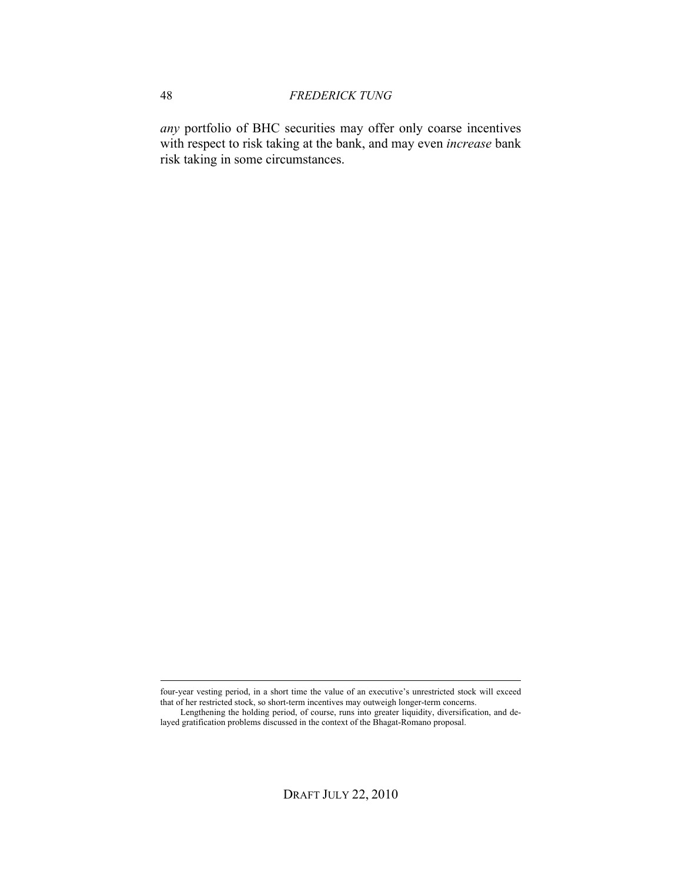*any* portfolio of BHC securities may offer only coarse incentives with respect to risk taking at the bank, and may even *increase* bank risk taking in some circumstances.

four-year vesting period, in a short time the value of an executive's unrestricted stock will exceed that of her restricted stock, so short-term incentives may outweigh longer-term concerns.

Lengthening the holding period, of course, runs into greater liquidity, diversification, and delayed gratification problems discussed in the context of the Bhagat-Romano proposal.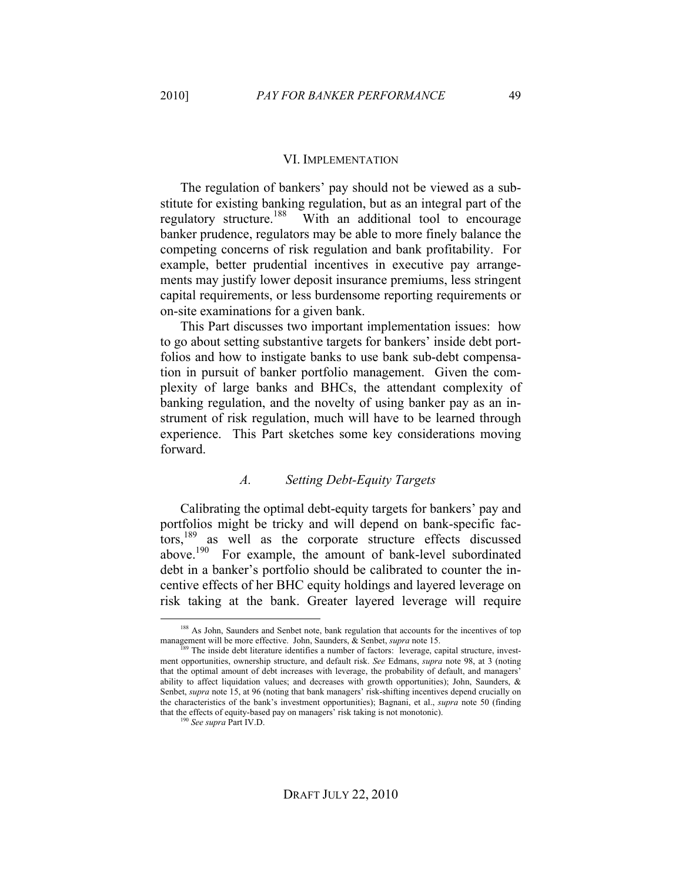## VI. IMPLEMENTATION

The regulation of bankers' pay should not be viewed as a substitute for existing banking regulation, but as an integral part of the regulatory structure.<sup>188</sup> With an additional tool to encourage banker prudence, regulators may be able to more finely balance the competing concerns of risk regulation and bank profitability. For example, better prudential incentives in executive pay arrangements may justify lower deposit insurance premiums, less stringent capital requirements, or less burdensome reporting requirements or on-site examinations for a given bank.

This Part discusses two important implementation issues: how to go about setting substantive targets for bankers' inside debt portfolios and how to instigate banks to use bank sub-debt compensation in pursuit of banker portfolio management. Given the complexity of large banks and BHCs, the attendant complexity of banking regulation, and the novelty of using banker pay as an instrument of risk regulation, much will have to be learned through experience. This Part sketches some key considerations moving forward.

#### *A. Setting Debt-Equity Targets*

Calibrating the optimal debt-equity targets for bankers' pay and portfolios might be tricky and will depend on bank-specific factors,<sup>189</sup> as well as the corporate structure effects discussed above.<sup>190</sup> For example, the amount of bank-level subordinated debt in a banker's portfolio should be calibrated to counter the incentive effects of her BHC equity holdings and layered leverage on risk taking at the bank. Greater layered leverage will require

<sup>&</sup>lt;sup>188</sup> As John, Saunders and Senbet note, bank regulation that accounts for the incentives of top management will be more effective. John, Saunders, & Senbet, *supra* note 15.

<sup>&</sup>lt;sup>189</sup> The inside debt literature identifies a number of factors: leverage, capital structure, investment opportunities, ownership structure, and default risk. *See* Edmans, *supra* note 98, at 3 (noting that the optimal amount of debt increases with leverage, the probability of default, and managers' ability to affect liquidation values; and decreases with growth opportunities); John, Saunders, & Senbet, *supra* note 15, at 96 (noting that bank managers' risk-shifting incentives depend crucially on the characteristics of the bank's investment opportunities); Bagnani, et al., *supra* note 50 (finding that the effects of equity-based pay on managers' risk taking is not monotonic).

<sup>190</sup> *See supra* Part IV.D.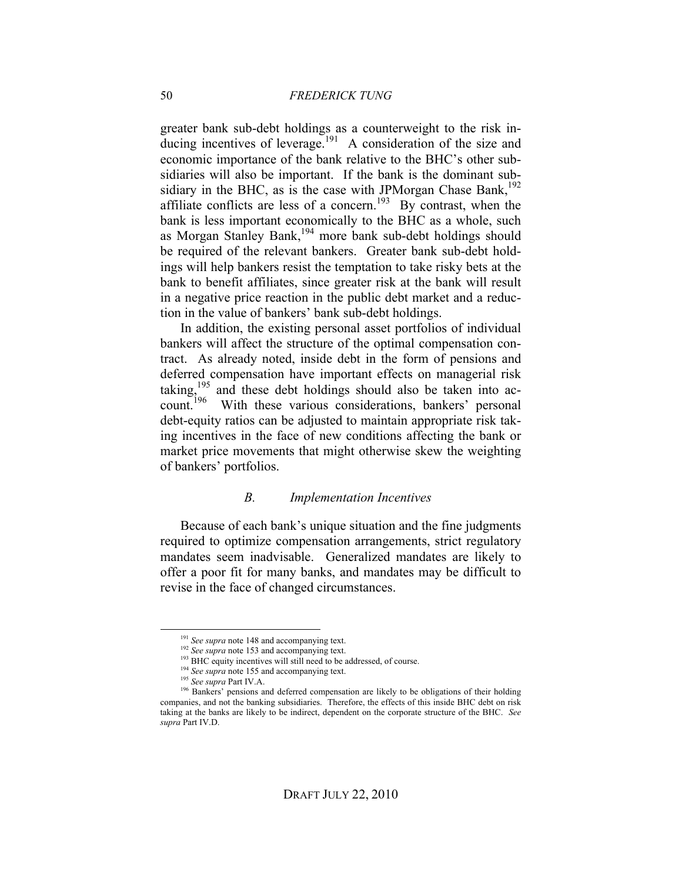greater bank sub-debt holdings as a counterweight to the risk inducing incentives of leverage.<sup>191</sup> A consideration of the size and economic importance of the bank relative to the BHC's other subsidiaries will also be important. If the bank is the dominant subsidiary in the BHC, as is the case with JPMorgan Chase Bank,<sup>192</sup> affiliate conflicts are less of a concern.<sup>193</sup> By contrast, when the bank is less important economically to the BHC as a whole, such as Morgan Stanley Bank,<sup>194</sup> more bank sub-debt holdings should be required of the relevant bankers. Greater bank sub-debt holdings will help bankers resist the temptation to take risky bets at the bank to benefit affiliates, since greater risk at the bank will result in a negative price reaction in the public debt market and a reduction in the value of bankers' bank sub-debt holdings.

In addition, the existing personal asset portfolios of individual bankers will affect the structure of the optimal compensation contract. As already noted, inside debt in the form of pensions and deferred compensation have important effects on managerial risk taking,<sup>195</sup> and these debt holdings should also be taken into account.<sup>196</sup> With these various considerations, bankers' personal debt-equity ratios can be adjusted to maintain appropriate risk taking incentives in the face of new conditions affecting the bank or market price movements that might otherwise skew the weighting of bankers' portfolios.

#### *B. Implementation Incentives*

Because of each bank's unique situation and the fine judgments required to optimize compensation arrangements, strict regulatory mandates seem inadvisable. Generalized mandates are likely to offer a poor fit for many banks, and mandates may be difficult to revise in the face of changed circumstances.

<sup>&</sup>lt;sup>191</sup> See supra note 148 and accompanying text.

<sup>&</sup>lt;sup>192</sup> See supra note 153 and accompanying text.

<sup>&</sup>lt;sup>193</sup> BHC equity incentives will still need to be addressed, of course.

<sup>&</sup>lt;sup>194</sup> See supra note 155 and accompanying text.

<sup>195</sup> *See supra* Part IV.A.

<sup>&</sup>lt;sup>196</sup> Bankers' pensions and deferred compensation are likely to be obligations of their holding companies, and not the banking subsidiaries. Therefore, the effects of this inside BHC debt on risk taking at the banks are likely to be indirect, dependent on the corporate structure of the BHC. *See supra* Part IV.D.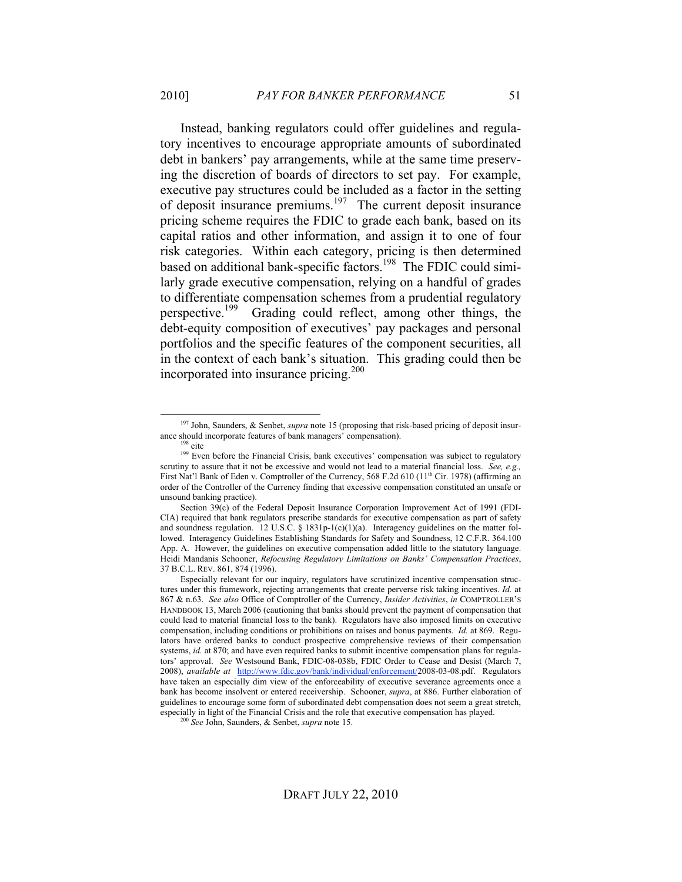Instead, banking regulators could offer guidelines and regulatory incentives to encourage appropriate amounts of subordinated debt in bankers' pay arrangements, while at the same time preserving the discretion of boards of directors to set pay. For example, executive pay structures could be included as a factor in the setting of deposit insurance premiums.<sup>197</sup> The current deposit insurance pricing scheme requires the FDIC to grade each bank, based on its capital ratios and other information, and assign it to one of four risk categories. Within each category, pricing is then determined based on additional bank-specific factors.<sup>198</sup> The FDIC could similarly grade executive compensation, relying on a handful of grades to differentiate compensation schemes from a prudential regulatory perspective.199 Grading could reflect, among other things, the debt-equity composition of executives' pay packages and personal portfolios and the specific features of the component securities, all in the context of each bank's situation. This grading could then be incorporated into insurance pricing.<sup>200</sup>

 <sup>197</sup> John, Saunders, & Senbet, *supra* note 15 (proposing that risk-based pricing of deposit insurance should incorporate features of bank managers' compensation).

 $198$  cite

<sup>&</sup>lt;sup>199</sup> Even before the Financial Crisis, bank executives' compensation was subject to regulatory scrutiny to assure that it not be excessive and would not lead to a material financial loss. *See, e.g.,* First Nat'l Bank of Eden v. Comptroller of the Currency, 568 F.2d 610 (11<sup>th</sup> Cir. 1978) (affirming an order of the Controller of the Currency finding that excessive compensation constituted an unsafe or unsound banking practice).

Section 39(c) of the Federal Deposit Insurance Corporation Improvement Act of 1991 (FDI-CIA) required that bank regulators prescribe standards for executive compensation as part of safety and soundness regulation. 12 U.S.C. § 1831p-1(c)(1)(a). Interagency guidelines on the matter followed. Interagency Guidelines Establishing Standards for Safety and Soundness, 12 C.F.R. 364.100 App. A. However, the guidelines on executive compensation added little to the statutory language. Heidi Mandanis Schooner, *Refocusing Regulatory Limitations on Banks' Compensation Practices*, 37 B.C.L. REV. 861, 874 (1996).

Especially relevant for our inquiry, regulators have scrutinized incentive compensation structures under this framework, rejecting arrangements that create perverse risk taking incentives. *Id.* at 867 & n.63. *See also* Office of Comptroller of the Currency, *Insider Activities*, *in* COMPTROLLER'S HANDBOOK 13, March 2006 (cautioning that banks should prevent the payment of compensation that could lead to material financial loss to the bank). Regulators have also imposed limits on executive compensation, including conditions or prohibitions on raises and bonus payments. *Id.* at 869. Regulators have ordered banks to conduct prospective comprehensive reviews of their compensation systems, *id.* at 870; and have even required banks to submit incentive compensation plans for regulators' approval. *See* Westsound Bank, FDIC-08-038b, FDIC Order to Cease and Desist (March 7, 2008), *available at* http://www.fdic.gov/bank/individual/enforcement/2008-03-08.pdf. Regulators have taken an especially dim view of the enforceability of executive severance agreements once a bank has become insolvent or entered receivership. Schooner, *supra*, at 886. Further elaboration of guidelines to encourage some form of subordinated debt compensation does not seem a great stretch, especially in light of the Financial Crisis and the role that executive compensation has played.

<sup>200</sup> *See* John, Saunders, & Senbet, *supra* note 15.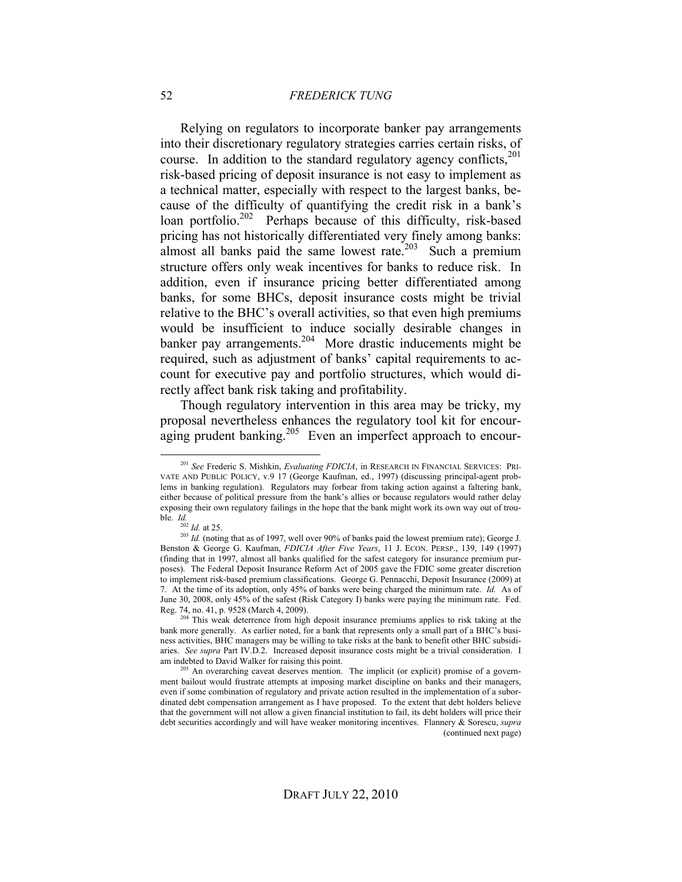Relying on regulators to incorporate banker pay arrangements into their discretionary regulatory strategies carries certain risks, of course. In addition to the standard regulatory agency conflicts,<sup>201</sup> risk-based pricing of deposit insurance is not easy to implement as a technical matter, especially with respect to the largest banks, because of the difficulty of quantifying the credit risk in a bank's loan portfolio.<sup>202</sup> Perhaps because of this difficulty, risk-based pricing has not historically differentiated very finely among banks: almost all banks paid the same lowest rate.<sup>203</sup> Such a premium structure offers only weak incentives for banks to reduce risk. In addition, even if insurance pricing better differentiated among banks, for some BHCs, deposit insurance costs might be trivial relative to the BHC's overall activities, so that even high premiums would be insufficient to induce socially desirable changes in banker pay arrangements.<sup>204</sup> More drastic inducements might be required, such as adjustment of banks' capital requirements to account for executive pay and portfolio structures, which would directly affect bank risk taking and profitability.

Though regulatory intervention in this area may be tricky, my proposal nevertheless enhances the regulatory tool kit for encouraging prudent banking.<sup>205</sup> Even an imperfect approach to encour-

 <sup>201</sup> *See* Frederic S. Mishkin, *Evaluating FDICIA*, in RESEARCH IN FINANCIAL SERVICES: PRI-VATE AND PUBLIC POLICY, v.9 17 (George Kaufman, ed., 1997) (discussing principal-agent problems in banking regulation). Regulators may forbear from taking action against a faltering bank, either because of political pressure from the bank's allies or because regulators would rather delay exposing their own regulatory failings in the hope that the bank might work its own way out of trouble. *Id.*

 $^{202}$  *Id.* at 25.

<sup>&</sup>lt;sup>203</sup> *Id.* (noting that as of 1997, well over 90% of banks paid the lowest premium rate); George J. Benston & George G. Kaufman, *FDICIA After Five Years*, 11 J. ECON. PERSP., 139, 149 (1997) (finding that in 1997, almost all banks qualified for the safest category for insurance premium purposes). The Federal Deposit Insurance Reform Act of 2005 gave the FDIC some greater discretion to implement risk-based premium classifications. George G. Pennacchi, Deposit Insurance (2009) at 7. At the time of its adoption, only 45% of banks were being charged the minimum rate. *Id.* As of June 30, 2008, only 45% of the safest (Risk Category I) banks were paying the minimum rate. Fed. Reg. 74, no. 41, p. 9528 (March 4, 2009).

This weak deterrence from high deposit insurance premiums applies to risk taking at the bank more generally. As earlier noted, for a bank that represents only a small part of a BHC's business activities, BHC managers may be willing to take risks at the bank to benefit other BHC subsidiaries. *See supra* Part IV.D.2. Increased deposit insurance costs might be a trivial consideration. I am indebted to David Walker for raising this point.

<sup>&</sup>lt;sup>205</sup> An overarching caveat deserves mention. The implicit (or explicit) promise of a government bailout would frustrate attempts at imposing market discipline on banks and their managers, even if some combination of regulatory and private action resulted in the implementation of a subordinated debt compensation arrangement as I have proposed. To the extent that debt holders believe that the government will not allow a given financial institution to fail, its debt holders will price their debt securities accordingly and will have weaker monitoring incentives. Flannery & Sorescu, *supra*  (continued next page)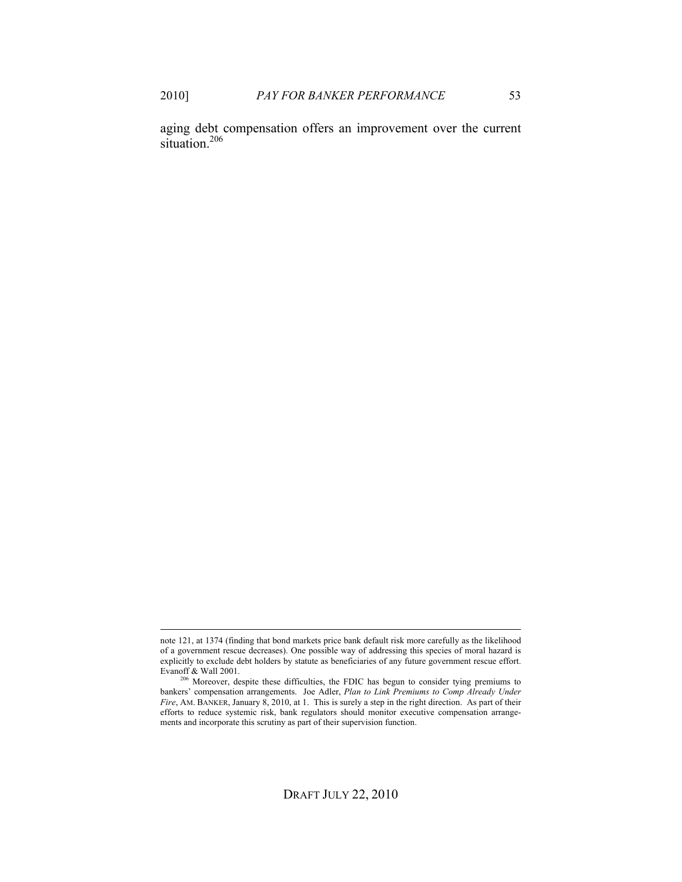aging debt compensation offers an improvement over the current situation. $206$ 

note 121, at 1374 (finding that bond markets price bank default risk more carefully as the likelihood of a government rescue decreases). One possible way of addressing this species of moral hazard is explicitly to exclude debt holders by statute as beneficiaries of any future government rescue effort. Evanoff & Wall 2001.

<sup>&</sup>lt;sup>206</sup> Moreover, despite these difficulties, the FDIC has begun to consider tying premiums to bankers' compensation arrangements. Joe Adler, *Plan to Link Premiums to Comp Already Under Fire*, AM. BANKER, January 8, 2010, at 1. This is surely a step in the right direction. As part of their efforts to reduce systemic risk, bank regulators should monitor executive compensation arrangements and incorporate this scrutiny as part of their supervision function.